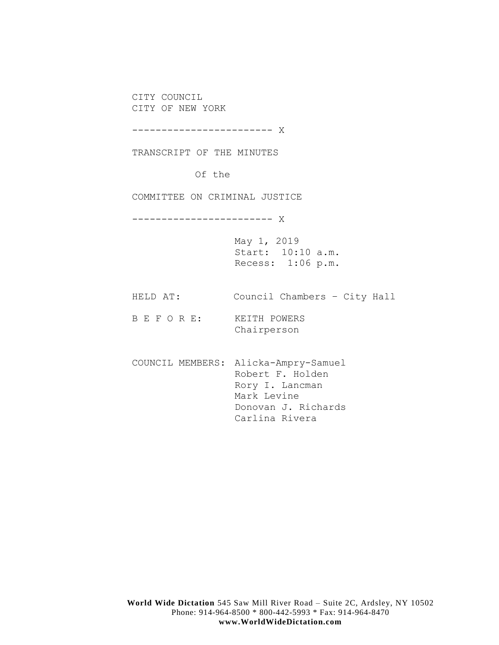CITY COUNCIL CITY OF NEW YORK

------------------------ X

TRANSCRIPT OF THE MINUTES

Of the

COMMITTEE ON CRIMINAL JUSTICE

------------------------ X

May 1, 2019 Start: 10:10 a.m. Recess: 1:06 p.m.

HELD AT: Council Chambers – City Hall

B E F O R E: KEITH POWERS Chairperson

COUNCIL MEMBERS: Alicka-Ampry-Samuel Robert F. Holden Rory I. Lancman Mark Levine Donovan J. Richards Carlina Rivera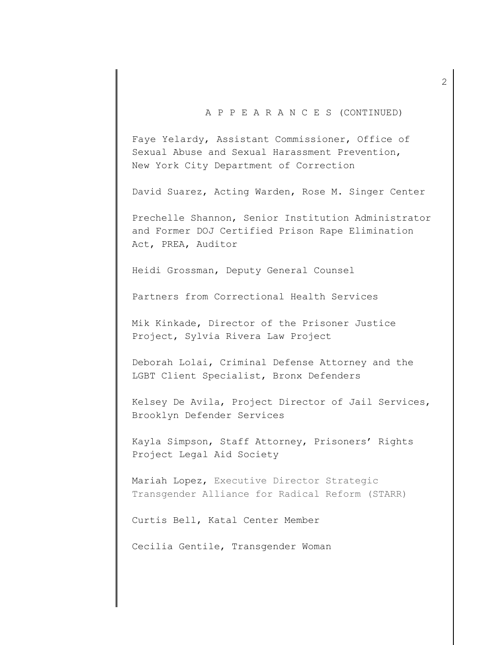## A P P E A R A N C E S (CONTINUED)

Faye Yelardy, Assistant Commissioner, Office of Sexual Abuse and Sexual Harassment Prevention, New York City Department of Correction

David Suarez, Acting Warden, Rose M. Singer Center

Prechelle Shannon, Senior Institution Administrator and Former DOJ Certified Prison Rape Elimination Act, PREA, Auditor

Heidi Grossman, Deputy General Counsel

Partners from Correctional Health Services

Mik Kinkade, Director of the Prisoner Justice Project, Sylvia Rivera Law Project

Deborah Lolai, Criminal Defense Attorney and the LGBT Client Specialist, Bronx Defenders

Kelsey De Avila, Project Director of Jail Services, Brooklyn Defender Services

Kayla Simpson, Staff Attorney, Prisoners' Rights Project Legal Aid Society

Mariah Lopez, Executive Director Strategic Transgender Alliance for Radical Reform (STARR)

Curtis Bell, Katal Center Member

Cecilia Gentile, Transgender Woman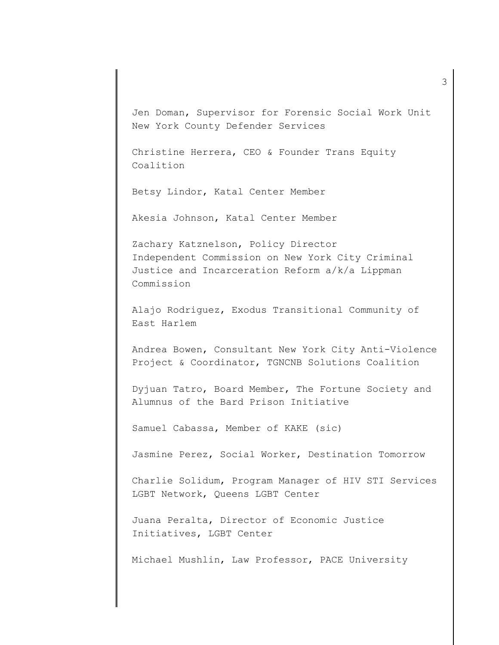Jen Doman, Supervisor for Forensic Social Work Unit New York County Defender Services

Christine Herrera, CEO & Founder Trans Equity Coalition

Betsy Lindor, Katal Center Member

Akesia Johnson, Katal Center Member

Zachary Katznelson, Policy Director Independent Commission on New York City Criminal Justice and Incarceration Reform a/k/a Lippman Commission

Alajo Rodriguez, Exodus Transitional Community of East Harlem

Andrea Bowen, Consultant New York City Anti-Violence Project & Coordinator, TGNCNB Solutions Coalition

Dyjuan Tatro, Board Member, The Fortune Society and Alumnus of the Bard Prison Initiative

Samuel Cabassa, Member of KAKE (sic)

Jasmine Perez, Social Worker, Destination Tomorrow

Charlie Solidum, Program Manager of HIV STI Services LGBT Network, Queens LGBT Center

Juana Peralta, Director of Economic Justice Initiatives, LGBT Center

Michael Mushlin, Law Professor, PACE University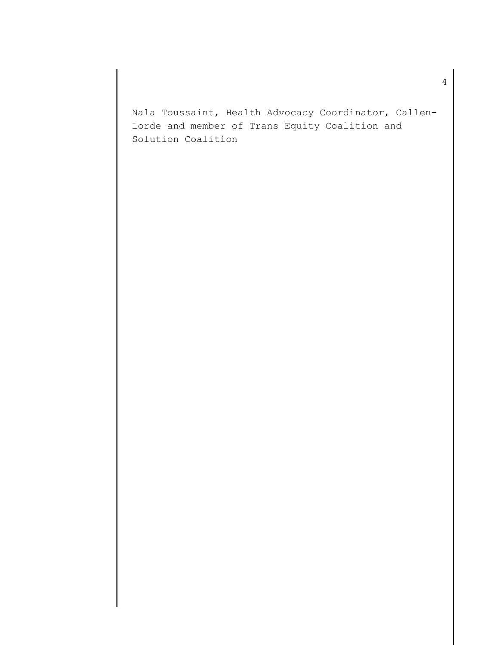Nala Toussaint, Health Advocacy Coordinator, Callen-Lorde and member of Trans Equity Coalition and Solution Coalition

4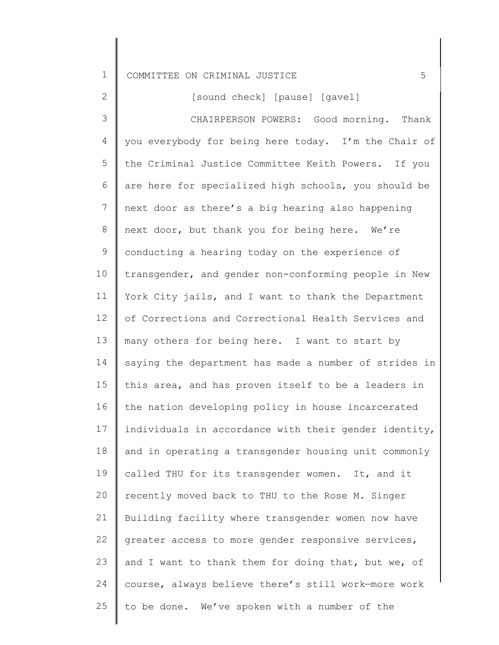2

[sound check] [pause] [gavel]

3 4 5 6 7 8 9 10 11 12 13 14 15 16 17 18 19 20 21 22 23 24 25 you everybody for being here today. I'm the Chair of CHAIRPERSON POWERS: Good morning. Thank the Criminal Justice Committee Keith Powers. If you are here for specialized high schools, you should be next door as there's a big hearing also happening next door, but thank you for being here. We're conducting a hearing today on the experience of transgender, and gender non-conforming people in New York City jails, and I want to thank the Department of Corrections and Correctional Health Services and many others for being here. I want to start by saying the department has made a number of strides in this area, and has proven itself to be a leaders in the nation developing policy in house incarcerated individuals in accordance with their gender identity, and in operating a transgender housing unit commonly called THU for its transgender women. It, and it recently moved back to THU to the Rose M. Singer Building facility where transgender women now have greater access to more gender responsive services, and I want to thank them for doing that, but we, of course, always believe there's still work—more work to be done. We've spoken with a number of the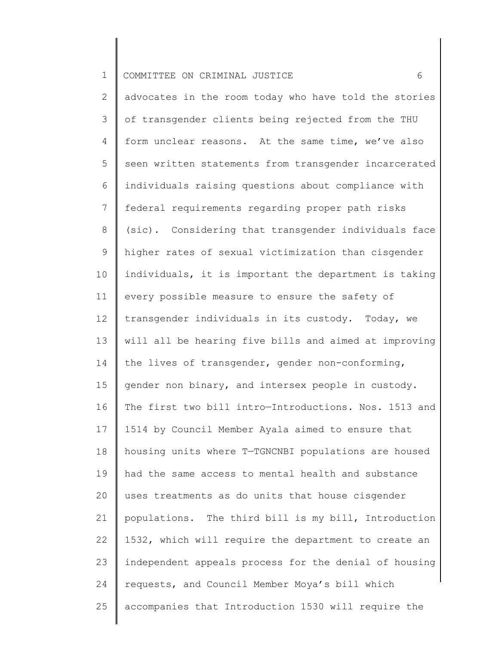2 3 4 5 6 7 8 9 10 11 12 13 14 15 16 17 18 19 20 21 22 23 24 25 advocates in the room today who have told the stories of transgender clients being rejected from the THU form unclear reasons. At the same time, we've also seen written statements from transgender incarcerated individuals raising questions about compliance with federal requirements regarding proper path risks (sic). Considering that transgender individuals face higher rates of sexual victimization than cisgender individuals, it is important the department is taking every possible measure to ensure the safety of transgender individuals in its custody. Today, we will all be hearing five bills and aimed at improving the lives of transgender, gender non-conforming, gender non binary, and intersex people in custody. The first two bill intro—Introductions. Nos. 1513 and 1514 by Council Member Ayala aimed to ensure that housing units where T—TGNCNBI populations are housed had the same access to mental health and substance uses treatments as do units that house cisgender populations. The third bill is my bill, Introduction 1532, which will require the department to create an independent appeals process for the denial of housing requests, and Council Member Moya's bill which accompanies that Introduction 1530 will require the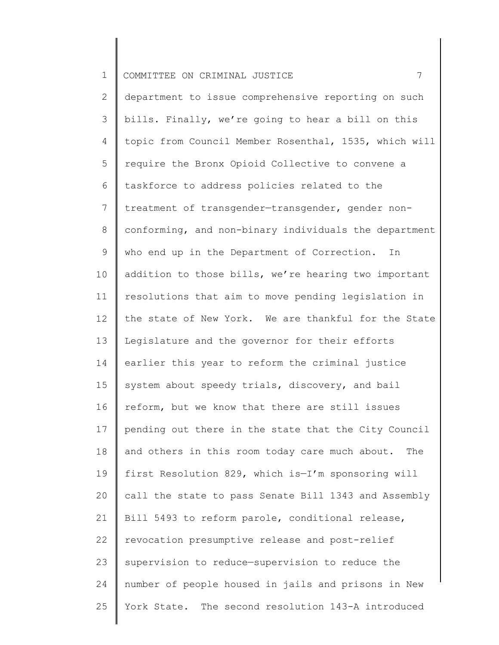2 3 4 5 6 7 8 9 10 11 12 13 14 15 16 17 18 19 20 21 22 23 24 25 department to issue comprehensive reporting on such bills. Finally, we're going to hear a bill on this topic from Council Member Rosenthal, 1535, which will require the Bronx Opioid Collective to convene a taskforce to address policies related to the treatment of transgender—transgender, gender nonconforming, and non-binary individuals the department who end up in the Department of Correction. In addition to those bills, we're hearing two important resolutions that aim to move pending legislation in the state of New York. We are thankful for the State Legislature and the governor for their efforts earlier this year to reform the criminal justice system about speedy trials, discovery, and bail reform, but we know that there are still issues pending out there in the state that the City Council and others in this room today care much about. The first Resolution 829, which is—I'm sponsoring will call the state to pass Senate Bill 1343 and Assembly Bill 5493 to reform parole, conditional release, revocation presumptive release and post-relief supervision to reduce—supervision to reduce the number of people housed in jails and prisons in New York State. The second resolution 143-A introduced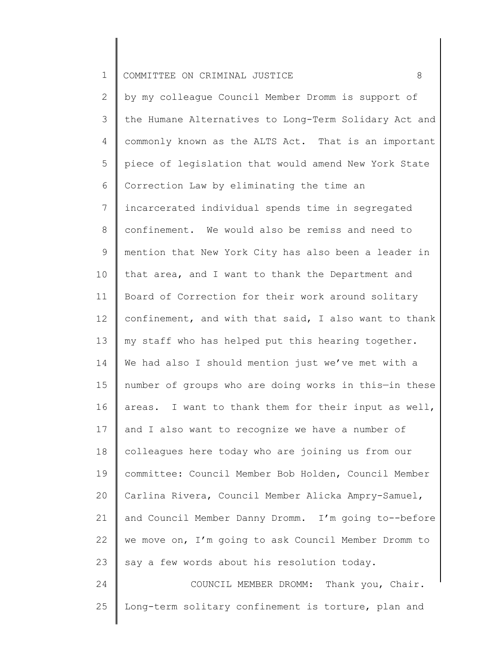2 3 4 5 6 7 8 9 10 11 12 13 14 15 16 17 18 19 20 21 22 23 24 by my colleague Council Member Dromm is support of the Humane Alternatives to Long-Term Solidary Act and commonly known as the ALTS Act. That is an important piece of legislation that would amend New York State Correction Law by eliminating the time an incarcerated individual spends time in segregated confinement. We would also be remiss and need to mention that New York City has also been a leader in that area, and I want to thank the Department and Board of Correction for their work around solitary confinement, and with that said, I also want to thank my staff who has helped put this hearing together. We had also I should mention just we've met with a number of groups who are doing works in this—in these areas. I want to thank them for their input as well, and I also want to recognize we have a number of colleagues here today who are joining us from our committee: Council Member Bob Holden, Council Member Carlina Rivera, Council Member Alicka Ampry-Samuel, and Council Member Danny Dromm. I'm going to--before we move on, I'm going to ask Council Member Dromm to say a few words about his resolution today. COUNCIL MEMBER DROMM: Thank you, Chair.

25 Long-term solitary confinement is torture, plan and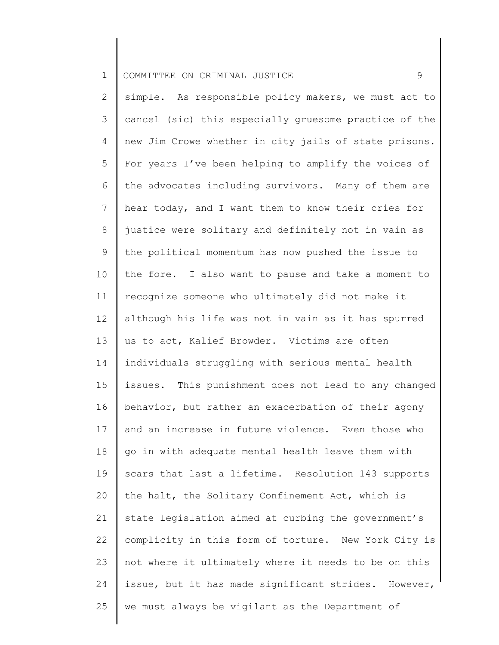1 COMMITTEE ON CRIMINAL JUSTICE  $\overline{9}$ 

2 3 4 5 6 7 8 9 10 11 12 13 14 15 16 17 18 19 20 21 22 23 24 25 simple. As responsible policy makers, we must act to cancel (sic) this especially gruesome practice of the new Jim Crowe whether in city jails of state prisons. For years I've been helping to amplify the voices of the advocates including survivors. Many of them are hear today, and I want them to know their cries for justice were solitary and definitely not in vain as the political momentum has now pushed the issue to the fore. I also want to pause and take a moment to recognize someone who ultimately did not make it although his life was not in vain as it has spurred us to act, Kalief Browder. Victims are often individuals struggling with serious mental health issues. This punishment does not lead to any changed behavior, but rather an exacerbation of their agony and an increase in future violence. Even those who go in with adequate mental health leave them with scars that last a lifetime. Resolution 143 supports the halt, the Solitary Confinement Act, which is state legislation aimed at curbing the government's complicity in this form of torture. New York City is not where it ultimately where it needs to be on this issue, but it has made significant strides. However, we must always be vigilant as the Department of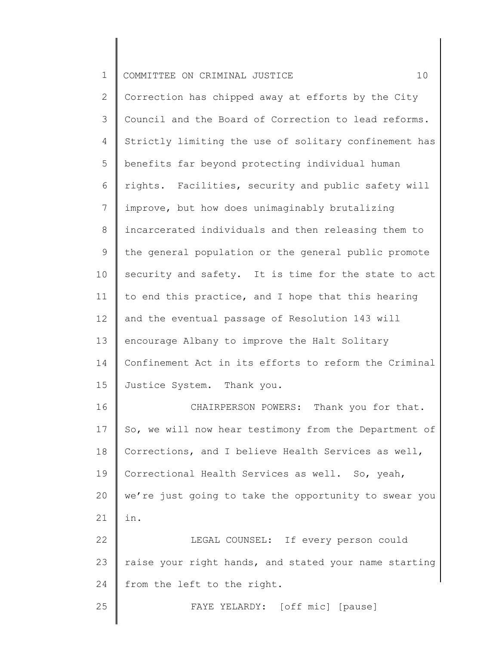| $\mathbf 1$    | 10<br>COMMITTEE ON CRIMINAL JUSTICE                   |
|----------------|-------------------------------------------------------|
| $\overline{2}$ | Correction has chipped away at efforts by the City    |
| 3              | Council and the Board of Correction to lead reforms.  |
| 4              | Strictly limiting the use of solitary confinement has |
| 5              | benefits far beyond protecting individual human       |
| 6              | rights. Facilities, security and public safety will   |
| 7              | improve, but how does unimaginably brutalizing        |
| $8\,$          | incarcerated individuals and then releasing them to   |
| $\mathsf 9$    | the general population or the general public promote  |
| 10             | security and safety. It is time for the state to act  |
| 11             | to end this practice, and I hope that this hearing    |
| 12             | and the eventual passage of Resolution 143 will       |
| 13             | encourage Albany to improve the Halt Solitary         |
| 14             | Confinement Act in its efforts to reform the Criminal |
| 15             | Justice System. Thank you.                            |
| 16             | CHAIRPERSON POWERS: Thank you for that.               |
| 17             | So, we will now hear testimony from the Department of |
| 18             | Corrections, and I believe Health Services as well,   |
| 19             | Correctional Health Services as well. So, yeah,       |
| 20             | we're just going to take the opportunity to swear you |
| 21             | in.                                                   |
| 22             | LEGAL COUNSEL: If every person could                  |
| 23             | raise your right hands, and stated your name starting |
| 24             | from the left to the right.                           |
| 25             | FAYE YELARDY: [off mic] [pause]                       |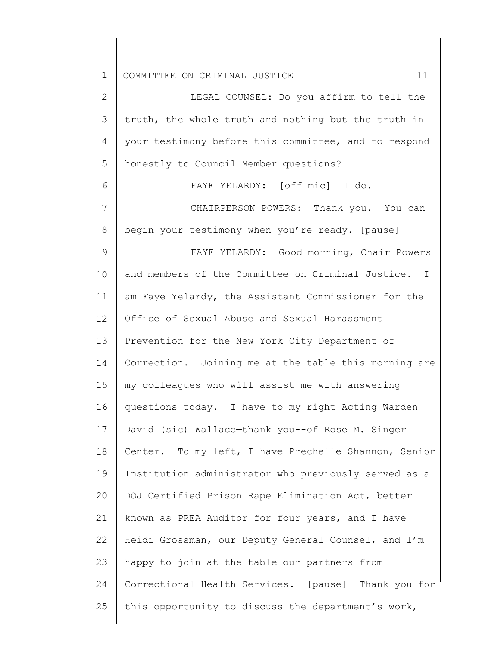2 3 4 5 6 7 8 9 10 11 12 13 14 15 16 17 18 19 20 21 22 23 24 25 LEGAL COUNSEL: Do you affirm to tell the truth, the whole truth and nothing but the truth in your testimony before this committee, and to respond honestly to Council Member questions? FAYE YELARDY: [off mic] I do. CHAIRPERSON POWERS: Thank you. You can begin your testimony when you're ready. [pause] FAYE YELARDY: Good morning, Chair Powers and members of the Committee on Criminal Justice. I am Faye Yelardy, the Assistant Commissioner for the Office of Sexual Abuse and Sexual Harassment Prevention for the New York City Department of Correction. Joining me at the table this morning are my colleagues who will assist me with answering questions today. I have to my right Acting Warden David (sic) Wallace—thank you--of Rose M. Singer Center. To my left, I have Prechelle Shannon, Senior Institution administrator who previously served as a DOJ Certified Prison Rape Elimination Act, better known as PREA Auditor for four years, and I have Heidi Grossman, our Deputy General Counsel, and I'm happy to join at the table our partners from Correctional Health Services. [pause] Thank you for this opportunity to discuss the department's work,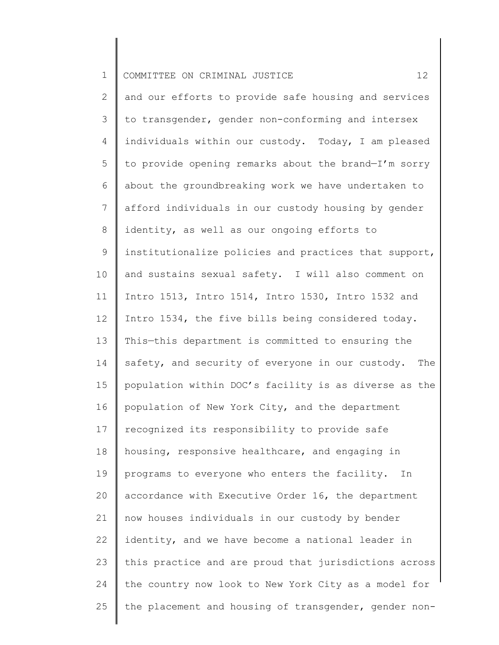| $\mathbf 1$    | COMMITTEE ON CRIMINAL JUSTICE<br>12                     |
|----------------|---------------------------------------------------------|
| $\overline{2}$ | and our efforts to provide safe housing and services    |
| 3              | to transgender, gender non-conforming and intersex      |
| 4              | individuals within our custody. Today, I am pleased     |
| 5              | to provide opening remarks about the brand-I'm sorry    |
| 6              | about the groundbreaking work we have undertaken to     |
| 7              | afford individuals in our custody housing by gender     |
| 8              | identity, as well as our ongoing efforts to             |
| 9              | institutionalize policies and practices that support,   |
| 10             | and sustains sexual safety. I will also comment on      |
| 11             | Intro 1513, Intro 1514, Intro 1530, Intro 1532 and      |
| 12             | Intro 1534, the five bills being considered today.      |
| 13             | This-this department is committed to ensuring the       |
| 14             | safety, and security of everyone in our custody.<br>The |
| 15             | population within DOC's facility is as diverse as the   |
| 16             | population of New York City, and the department         |
| 17             | recognized its responsibility to provide safe           |
| 18             | housing, responsive healthcare, and engaging in         |
| 19             | programs to everyone who enters the facility.<br>In     |
| 20             | accordance with Executive Order 16, the department      |
| 21             | now houses individuals in our custody by bender         |
| 22             | identity, and we have become a national leader in       |
| 23             | this practice and are proud that jurisdictions across   |
| 24             | the country now look to New York City as a model for    |
| 25             | the placement and housing of transgender, gender non-   |
|                |                                                         |

∥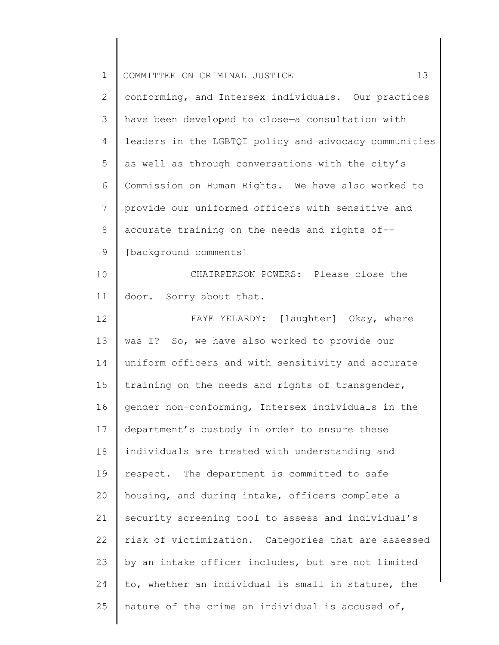| $\mathbf 1$    | 13<br>COMMITTEE ON CRIMINAL JUSTICE                   |
|----------------|-------------------------------------------------------|
| $\overline{2}$ | conforming, and Intersex individuals. Our practices   |
| 3              | have been developed to close-a consultation with      |
| 4              | leaders in the LGBTQI policy and advocacy communities |
| 5              | as well as through conversations with the city's      |
| 6              | Commission on Human Rights. We have also worked to    |
| 7              | provide our uniformed officers with sensitive and     |
| 8              | accurate training on the needs and rights of--        |
| 9              | [background comments]                                 |
| 10             | CHAIRPERSON POWERS: Please close the                  |
| 11             | door. Sorry about that.                               |
| 12             | FAYE YELARDY: [laughter] Okay, where                  |
| 13             | was I? So, we have also worked to provide our         |
| 14             | uniform officers and with sensitivity and accurate    |
| 15             | training on the needs and rights of transgender,      |
| 16             | gender non-conforming, Intersex individuals in the    |
| 17             | department's custody in order to ensure these         |
| 18             | individuals are treated with understanding and        |
| 19             | respect. The department is committed to safe          |
| 20             | housing, and during intake, officers complete a       |
| 21             | security screening tool to assess and individual's    |
| 22             | risk of victimization. Categories that are assessed   |
| 23             | by an intake officer includes, but are not limited    |
| 24             | to, whether an individual is small in stature, the    |
| 25             | nature of the crime an individual is accused of,      |
|                |                                                       |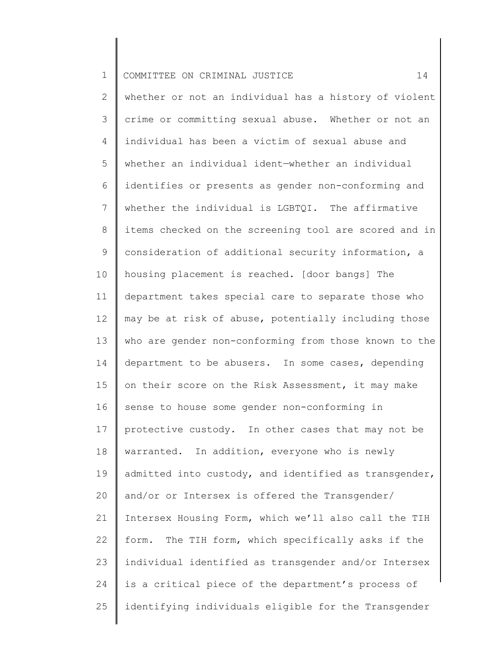1 2 3 4 5 6 7 8 9 10 11 12 13 14 15 16 17 18 19 20 21 22 23 24 25 COMMITTEE ON CRIMINAL JUSTICE  $14$ whether or not an individual has a history of violent crime or committing sexual abuse. Whether or not an individual has been a victim of sexual abuse and whether an individual ident—whether an individual identifies or presents as gender non-conforming and whether the individual is LGBTQI. The affirmative items checked on the screening tool are scored and in consideration of additional security information, a housing placement is reached. [door bangs] The department takes special care to separate those who may be at risk of abuse, potentially including those who are gender non-conforming from those known to the department to be abusers. In some cases, depending on their score on the Risk Assessment, it may make sense to house some gender non-conforming in protective custody. In other cases that may not be warranted. In addition, everyone who is newly admitted into custody, and identified as transgender, and/or or Intersex is offered the Transgender/ Intersex Housing Form, which we'll also call the TIH form. The TIH form, which specifically asks if the individual identified as transgender and/or Intersex is a critical piece of the department's process of identifying individuals eligible for the Transgender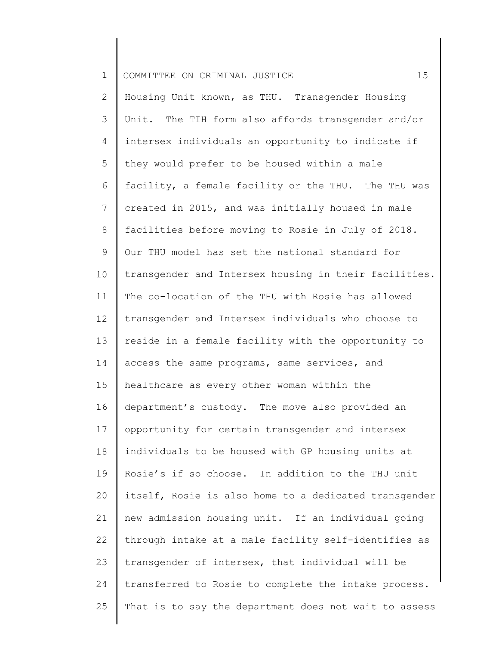1 2 3 4 5 6 7 8 9 10 11 12 13 14 15 16 17 18 19 20 21 22 23 24 25 COMMITTEE ON CRIMINAL JUSTICE  $15$ Housing Unit known, as THU. Transgender Housing Unit. The TIH form also affords transgender and/or intersex individuals an opportunity to indicate if they would prefer to be housed within a male facility, a female facility or the THU. The THU was created in 2015, and was initially housed in male facilities before moving to Rosie in July of 2018. Our THU model has set the national standard for transgender and Intersex housing in their facilities. The co-location of the THU with Rosie has allowed transgender and Intersex individuals who choose to reside in a female facility with the opportunity to access the same programs, same services, and healthcare as every other woman within the department's custody. The move also provided an opportunity for certain transgender and intersex individuals to be housed with GP housing units at Rosie's if so choose. In addition to the THU unit itself, Rosie is also home to a dedicated transgender new admission housing unit. If an individual going through intake at a male facility self-identifies as transgender of intersex, that individual will be transferred to Rosie to complete the intake process. That is to say the department does not wait to assess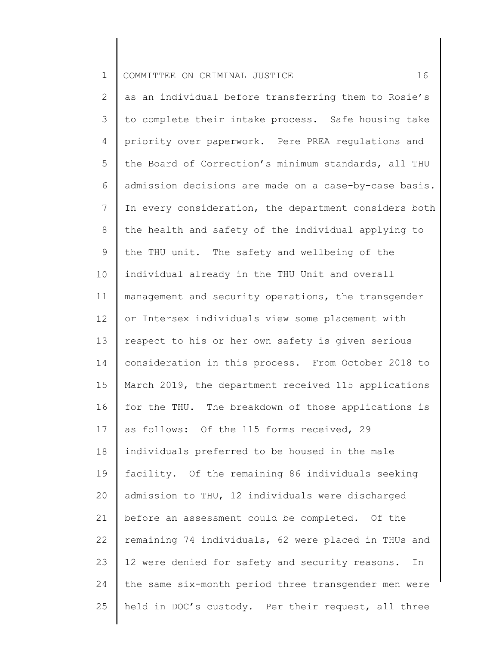2 3 4 5 6 7 8 9 10 11 12 13 14 15 16 17 18 19 20 21 22 23 24 25 as an individual before transferring them to Rosie's to complete their intake process. Safe housing take priority over paperwork. Pere PREA regulations and the Board of Correction's minimum standards, all THU admission decisions are made on a case-by-case basis. In every consideration, the department considers both the health and safety of the individual applying to the THU unit. The safety and wellbeing of the individual already in the THU Unit and overall management and security operations, the transgender or Intersex individuals view some placement with respect to his or her own safety is given serious consideration in this process. From October 2018 to March 2019, the department received 115 applications for the THU. The breakdown of those applications is as follows: Of the 115 forms received, 29 individuals preferred to be housed in the male facility. Of the remaining 86 individuals seeking admission to THU, 12 individuals were discharged before an assessment could be completed. Of the remaining 74 individuals, 62 were placed in THUs and 12 were denied for safety and security reasons. In the same six-month period three transgender men were held in DOC's custody. Per their request, all three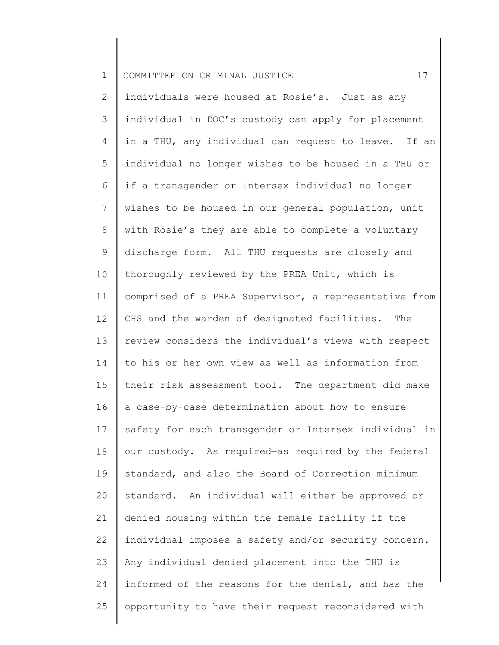| $\mathbf 1$     | 17<br>COMMITTEE ON CRIMINAL JUSTICE                   |
|-----------------|-------------------------------------------------------|
| 2               | individuals were housed at Rosie's. Just as any       |
| 3               | individual in DOC's custody can apply for placement   |
| 4               | in a THU, any individual can request to leave. If an  |
| 5               | individual no longer wishes to be housed in a THU or  |
| 6               | if a transgender or Intersex individual no longer     |
| $7\phantom{.0}$ | wishes to be housed in our general population, unit   |
| $8\,$           | with Rosie's they are able to complete a voluntary    |
| 9               | discharge form. All THU requests are closely and      |
| 10              | thoroughly reviewed by the PREA Unit, which is        |
| 11              | comprised of a PREA Supervisor, a representative from |
| 12              | CHS and the warden of designated facilities. The      |
| 13              | review considers the individual's views with respect  |
| 14              | to his or her own view as well as information from    |
| 15              | their risk assessment tool. The department did make   |
| 16              | a case-by-case determination about how to ensure      |
| 17              | safety for each transgender or Intersex individual in |
| 18              | our custody. As required-as required by the federal   |
| 19              | standard, and also the Board of Correction minimum    |
| 20              | standard. An individual will either be approved or    |
| 21              | denied housing within the female facility if the      |
| 22              | individual imposes a safety and/or security concern.  |
| 23              | Any individual denied placement into the THU is       |
| 24              | informed of the reasons for the denial, and has the   |
| 25              | opportunity to have their request reconsidered with   |
|                 |                                                       |

║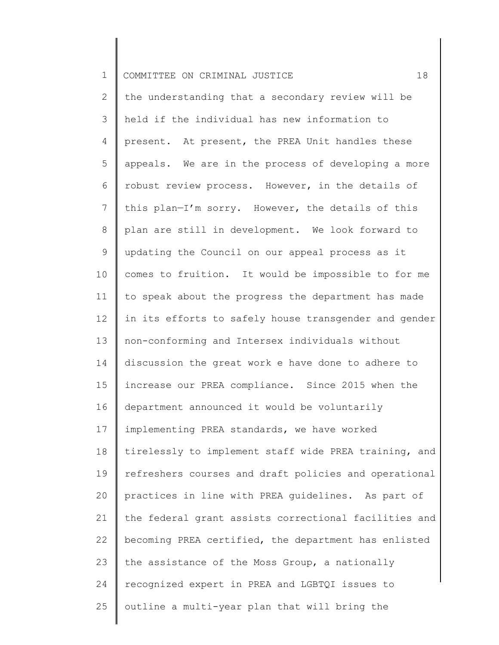2 3 4 5 6 7 8 9 10 11 12 13 14 15 16 17 18 19 20 21 22 23 24 25 the understanding that a secondary review will be held if the individual has new information to present. At present, the PREA Unit handles these appeals. We are in the process of developing a more robust review process. However, in the details of this plan—I'm sorry. However, the details of this plan are still in development. We look forward to updating the Council on our appeal process as it comes to fruition. It would be impossible to for me to speak about the progress the department has made in its efforts to safely house transgender and gender non-conforming and Intersex individuals without discussion the great work e have done to adhere to increase our PREA compliance. Since 2015 when the department announced it would be voluntarily implementing PREA standards, we have worked tirelessly to implement staff wide PREA training, and refreshers courses and draft policies and operational practices in line with PREA guidelines. As part of the federal grant assists correctional facilities and becoming PREA certified, the department has enlisted the assistance of the Moss Group, a nationally recognized expert in PREA and LGBTQI issues to outline a multi-year plan that will bring the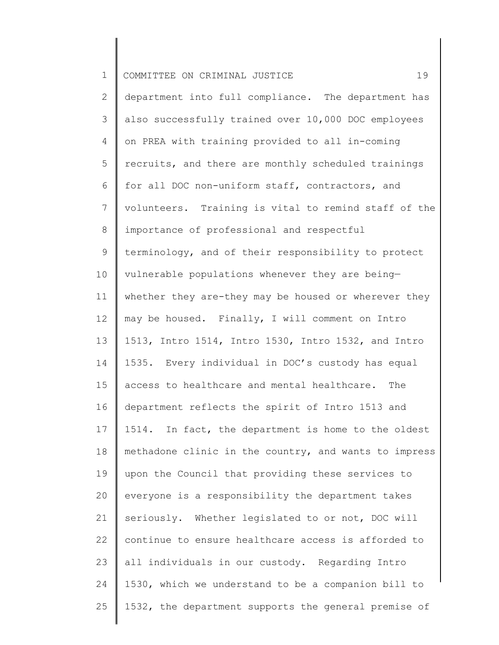| $\mathbf 1$    | 19<br>COMMITTEE ON CRIMINAL JUSTICE                   |
|----------------|-------------------------------------------------------|
| 2              | department into full compliance. The department has   |
| 3              | also successfully trained over 10,000 DOC employees   |
| $\overline{4}$ | on PREA with training provided to all in-coming       |
| 5              | recruits, and there are monthly scheduled trainings   |
| 6              | for all DOC non-uniform staff, contractors, and       |
| 7              | volunteers. Training is vital to remind staff of the  |
| 8              | importance of professional and respectful             |
| 9              | terminology, and of their responsibility to protect   |
| 10             | vulnerable populations whenever they are being-       |
| 11             | whether they are-they may be housed or wherever they  |
| 12             | may be housed. Finally, I will comment on Intro       |
| 13             | 1513, Intro 1514, Intro 1530, Intro 1532, and Intro   |
| 14             | 1535. Every individual in DOC's custody has equal     |
| 15             | access to healthcare and mental healthcare. The       |
| 16             | department reflects the spirit of Intro 1513 and      |
| 17             | 1514. In fact, the department is home to the oldest   |
| 18             | methadone clinic in the country, and wants to impress |
| 19             | upon the Council that providing these services to     |
| 20             | everyone is a responsibility the department takes     |
| 21             | seriously. Whether legislated to or not, DOC will     |
| 22             | continue to ensure healthcare access is afforded to   |
| 23             | all individuals in our custody. Regarding Intro       |
| 24             | 1530, which we understand to be a companion bill to   |
| 25             | 1532, the department supports the general premise of  |
|                |                                                       |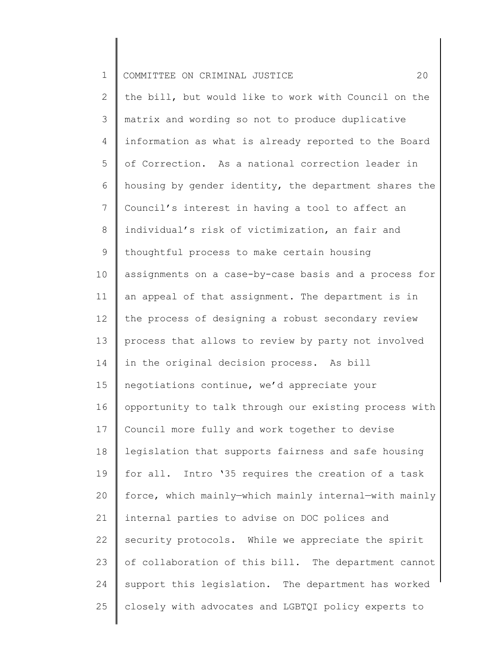| $\mathbf 1$    | 20<br>COMMITTEE ON CRIMINAL JUSTICE                   |
|----------------|-------------------------------------------------------|
| $\overline{2}$ | the bill, but would like to work with Council on the  |
| 3              | matrix and wording so not to produce duplicative      |
| 4              | information as what is already reported to the Board  |
| 5              | of Correction. As a national correction leader in     |
| 6              | housing by gender identity, the department shares the |
| $\overline{7}$ | Council's interest in having a tool to affect an      |
| 8              | individual's risk of victimization, an fair and       |
| $\mathsf 9$    | thoughtful process to make certain housing            |
| 10             | assignments on a case-by-case basis and a process for |
| 11             | an appeal of that assignment. The department is in    |
| 12             | the process of designing a robust secondary review    |
| 13             | process that allows to review by party not involved   |
| 14             | in the original decision process. As bill             |
| 15             | negotiations continue, we'd appreciate your           |
| 16             | opportunity to talk through our existing process with |
| 17             | Council more fully and work together to devise        |
| 18             | legislation that supports fairness and safe housing   |
| 19             | for all. Intro '35 requires the creation of a task    |
| 20             | force, which mainly-which mainly internal-with mainly |
| 21             | internal parties to advise on DOC polices and         |
| 22             | security protocols. While we appreciate the spirit    |
| 23             | of collaboration of this bill. The department cannot  |
| 24             | support this legislation. The department has worked   |
| 25             | closely with advocates and LGBTQI policy experts to   |
|                |                                                       |

 $\begin{array}{c} \hline \end{array}$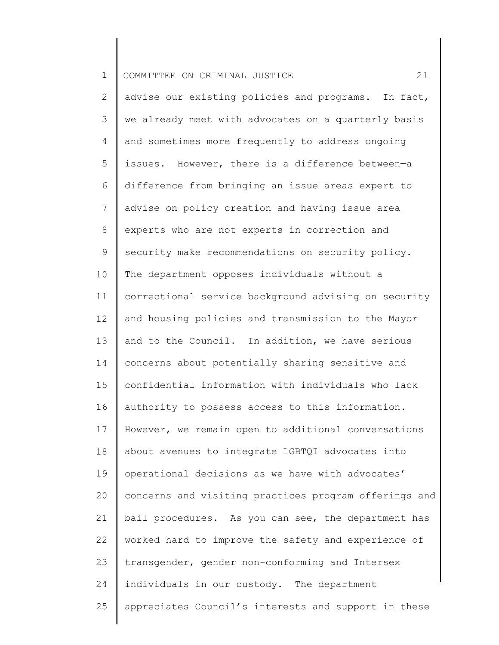| $\mathbf 1$    | 21<br>COMMITTEE ON CRIMINAL JUSTICE                   |
|----------------|-------------------------------------------------------|
| 2              | advise our existing policies and programs. In fact,   |
| 3              | we already meet with advocates on a quarterly basis   |
| 4              | and sometimes more frequently to address ongoing      |
| 5              | issues. However, there is a difference between-a      |
| 6              | difference from bringing an issue areas expert to     |
| $7\phantom{.}$ | advise on policy creation and having issue area       |
| 8              | experts who are not experts in correction and         |
| 9              | security make recommendations on security policy.     |
| 10             | The department opposes individuals without a          |
| 11             | correctional service background advising on security  |
| 12             | and housing policies and transmission to the Mayor    |
| 13             | and to the Council. In addition, we have serious      |
| 14             | concerns about potentially sharing sensitive and      |
| 15             | confidential information with individuals who lack    |
| 16             | authority to possess access to this information.      |
| 17             | However, we remain open to additional conversations   |
| 18             | about avenues to integrate LGBTQI advocates into      |
| 19             | operational decisions as we have with advocates'      |
| 20             | concerns and visiting practices program offerings and |
| 21             | bail procedures. As you can see, the department has   |
| 22             | worked hard to improve the safety and experience of   |
| 23             | transgender, gender non-conforming and Intersex       |
| 24             | individuals in our custody. The department            |
| 25             | appreciates Council's interests and support in these  |
|                |                                                       |

║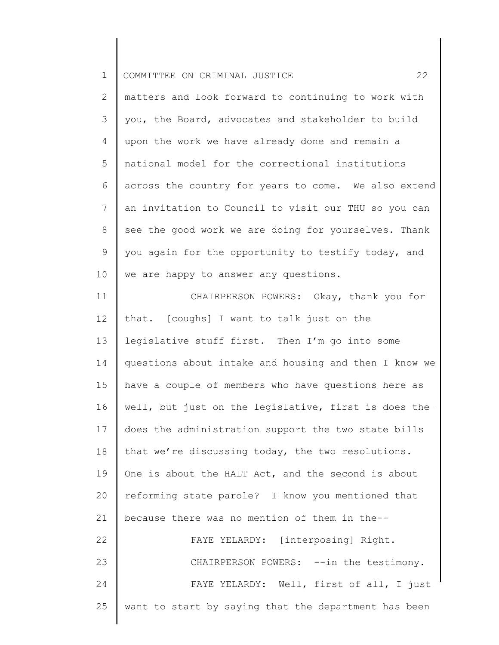| 1    COMMITTEE ON CRIMINAL JUSTICE |  |
|------------------------------------|--|
|------------------------------------|--|

2 3 4 5 6 7 8 9 10 matters and look forward to continuing to work with you, the Board, advocates and stakeholder to build upon the work we have already done and remain a national model for the correctional institutions across the country for years to come. We also extend an invitation to Council to visit our THU so you can see the good work we are doing for yourselves. Thank you again for the opportunity to testify today, and we are happy to answer any questions.

11 12 13 14 15 16 17 18 19 20 21 22 23 24 25 CHAIRPERSON POWERS: Okay, thank you for that. [coughs] I want to talk just on the legislative stuff first. Then I'm go into some questions about intake and housing and then I know we have a couple of members who have questions here as well, but just on the legislative, first is does the does the administration support the two state bills that we're discussing today, the two resolutions. One is about the HALT Act, and the second is about reforming state parole? I know you mentioned that because there was no mention of them in the-- FAYE YELARDY: [interposing] Right. CHAIRPERSON POWERS: --in the testimony. FAYE YELARDY: Well, first of all, I just want to start by saying that the department has been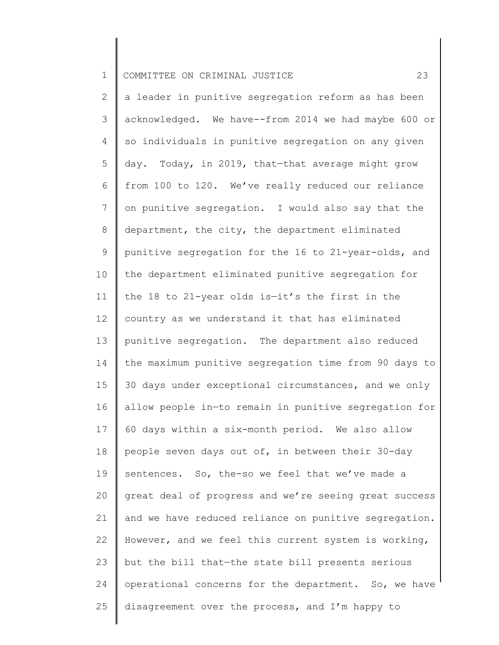2 3 4 5 6 7 8 9 10 11 12 13 14 15 16 17 18 19 20 21 22 23 24 25 a leader in punitive segregation reform as has been acknowledged. We have--from 2014 we had maybe 600 or so individuals in punitive segregation on any given day. Today, in 2019, that—that average might grow from 100 to 120. We've really reduced our reliance on punitive segregation. I would also say that the department, the city, the department eliminated punitive segregation for the 16 to 21-year-olds, and the department eliminated punitive segregation for the 18 to 21-year olds is—it's the first in the country as we understand it that has eliminated punitive segregation. The department also reduced the maximum punitive segregation time from 90 days to 30 days under exceptional circumstances, and we only allow people in—to remain in punitive segregation for 60 days within a six-month period. We also allow people seven days out of, in between their 30-day sentences. So, the-so we feel that we've made a great deal of progress and we're seeing great success and we have reduced reliance on punitive segregation. However, and we feel this current system is working, but the bill that—the state bill presents serious operational concerns for the department. So, we have disagreement over the process, and I'm happy to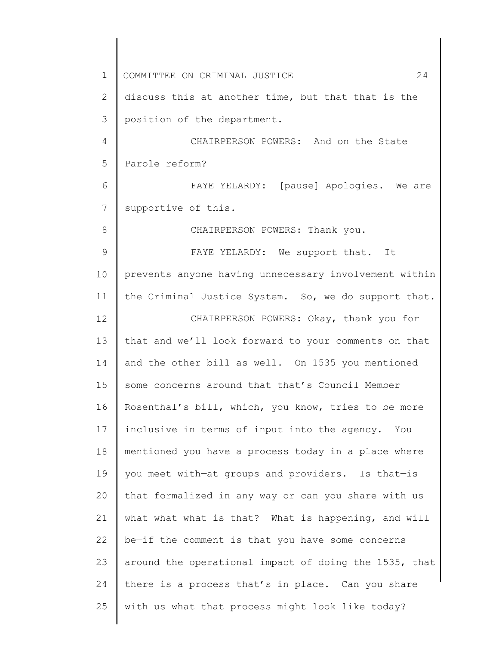1 2 3 4 5 6 7 8 9 10 11 12 13 14 15 16 17 18 19 20 21 22 23 24 25 COMMITTEE ON CRIMINAL JUSTICE 24 discuss this at another time, but that—that is the position of the department. CHAIRPERSON POWERS: And on the State Parole reform? FAYE YELARDY: [pause] Apologies. We are supportive of this. CHAIRPERSON POWERS: Thank you. FAYE YELARDY: We support that. It prevents anyone having unnecessary involvement within the Criminal Justice System. So, we do support that. CHAIRPERSON POWERS: Okay, thank you for that and we'll look forward to your comments on that and the other bill as well. On 1535 you mentioned some concerns around that that's Council Member Rosenthal's bill, which, you know, tries to be more inclusive in terms of input into the agency. You mentioned you have a process today in a place where you meet with—at groups and providers. Is that—is that formalized in any way or can you share with us what—what—what is that? What is happening, and will be—if the comment is that you have some concerns around the operational impact of doing the 1535, that there is a process that's in place. Can you share with us what that process might look like today?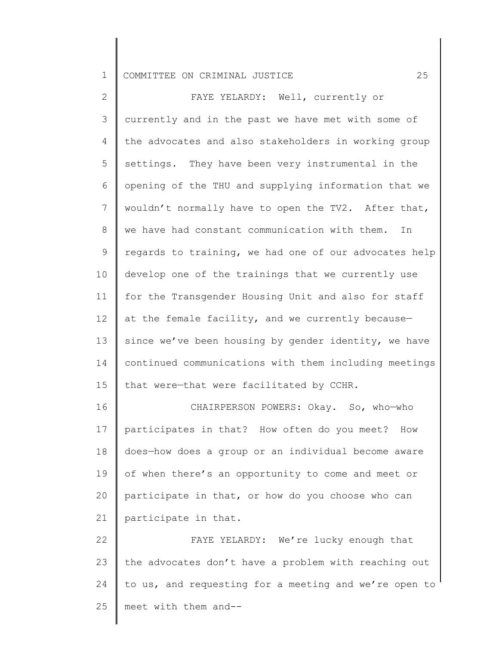2 3 4 5 6 7 8 9 10 11 12 13 14 15 FAYE YELARDY: Well, currently or currently and in the past we have met with some of the advocates and also stakeholders in working group settings. They have been very instrumental in the opening of the THU and supplying information that we wouldn't normally have to open the TV2. After that, we have had constant communication with them. In regards to training, we had one of our advocates help develop one of the trainings that we currently use for the Transgender Housing Unit and also for staff at the female facility, and we currently because since we've been housing by gender identity, we have continued communications with them including meetings that were—that were facilitated by CCHR.

16 17 18 19 20 21 CHAIRPERSON POWERS: Okay. So, who—who participates in that? How often do you meet? How does—how does a group or an individual become aware of when there's an opportunity to come and meet or participate in that, or how do you choose who can participate in that.

22 23 24 25 FAYE YELARDY: We're lucky enough that the advocates don't have a problem with reaching out to us, and requesting for a meeting and we're open to meet with them and--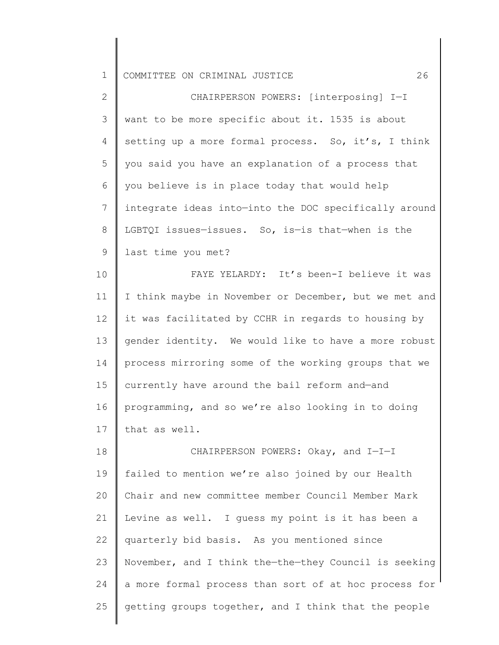| $\overline{2}$ | CHAIRPERSON POWERS: [interposing] I-I                 |
|----------------|-------------------------------------------------------|
| $\mathcal{S}$  | want to be more specific about it. 1535 is about      |
| 4              | setting up a more formal process. So, it's, I think   |
| 5              | you said you have an explanation of a process that    |
| 6              | you believe is in place today that would help         |
| 7              | integrate ideas into-into the DOC specifically around |
| $8\,$          | LGBTQI issues-issues. So, is-is that-when is the      |
| $\mathsf 9$    | last time you met?                                    |
| 10             | FAYE YELARDY: It's been-I believe it was              |
| 11             | I think maybe in November or December, but we met and |
| 12             | it was facilitated by CCHR in regards to housing by   |
| 13             | gender identity. We would like to have a more robust  |
| 14             | process mirroring some of the working groups that we  |
| 15             | currently have around the bail reform and-and         |
| 16             | programming, and so we're also looking in to doing    |
| 17             | that as well.                                         |
| 18             | CHAIRPERSON POWERS: Okay, and I-I-I                   |
| 19             | failed to mention we're also joined by our Health     |
| 20             | Chair and new committee member Council Member Mark    |
| 21             | Levine as well. I guess my point is it has been a     |

22 23 24 25 quarterly bid basis. As you mentioned since November, and I think the—the—they Council is seeking a more formal process than sort of at hoc process for getting groups together, and I think that the people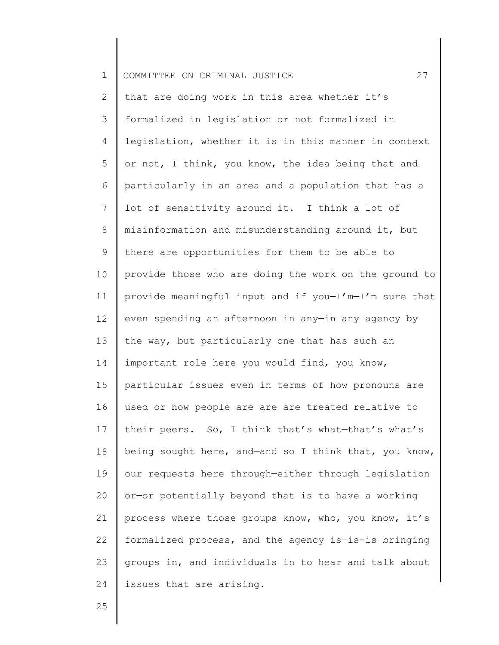| $\mathbf 1$     | 27<br>COMMITTEE ON CRIMINAL JUSTICE                   |
|-----------------|-------------------------------------------------------|
| 2               | that are doing work in this area whether it's         |
| 3               | formalized in legislation or not formalized in        |
| 4               | legislation, whether it is in this manner in context  |
| 5               | or not, I think, you know, the idea being that and    |
| 6               | particularly in an area and a population that has a   |
| $7\phantom{.0}$ | lot of sensitivity around it. I think a lot of        |
| 8               | misinformation and misunderstanding around it, but    |
| 9               | there are opportunities for them to be able to        |
| 10              | provide those who are doing the work on the ground to |
| 11              | provide meaningful input and if you-I'm-I'm sure that |
| 12 <sup>°</sup> | even spending an afternoon in any-in any agency by    |
| 13              | the way, but particularly one that has such an        |
| 14              | important role here you would find, you know,         |
| 15              | particular issues even in terms of how pronouns are   |
| 16              | used or how people are-are-are treated relative to    |
| 17              | their peers. So, I think that's what-that's what's    |
| 18              | being sought here, and-and so I think that, you know, |
| 19              | our requests here through-either through legislation  |
| 20              | or-or potentially beyond that is to have a working    |
| 21              | process where those groups know, who, you know, it's  |
| 22              | formalized process, and the agency is-is-is bringing  |
| 23              | groups in, and individuals in to hear and talk about  |
| 24              | issues that are arising.                              |

25

║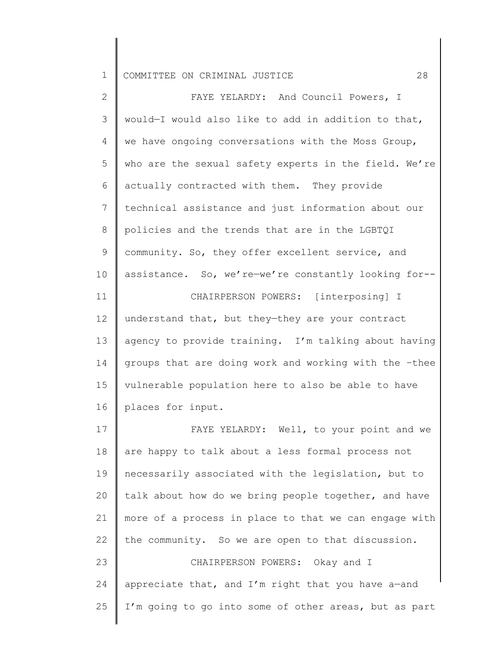| $\mathbf{2}^{\prime}$ | FAYE YELARDY: And Council Powers, I                   |
|-----------------------|-------------------------------------------------------|
| 3                     | would-I would also like to add in addition to that,   |
| 4                     | we have ongoing conversations with the Moss Group,    |
| 5                     | who are the sexual safety experts in the field. We're |
| 6                     | actually contracted with them. They provide           |
| $7\phantom{.0}$       | technical assistance and just information about our   |
| 8                     | policies and the trends that are in the LGBTQI        |
| 9                     | community. So, they offer excellent service, and      |
| 10                    | assistance. So, we're-we're constantly looking for--  |
| 11                    | CHAIRPERSON POWERS: [interposing] I                   |
| 12                    | understand that, but they-they are your contract      |
| 13                    | agency to provide training. I'm talking about having  |
| 14                    | groups that are doing work and working with the -thee |
| 15                    | vulnerable population here to also be able to have    |
| 16                    | places for input.                                     |
| 17                    | FAYE YELARDY: Well, to your point and we              |
| 18                    | are happy to talk about a less formal process not     |
| 19                    | necessarily associated with the legislation, but to   |
| 20                    | talk about how do we bring people together, and have  |
| 21                    | more of a process in place to that we can engage with |
| 22                    | the community. So we are open to that discussion.     |
| 23                    | CHAIRPERSON POWERS: Okay and I                        |
| 24                    | appreciate that, and I'm right that you have a-and    |
| 25                    | I'm going to go into some of other areas, but as part |
|                       |                                                       |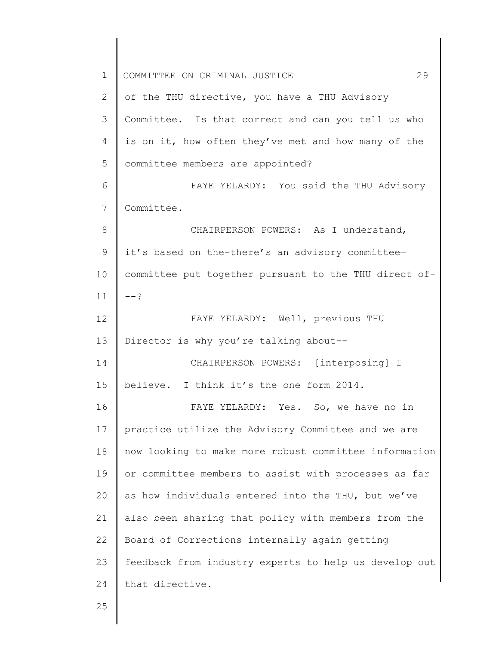| $\mathbf 1$    | 29<br>COMMITTEE ON CRIMINAL JUSTICE                   |
|----------------|-------------------------------------------------------|
| $\overline{2}$ | of the THU directive, you have a THU Advisory         |
| 3              | Committee. Is that correct and can you tell us who    |
| 4              | is on it, how often they've met and how many of the   |
| 5              | committee members are appointed?                      |
| 6              | FAYE YELARDY: You said the THU Advisory               |
| $7\phantom{.}$ | Committee.                                            |
| 8              | CHAIRPERSON POWERS: As I understand,                  |
| 9              | it's based on the-there's an advisory committee-      |
| 10             | committee put together pursuant to the THU direct of- |
| 11             | --?                                                   |
| 12             | FAYE YELARDY: Well, previous THU                      |
| 13             | Director is why you're talking about--                |
| 14             | CHAIRPERSON POWERS: [interposing] I                   |
| 15             | believe. I think it's the one form 2014.              |
| 16             | FAYE YELARDY: Yes. So, we have no in                  |
| 17             | practice utilize the Advisory Committee and we are    |
| 18             | now looking to make more robust committee information |
| 19             | or committee members to assist with processes as far  |
| 20             | as how individuals entered into the THU, but we've    |
| 21             | also been sharing that policy with members from the   |
| 22             | Board of Corrections internally again getting         |
| 23             | feedback from industry experts to help us develop out |
| 24             | that directive.                                       |
| 25             |                                                       |
|                |                                                       |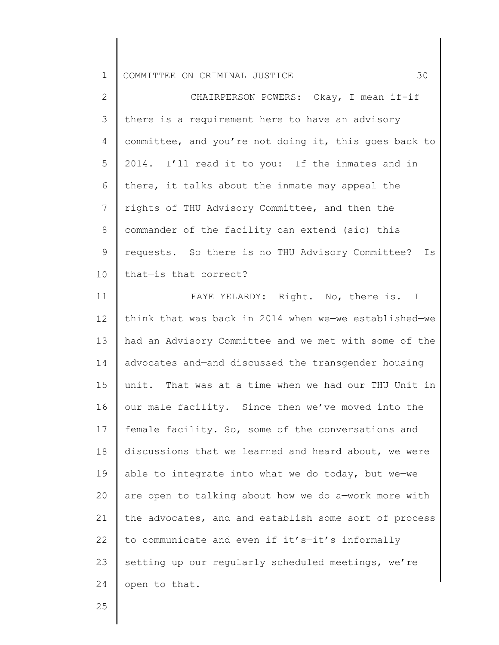| $\overline{2}$  | CHAIRPERSON POWERS: Okay, I mean if-if                |
|-----------------|-------------------------------------------------------|
| $\mathcal{S}$   | there is a requirement here to have an advisory       |
| 4               | committee, and you're not doing it, this goes back to |
| 5               | 2014. I'll read it to you: If the inmates and in      |
| 6               | there, it talks about the inmate may appeal the       |
| $7\phantom{.0}$ | rights of THU Advisory Committee, and then the        |
| 8               | commander of the facility can extend (sic) this       |
| 9               | requests. So there is no THU Advisory Committee? Is   |
| 10              | that-is that correct?                                 |
| 11              | FAYE YELARDY: Right. No, there is. I                  |
| 12              | think that was back in 2014 when we-we established-we |
| 13              | had an Advisory Committee and we met with some of the |
| 14              | advocates and-and discussed the transgender housing   |
| 15              | unit. That was at a time when we had our THU Unit in  |
| 16              | our male facility. Since then we've moved into the    |
| 17              | female facility. So, some of the conversations and    |
| 18              | discussions that we learned and heard about, we were  |
| 19              | able to integrate into what we do today, but we-we    |
| 20              | are open to talking about how we do a-work more with  |
| 21              | the advocates, and-and establish some sort of process |
| 22              | to communicate and even if it's-it's informally       |
| 23              | setting up our regularly scheduled meetings, we're    |
| 24              | open to that.                                         |

25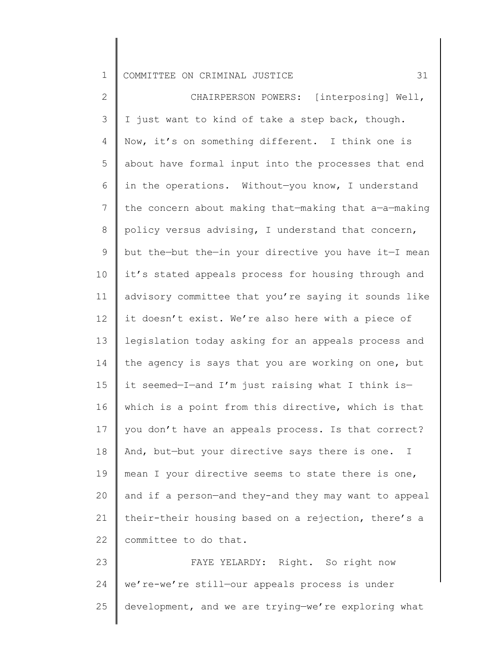2 3 4 5 6 7 8 9 10 11 12 13 14 15 16 17 18 19 20 21 22 CHAIRPERSON POWERS: [interposing] Well, I just want to kind of take a step back, though. Now, it's on something different. I think one is about have formal input into the processes that end in the operations. Without—you know, I understand the concern about making that—making that a—a—making policy versus advising, I understand that concern, but the—but the—in your directive you have it—I mean it's stated appeals process for housing through and advisory committee that you're saying it sounds like it doesn't exist. We're also here with a piece of legislation today asking for an appeals process and the agency is says that you are working on one, but it seemed—I—and I'm just raising what I think is which is a point from this directive, which is that you don't have an appeals process. Is that correct? And, but—but your directive says there is one. I mean I your directive seems to state there is one, and if a person—and they-and they may want to appeal their-their housing based on a rejection, there's a committee to do that.

23 24 25 FAYE YELARDY: Right. So right now we're-we're still—our appeals process is under development, and we are trying—we're exploring what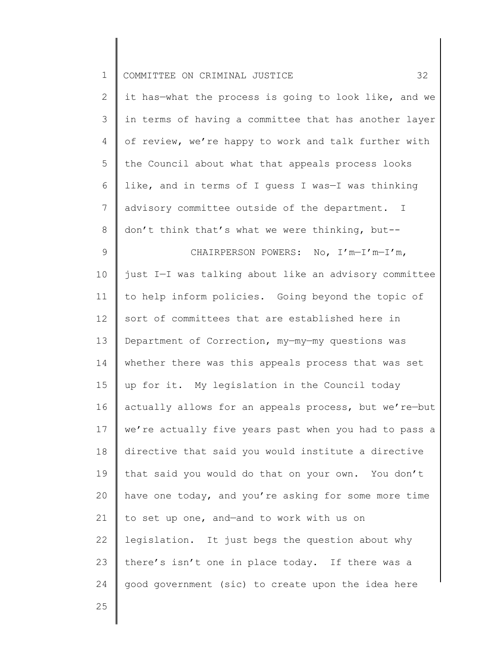| $\mathbf 1$    | 32<br>COMMITTEE ON CRIMINAL JUSTICE                   |
|----------------|-------------------------------------------------------|
| $\overline{2}$ | it has-what the process is going to look like, and we |
| 3              | in terms of having a committee that has another layer |
| 4              | of review, we're happy to work and talk further with  |
| 5              | the Council about what that appeals process looks     |
| 6              | like, and in terms of I guess I was-I was thinking    |
| 7              | advisory committee outside of the department. I       |
| $8\,$          | don't think that's what we were thinking, but--       |
| $\mathsf 9$    | CHAIRPERSON POWERS: No, I'm-I'm-I'm,                  |
| 10             | just I-I was talking about like an advisory committee |
| 11             | to help inform policies. Going beyond the topic of    |
| 12             | sort of committees that are established here in       |
| 13             | Department of Correction, my-my-my questions was      |
| 14             | whether there was this appeals process that was set   |
| 15             | up for it. My legislation in the Council today        |
| 16             | actually allows for an appeals process, but we're-but |
| 17             | we're actually five years past when you had to pass a |
| 18             | directive that said you would institute a directive   |
| 19             | that said you would do that on your own. You don't    |
| 20             | have one today, and you're asking for some more time  |
| 21             | to set up one, and-and to work with us on             |
| 22             | legislation. It just begs the question about why      |
| 23             | there's isn't one in place today. If there was a      |
| 24             | good government (sic) to create upon the idea here    |
| 25             |                                                       |
|                |                                                       |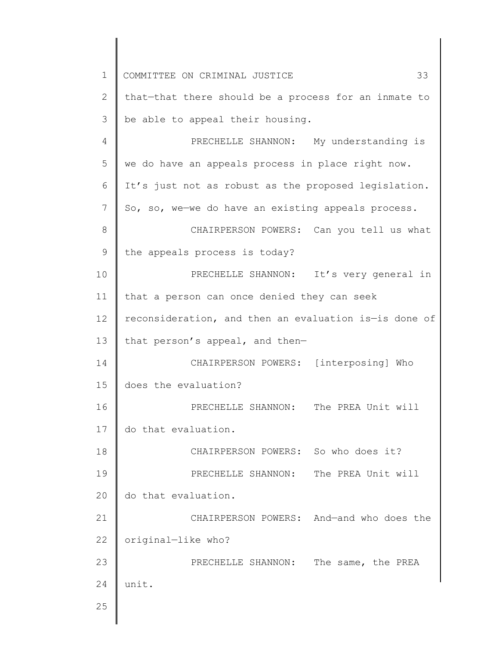| $\mathbf 1$     | 33<br>COMMITTEE ON CRIMINAL JUSTICE                   |  |  |  |  |  |
|-----------------|-------------------------------------------------------|--|--|--|--|--|
| 2               | that-that there should be a process for an inmate to  |  |  |  |  |  |
| 3               | be able to appeal their housing.                      |  |  |  |  |  |
| 4               | PRECHELLE SHANNON: My understanding is                |  |  |  |  |  |
| 5               | we do have an appeals process in place right now.     |  |  |  |  |  |
| 6               | It's just not as robust as the proposed legislation.  |  |  |  |  |  |
| $7\phantom{.0}$ | So, so, we-we do have an existing appeals process.    |  |  |  |  |  |
| 8               | CHAIRPERSON POWERS: Can you tell us what              |  |  |  |  |  |
| 9               | the appeals process is today?                         |  |  |  |  |  |
| 10              | PRECHELLE SHANNON: It's very general in               |  |  |  |  |  |
| 11              | that a person can once denied they can seek           |  |  |  |  |  |
| 12              | reconsideration, and then an evaluation is-is done of |  |  |  |  |  |
| 13              | that person's appeal, and then-                       |  |  |  |  |  |
| 14              | CHAIRPERSON POWERS: [interposing] Who                 |  |  |  |  |  |
| 15              | does the evaluation?                                  |  |  |  |  |  |
| 16              | PRECHELLE SHANNON: The PREA Unit will                 |  |  |  |  |  |
| 17              | do that evaluation.                                   |  |  |  |  |  |
| 18              | CHAIRPERSON POWERS: So who does it?                   |  |  |  |  |  |
| 19              | PRECHELLE SHANNON: The PREA Unit will                 |  |  |  |  |  |
| 20              | do that evaluation.                                   |  |  |  |  |  |
| 21              | CHAIRPERSON POWERS: And-and who does the              |  |  |  |  |  |
| 22              | original-like who?                                    |  |  |  |  |  |
| 23              | PRECHELLE SHANNON: The same, the PREA                 |  |  |  |  |  |
| 24              | unit.                                                 |  |  |  |  |  |
| 25              |                                                       |  |  |  |  |  |
|                 |                                                       |  |  |  |  |  |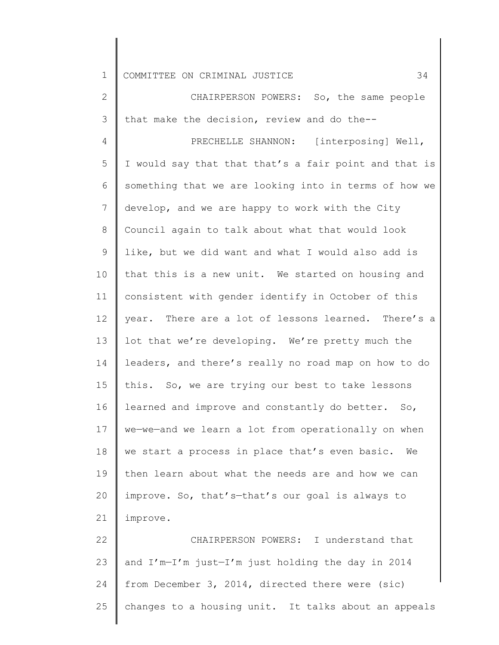2 3 CHAIRPERSON POWERS: So, the same people that make the decision, review and do the--

4 5 6 7 8 9 10 11 12 13 14 15 16 17 18 19 20 21 PRECHELLE SHANNON: [interposing] Well, I would say that that that's a fair point and that is something that we are looking into in terms of how we develop, and we are happy to work with the City Council again to talk about what that would look like, but we did want and what I would also add is that this is a new unit. We started on housing and consistent with gender identify in October of this year. There are a lot of lessons learned. There's a lot that we're developing. We're pretty much the leaders, and there's really no road map on how to do this. So, we are trying our best to take lessons learned and improve and constantly do better. So, we—we—and we learn a lot from operationally on when we start a process in place that's even basic. We then learn about what the needs are and how we can improve. So, that's—that's our goal is always to improve.

22 23 24 25 CHAIRPERSON POWERS: I understand that and I'm—I'm just—I'm just holding the day in 2014 from December 3, 2014, directed there were (sic) changes to a housing unit. It talks about an appeals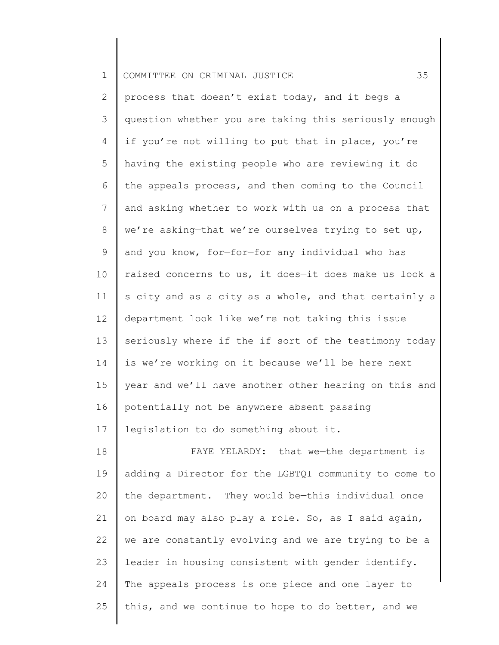| ᅩ | COMMITTEE ON CRIMINAL JUSTICE |  |  |  |  |  |  |
|---|-------------------------------|--|--|--|--|--|--|
|---|-------------------------------|--|--|--|--|--|--|

2 3 4 5 6 7 8 9 10 11 12 13 14 15 16 17 process that doesn't exist today, and it begs a question whether you are taking this seriously enough if you're not willing to put that in place, you're having the existing people who are reviewing it do the appeals process, and then coming to the Council and asking whether to work with us on a process that we're asking—that we're ourselves trying to set up, and you know, for—for—for any individual who has raised concerns to us, it does—it does make us look a s city and as a city as a whole, and that certainly a department look like we're not taking this issue seriously where if the if sort of the testimony today is we're working on it because we'll be here next year and we'll have another other hearing on this and potentially not be anywhere absent passing legislation to do something about it.

18 19 20 21 22 23 24 25 FAYE YELARDY: that we-the department is adding a Director for the LGBTQI community to come to the department. They would be—this individual once on board may also play a role. So, as I said again, we are constantly evolving and we are trying to be a leader in housing consistent with gender identify. The appeals process is one piece and one layer to this, and we continue to hope to do better, and we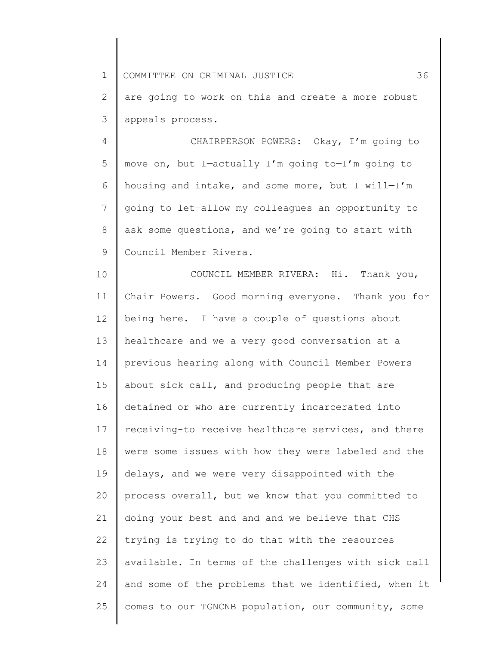1 2 3 COMMITTEE ON CRIMINAL JUSTICE 36 are going to work on this and create a more robust appeals process.

4 5 6 7 8 9 CHAIRPERSON POWERS: Okay, I'm going to move on, but I—actually I'm going to—I'm going to housing and intake, and some more, but I will—I'm going to let—allow my colleagues an opportunity to ask some questions, and we're going to start with Council Member Rivera.

10 11 12 13 14 15 16 17 18 19 20 21 22 23 24 25 COUNCIL MEMBER RIVERA: Hi. Thank you, Chair Powers. Good morning everyone. Thank you for being here. I have a couple of questions about healthcare and we a very good conversation at a previous hearing along with Council Member Powers about sick call, and producing people that are detained or who are currently incarcerated into receiving-to receive healthcare services, and there were some issues with how they were labeled and the delays, and we were very disappointed with the process overall, but we know that you committed to doing your best and—and—and we believe that CHS trying is trying to do that with the resources available. In terms of the challenges with sick call and some of the problems that we identified, when it comes to our TGNCNB population, our community, some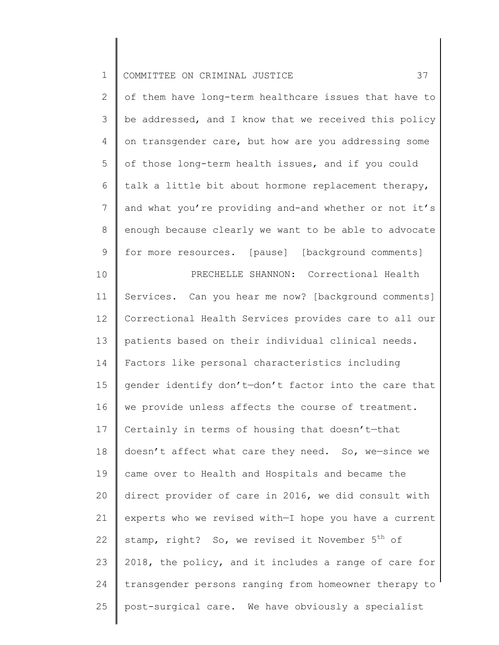| $\mathbf 1$    | 37<br>COMMITTEE ON CRIMINAL JUSTICE                         |
|----------------|-------------------------------------------------------------|
| $\overline{2}$ | of them have long-term healthcare issues that have to       |
| 3              | be addressed, and I know that we received this policy       |
| 4              | on transgender care, but how are you addressing some        |
| 5              | of those long-term health issues, and if you could          |
| 6              | talk a little bit about hormone replacement therapy,        |
| $\overline{7}$ | and what you're providing and-and whether or not it's       |
| $\,8\,$        | enough because clearly we want to be able to advocate       |
| 9              | for more resources. [pause] [background comments]           |
| 10             | PRECHELLE SHANNON: Correctional Health                      |
| 11             | Services. Can you hear me now? [background comments]        |
| 12             | Correctional Health Services provides care to all our       |
| 13             | patients based on their individual clinical needs.          |
| 14             | Factors like personal characteristics including             |
| 15             | gender identify don't-don't factor into the care that       |
| 16             | we provide unless affects the course of treatment.          |
| 17             | Certainly in terms of housing that doesn't-that             |
| 18             | doesn't affect what care they need. So, we-since we         |
| 19             | came over to Health and Hospitals and became the            |
| 20             | direct provider of care in 2016, we did consult with        |
| 21             | experts who we revised with-I hope you have a current       |
| 22             | stamp, right? So, we revised it November 5 <sup>th</sup> of |
| 23             | 2018, the policy, and it includes a range of care for       |

25 post-surgical care. We have obviously a specialist

transgender persons ranging from homeowner therapy to

24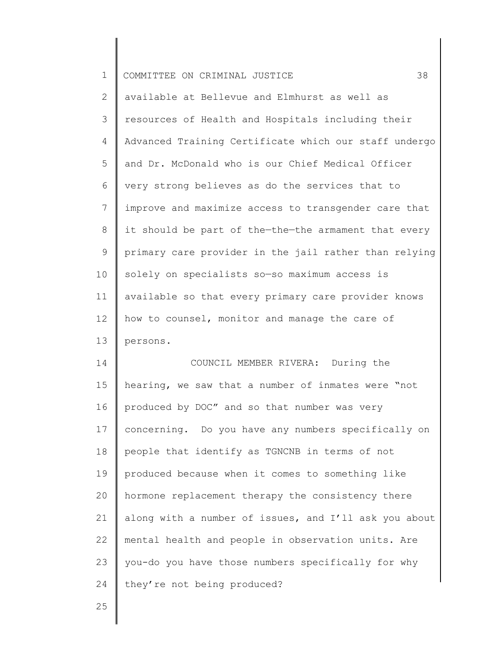| $\mathbf 1$    | 38<br>COMMITTEE ON CRIMINAL JUSTICE                   |
|----------------|-------------------------------------------------------|
| $\mathbf{2}$   | available at Bellevue and Elmhurst as well as         |
| 3              | resources of Health and Hospitals including their     |
| 4              | Advanced Training Certificate which our staff undergo |
| 5              | and Dr. McDonald who is our Chief Medical Officer     |
| 6              | very strong believes as do the services that to       |
| $\overline{7}$ | improve and maximize access to transgender care that  |
| 8              | it should be part of the-the-the armament that every  |
| 9              | primary care provider in the jail rather than relying |
| 10             | solely on specialists so-so maximum access is         |
| 11             | available so that every primary care provider knows   |
| 12             | how to counsel, monitor and manage the care of        |
| 13             | persons.                                              |
| 14             | COUNCIL MEMBER RIVERA: During the                     |
| 15             | hearing, we saw that a number of inmates were "not    |
| 16             | produced by DOC" and so that number was very          |
| 17             | concerning. Do you have any numbers specifically on   |
| 18             | people that identify as TGNCNB in terms of not        |
| 19             | produced because when it comes to something like      |
| 20             | hormone replacement therapy the consistency there     |
| 21             | along with a number of issues, and I'll ask you about |
| 22             | mental health and people in observation units. Are    |
| 23             | you-do you have those numbers specifically for why    |
| 24             | they're not being produced?                           |
|                |                                                       |

25

║

║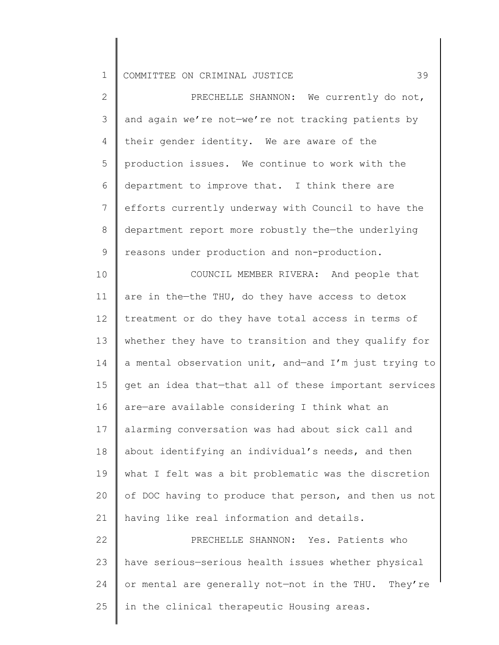2 3 4 5 6 7 8 9 10 11 12 13 14 15 16 17 18 19 20 21 22 PRECHELLE SHANNON: We currently do not, and again we're not—we're not tracking patients by their gender identity. We are aware of the production issues. We continue to work with the department to improve that. I think there are efforts currently underway with Council to have the department report more robustly the—the underlying reasons under production and non-production. COUNCIL MEMBER RIVERA: And people that are in the—the THU, do they have access to detox treatment or do they have total access in terms of whether they have to transition and they qualify for a mental observation unit, and—and I'm just trying to get an idea that—that all of these important services are—are available considering I think what an alarming conversation was had about sick call and about identifying an individual's needs, and then what I felt was a bit problematic was the discretion of DOC having to produce that person, and then us not having like real information and details. PRECHELLE SHANNON: Yes. Patients who

23 24 25 have serious—serious health issues whether physical or mental are generally not—not in the THU. They're in the clinical therapeutic Housing areas.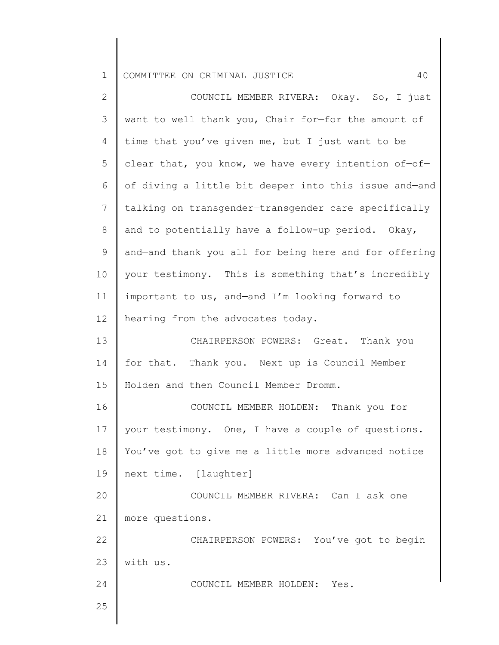| $\mathbf{2}$   | COUNCIL MEMBER RIVERA: Okay. So, I just               |
|----------------|-------------------------------------------------------|
| 3              | want to well thank you, Chair for-for the amount of   |
| 4              | time that you've given me, but I just want to be      |
| 5              | clear that, you know, we have every intention of-of-  |
| 6              | of diving a little bit deeper into this issue and-and |
| $\overline{7}$ | talking on transgender-transgender care specifically  |
| $\,8\,$        | and to potentially have a follow-up period. Okay,     |
| $\mathsf 9$    | and-and thank you all for being here and for offering |
| 10             | your testimony. This is something that's incredibly   |
| 11             | important to us, and-and I'm looking forward to       |
| 12             | hearing from the advocates today.                     |
| 13             | CHAIRPERSON POWERS: Great. Thank you                  |
| 14             | for that. Thank you. Next up is Council Member        |
| 15             | Holden and then Council Member Dromm.                 |
| 16             | COUNCIL MEMBER HOLDEN: Thank you for                  |
| 17             | your testimony. One, I have a couple of questions.    |
| 18             | You've got to give me a little more advanced notice   |
| 19             | next time. [laughter]                                 |
| 20             | COUNCIL MEMBER RIVERA: Can I ask one                  |
| 21             | more questions.                                       |
| 22             | CHAIRPERSON POWERS: You've got to begin               |
| 23             | with us.                                              |
| 24             | COUNCIL MEMBER HOLDEN:<br>Yes.                        |
| 25             |                                                       |
|                |                                                       |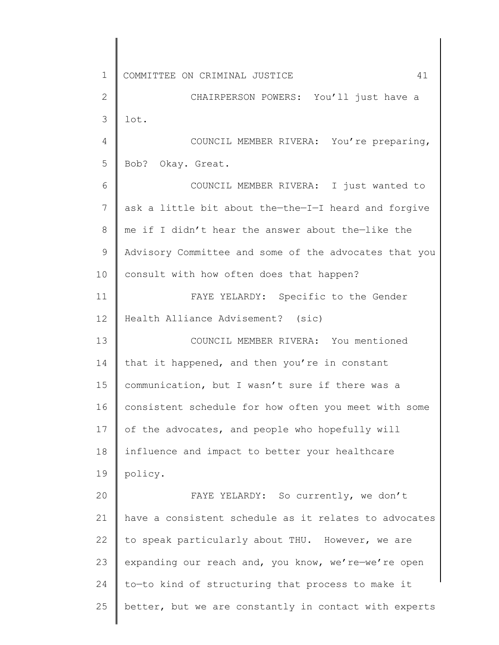1 2 3 4 5 6 7 8 9 10 11 12 13 14 15 16 17 18 19 20 21 22 23 24 25 COMMITTEE ON CRIMINAL JUSTICE 41 CHAIRPERSON POWERS: You'll just have a lot. COUNCIL MEMBER RIVERA: You're preparing, Bob? Okay. Great. COUNCIL MEMBER RIVERA: I just wanted to ask a little bit about the—the—I—I heard and forgive me if I didn't hear the answer about the—like the Advisory Committee and some of the advocates that you consult with how often does that happen? FAYE YELARDY: Specific to the Gender Health Alliance Advisement? (sic) COUNCIL MEMBER RIVERA: You mentioned that it happened, and then you're in constant communication, but I wasn't sure if there was a consistent schedule for how often you meet with some of the advocates, and people who hopefully will influence and impact to better your healthcare policy. FAYE YELARDY: So currently, we don't have a consistent schedule as it relates to advocates to speak particularly about THU. However, we are expanding our reach and, you know, we're—we're open to—to kind of structuring that process to make it better, but we are constantly in contact with experts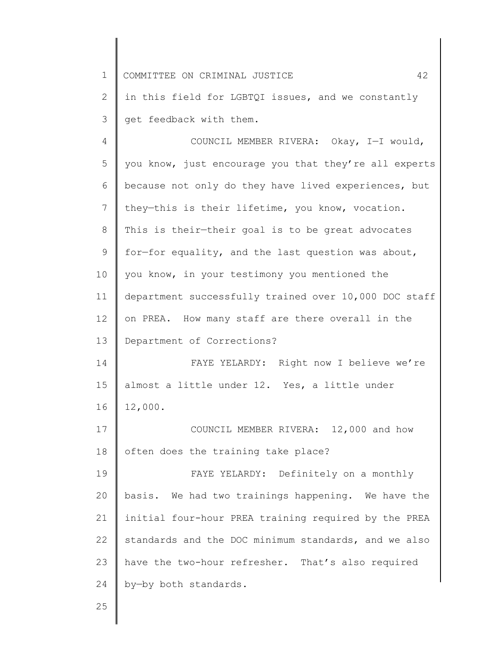| $\mathbf 1$ | 42<br>COMMITTEE ON CRIMINAL JUSTICE                   |
|-------------|-------------------------------------------------------|
| 2           | in this field for LGBTQI issues, and we constantly    |
| 3           | get feedback with them.                               |
| 4           | COUNCIL MEMBER RIVERA: Okay, I-I would,               |
| 5           | you know, just encourage you that they're all experts |
| 6           | because not only do they have lived experiences, but  |
| 7           | they-this is their lifetime, you know, vocation.      |
| 8           | This is their-their goal is to be great advocates     |
| 9           | for-for equality, and the last question was about,    |
| 10          | you know, in your testimony you mentioned the         |
| 11          | department successfully trained over 10,000 DOC staff |
| 12          | on PREA. How many staff are there overall in the      |
| 13          | Department of Corrections?                            |
| 14          | FAYE YELARDY: Right now I believe we're               |
| 15          | almost a little under 12. Yes, a little under         |
| 16          | 12,000.                                               |
| 17          | COUNCIL MEMBER RIVERA: 12,000 and how                 |
| 18          | often does the training take place?                   |
| 19          | FAYE YELARDY: Definitely on a monthly                 |
| 20          | basis. We had two trainings happening. We have the    |
| 21          | initial four-hour PREA training required by the PREA  |
| 22          | standards and the DOC minimum standards, and we also  |
| 23          | have the two-hour refresher. That's also required     |
| 24          | by-by both standards.                                 |
| 25          |                                                       |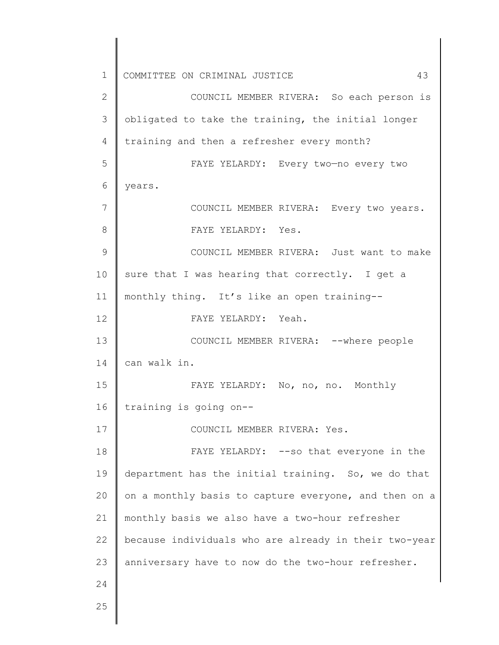1 2 3 4 5 6 7 8 9 10 11 12 13 14 15 16 17 18 19 20 21 22 23 24 25 COMMITTEE ON CRIMINAL JUSTICE 43 COUNCIL MEMBER RIVERA: So each person is obligated to take the training, the initial longer training and then a refresher every month? FAYE YELARDY: Every two—no every two years. COUNCIL MEMBER RIVERA: Every two years. FAYE YELARDY: Yes. COUNCIL MEMBER RIVERA: Just want to make sure that I was hearing that correctly. I get a monthly thing. It's like an open training-- FAYE YELARDY: Yeah. COUNCIL MEMBER RIVERA: --where people can walk in. FAYE YELARDY: No, no, no. Monthly training is going on-- COUNCIL MEMBER RIVERA: Yes. FAYE YELARDY: --so that everyone in the department has the initial training. So, we do that on a monthly basis to capture everyone, and then on a monthly basis we also have a two-hour refresher because individuals who are already in their two-year anniversary have to now do the two-hour refresher.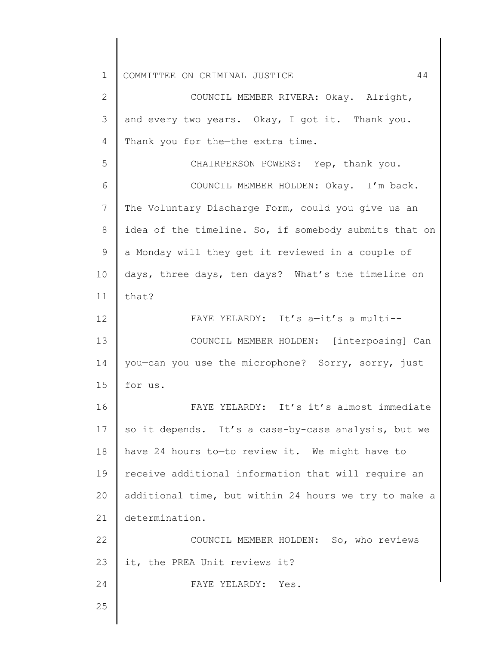| $\mathbf 1$  | 44<br>COMMITTEE ON CRIMINAL JUSTICE                   |
|--------------|-------------------------------------------------------|
| $\mathbf{2}$ | COUNCIL MEMBER RIVERA: Okay. Alright,                 |
| 3            | and every two years. Okay, I got it. Thank you.       |
| 4            | Thank you for the-the extra time.                     |
| 5            | CHAIRPERSON POWERS: Yep, thank you.                   |
| 6            | COUNCIL MEMBER HOLDEN: Okay. I'm back.                |
| 7            | The Voluntary Discharge Form, could you give us an    |
| 8            | idea of the timeline. So, if somebody submits that on |
| 9            | a Monday will they get it reviewed in a couple of     |
| 10           | days, three days, ten days? What's the timeline on    |
| 11           | that?                                                 |
| 12           | FAYE YELARDY: It's a-it's a multi--                   |
| 13           | COUNCIL MEMBER HOLDEN: [interposing] Can              |
| 14           | you-can you use the microphone? Sorry, sorry, just    |
| 15           | for us.                                               |
| 16           | FAYE YELARDY: It's-it's almost immediate              |
| 17           | so it depends. It's a case-by-case analysis, but we   |
| 18           | have 24 hours to-to review it. We might have to       |
| 19           | receive additional information that will require an   |
| 20           | additional time, but within 24 hours we try to make a |
| 21           | determination.                                        |
| 22           | COUNCIL MEMBER HOLDEN: So, who reviews                |
| 23           | it, the PREA Unit reviews it?                         |
| 24           | FAYE YELARDY: Yes.                                    |
| 25           |                                                       |
|              |                                                       |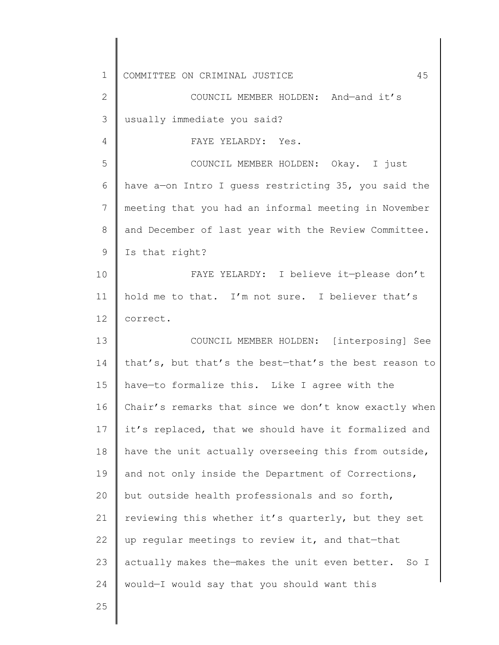1 2 3 4 5 6 7 8 9 10 11 12 13 14 15 16 17 18 19 20 21 22 23 24 COMMITTEE ON CRIMINAL JUSTICE 45 COUNCIL MEMBER HOLDEN: And—and it's usually immediate you said? FAYE YELARDY: Yes. COUNCIL MEMBER HOLDEN: Okay. I just have a—on Intro I guess restricting 35, you said the meeting that you had an informal meeting in November and December of last year with the Review Committee. Is that right? FAYE YELARDY: I believe it—please don't hold me to that. I'm not sure. I believer that's correct. COUNCIL MEMBER HOLDEN: [interposing] See that's, but that's the best—that's the best reason to have—to formalize this. Like I agree with the Chair's remarks that since we don't know exactly when it's replaced, that we should have it formalized and have the unit actually overseeing this from outside, and not only inside the Department of Corrections, but outside health professionals and so forth, reviewing this whether it's quarterly, but they set up regular meetings to review it, and that—that actually makes the—makes the unit even better. So I would—I would say that you should want this

25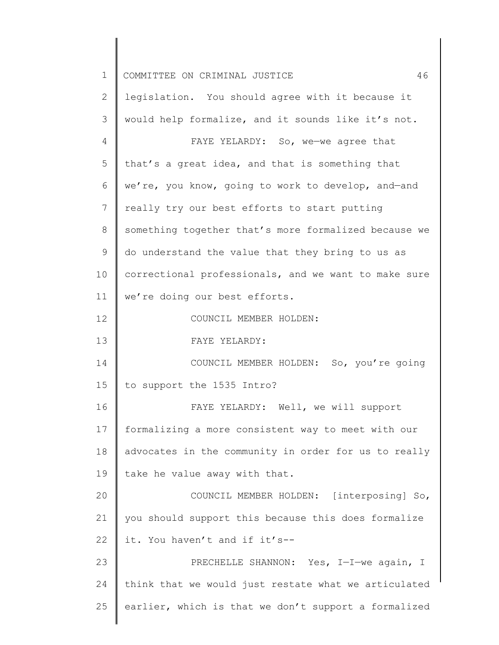| $\mathbf 1$    | 46<br>COMMITTEE ON CRIMINAL JUSTICE                  |
|----------------|------------------------------------------------------|
| $\mathbf{2}$   | legislation. You should agree with it because it     |
| 3              | would help formalize, and it sounds like it's not.   |
| $\overline{4}$ | FAYE YELARDY: So, we-we agree that                   |
| 5              | that's a great idea, and that is something that      |
| 6              | we're, you know, going to work to develop, and-and   |
| 7              | really try our best efforts to start putting         |
| 8              | something together that's more formalized because we |
| 9              | do understand the value that they bring to us as     |
| 10             | correctional professionals, and we want to make sure |
| 11             | we're doing our best efforts.                        |
| 12             | COUNCIL MEMBER HOLDEN:                               |
| 13             | FAYE YELARDY:                                        |
| 14             | COUNCIL MEMBER HOLDEN: So, you're going              |
| 15             | to support the 1535 Intro?                           |
| 16             | FAYE YELARDY: Well, we will support                  |
| 17             | formalizing a more consistent way to meet with our   |
| 18             | advocates in the community in order for us to really |
| 19             | take he value away with that.                        |
| 20             | COUNCIL MEMBER HOLDEN: [interposing] So,             |
| 21             | you should support this because this does formalize  |
| 22             | it. You haven't and if it's--                        |
| 23             | PRECHELLE SHANNON: Yes, I-I-we again, I              |
| 24             | think that we would just restate what we articulated |
| 25             | earlier, which is that we don't support a formalized |
|                |                                                      |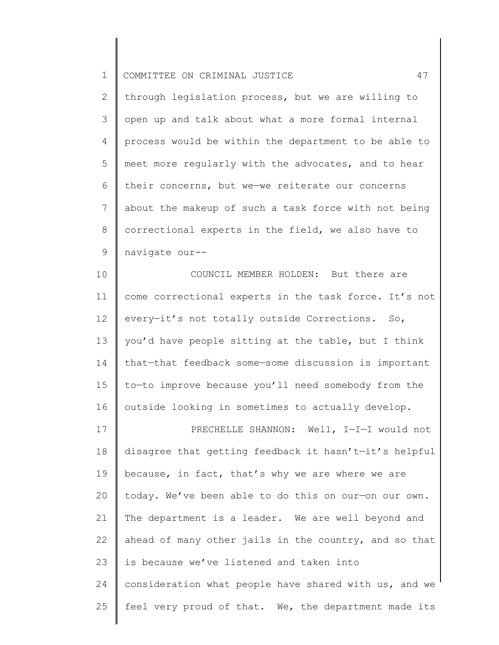|  | 1    COMMITTEE ON CRIMINAL JUSTICE |  |  |  |  |  |  |
|--|------------------------------------|--|--|--|--|--|--|
|--|------------------------------------|--|--|--|--|--|--|

2 3 4 5 6 7 8 9 through legislation process, but we are willing to open up and talk about what a more formal internal process would be within the department to be able to meet more regularly with the advocates, and to hear their concerns, but we—we reiterate our concerns about the makeup of such a task force with not being correctional experts in the field, we also have to navigate our--

10 11 12 13 14 15 16 COUNCIL MEMBER HOLDEN: But there are come correctional experts in the task force. It's not every—it's not totally outside Corrections. So, you'd have people sitting at the table, but I think that—that feedback some—some discussion is important to—to improve because you'll need somebody from the outside looking in sometimes to actually develop.

17 18 19 20 21 22 23 24 25 PRECHELLE SHANNON: Well, I—I—I would not disagree that getting feedback it hasn't—it's helpful because, in fact, that's why we are where we are today. We've been able to do this on our—on our own. The department is a leader. We are well beyond and ahead of many other jails in the country, and so that is because we've listened and taken into consideration what people have shared with us, and we feel very proud of that. We, the department made its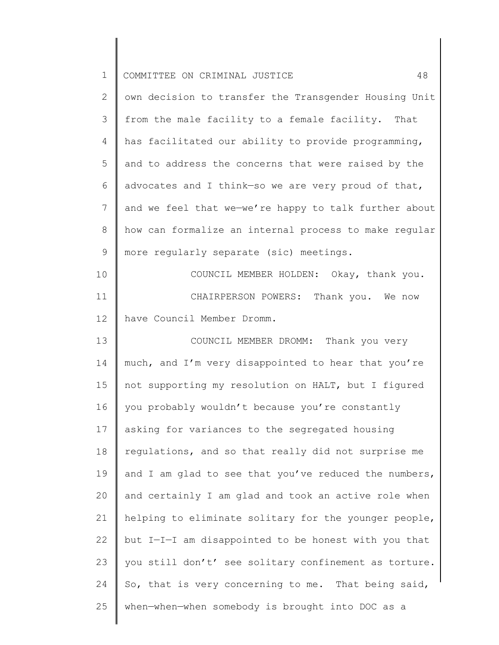| $\mathbf 1$    | 48<br>COMMITTEE ON CRIMINAL JUSTICE                   |
|----------------|-------------------------------------------------------|
| 2              | own decision to transfer the Transgender Housing Unit |
| 3              | from the male facility to a female facility. That     |
| 4              | has facilitated our ability to provide programming,   |
| 5              | and to address the concerns that were raised by the   |
| 6              | advocates and I think-so we are very proud of that,   |
| $7\phantom{.}$ | and we feel that we-we're happy to talk further about |
| 8              | how can formalize an internal process to make reqular |
| 9              | more regularly separate (sic) meetings.               |
| 10             | COUNCIL MEMBER HOLDEN: Okay, thank you.               |
| 11             | CHAIRPERSON POWERS: Thank you. We now                 |
| 12             | have Council Member Dromm.                            |
| 13             | COUNCIL MEMBER DROMM: Thank you very                  |
| 14             | much, and I'm very disappointed to hear that you're   |
| 15             | not supporting my resolution on HALT, but I figured   |
| 16             | you probably wouldn't because you're constantly       |
| 17             | asking for variances to the segregated housing        |
| 18             | regulations, and so that really did not surprise me   |
| 19             | and I am glad to see that you've reduced the numbers, |
| 20             | and certainly I am glad and took an active role when  |
| 21             | helping to eliminate solitary for the younger people, |
| 22             | but I-I-I am disappointed to be honest with you that  |
| 23             | you still don't' see solitary confinement as torture. |
| 24             | So, that is very concerning to me. That being said,   |
| 25             | when-when-when somebody is brought into DOC as a      |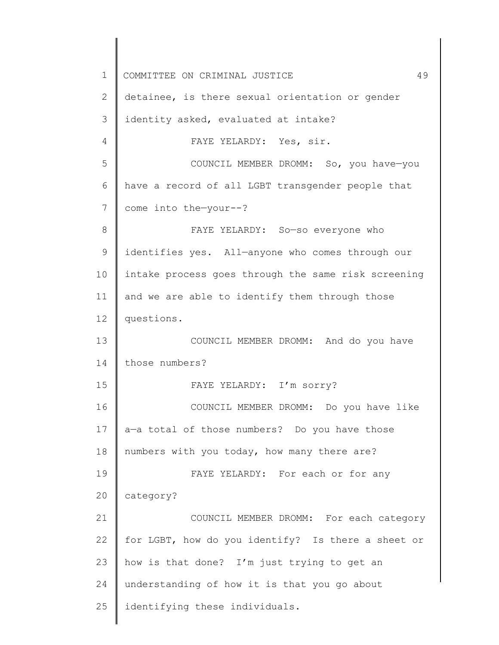1 2 3 4 5 6 7 8 9 10 11 12 13 14 15 16 17 18 19 20 21 22 23 24 25 COMMITTEE ON CRIMINAL JUSTICE 49 detainee, is there sexual orientation or gender identity asked, evaluated at intake? FAYE YELARDY: Yes, sir. COUNCIL MEMBER DROMM: So, you have—you have a record of all LGBT transgender people that come into the—your--? FAYE YELARDY: So—so everyone who identifies yes. All—anyone who comes through our intake process goes through the same risk screening and we are able to identify them through those questions. COUNCIL MEMBER DROMM: And do you have those numbers? FAYE YELARDY: I'm sorry? COUNCIL MEMBER DROMM: Do you have like a—a total of those numbers? Do you have those numbers with you today, how many there are? FAYE YELARDY: For each or for any category? COUNCIL MEMBER DROMM: For each category for LGBT, how do you identify? Is there a sheet or how is that done? I'm just trying to get an understanding of how it is that you go about identifying these individuals.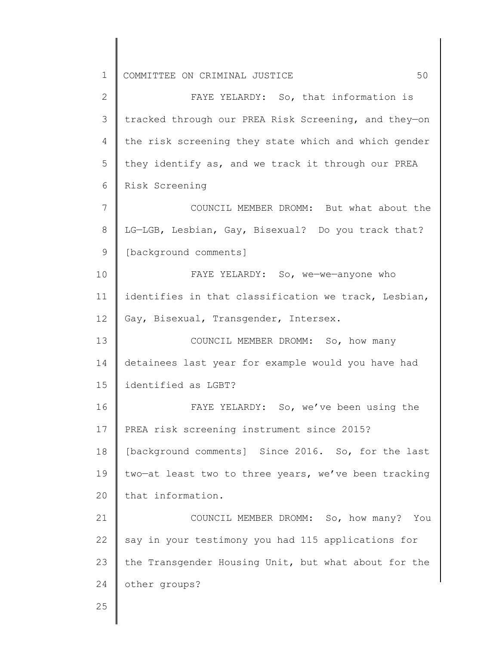2 3 4 5 6 7 8 9 10 11 12 13 14 15 16 17 18 19 20 21 22 23 24 25 FAYE YELARDY: So, that information is tracked through our PREA Risk Screening, and they—on the risk screening they state which and which gender they identify as, and we track it through our PREA Risk Screening COUNCIL MEMBER DROMM: But what about the LG—LGB, Lesbian, Gay, Bisexual? Do you track that? [background comments] FAYE YELARDY: So, we—we—anyone who identifies in that classification we track, Lesbian, Gay, Bisexual, Transgender, Intersex. COUNCIL MEMBER DROMM: So, how many detainees last year for example would you have had identified as LGBT? FAYE YELARDY: So, we've been using the PREA risk screening instrument since 2015? [background comments] Since 2016. So, for the last two—at least two to three years, we've been tracking that information. COUNCIL MEMBER DROMM: So, how many? You say in your testimony you had 115 applications for the Transgender Housing Unit, but what about for the other groups?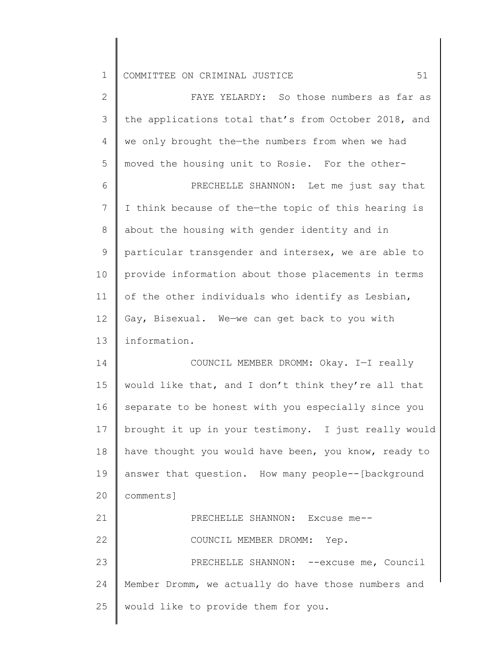| $\mathbf{2}$   | FAYE YELARDY: So those numbers as far as             |
|----------------|------------------------------------------------------|
| 3              | the applications total that's from October 2018, and |
| 4              | we only brought the-the numbers from when we had     |
| 5              | moved the housing unit to Rosie. For the other-      |
| 6              | PRECHELLE SHANNON: Let me just say that              |
| $7\phantom{.}$ | I think because of the-the topic of this hearing is  |
| 8              | about the housing with gender identity and in        |
| 9              | particular transgender and intersex, we are able to  |
| 10             | provide information about those placements in terms  |
| 11             | of the other individuals who identify as Lesbian,    |
| 12             | Gay, Bisexual. We-we can get back to you with        |
| 13             | information.                                         |
| 14             | COUNCIL MEMBER DROMM: Okay. I-I really               |
| 15             | would like that, and I don't think they're all that  |
| 16             | separate to be honest with you especially since you  |
| 17             | brought it up in your testimony. I just really would |
| 18             | have thought you would have been, you know, ready to |
| 19             | answer that question. How many people--[background   |
| 20             | comments]                                            |
| 21             | PRECHELLE SHANNON: Excuse me--                       |
| 22             | COUNCIL MEMBER DROMM: Yep.                           |
| 23             | PRECHELLE SHANNON: -- excuse me, Council             |
| 24             | Member Dromm, we actually do have those numbers and  |
| 25             | would like to provide them for you.                  |
|                |                                                      |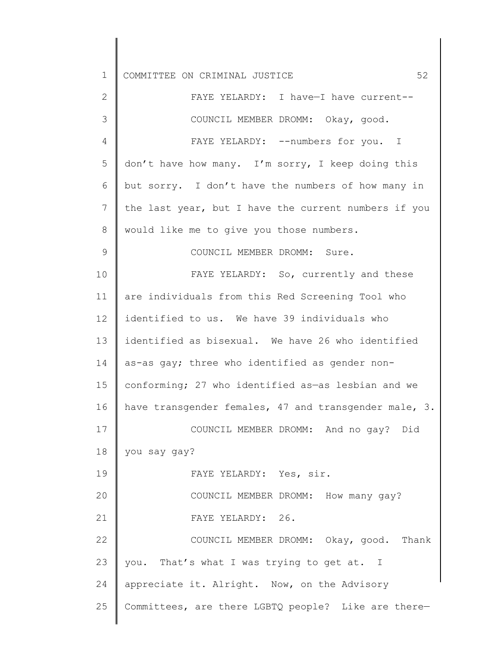| $\mathbf 1$  | 52<br>COMMITTEE ON CRIMINAL JUSTICE                   |
|--------------|-------------------------------------------------------|
| $\mathbf{2}$ | FAYE YELARDY: I have-I have current--                 |
| 3            | COUNCIL MEMBER DROMM: Okay, good.                     |
| 4            | FAYE YELARDY: --numbers for you. I                    |
| 5            | don't have how many. I'm sorry, I keep doing this     |
| 6            | but sorry. I don't have the numbers of how many in    |
| 7            | the last year, but I have the current numbers if you  |
| $8\,$        | would like me to give you those numbers.              |
| 9            | COUNCIL MEMBER DROMM: Sure.                           |
| 10           | FAYE YELARDY: So, currently and these                 |
| 11           | are individuals from this Red Screening Tool who      |
| 12           | identified to us. We have 39 individuals who          |
| 13           | identified as bisexual. We have 26 who identified     |
| 14           | as-as gay; three who identified as gender non-        |
| 15           | conforming; 27 who identified as-as lesbian and we    |
| 16           | have transgender females, 47 and transgender male, 3. |
| 17           | COUNCIL MEMBER DROMM: And no gay? Did                 |
| 18           | you say gay?                                          |
| 19           | FAYE YELARDY: Yes, sir.                               |
| 20           | COUNCIL MEMBER DROMM: How many gay?                   |
| 21           | FAYE YELARDY: 26.                                     |
| 22           | COUNCIL MEMBER DROMM: Okay, good. Thank               |
| 23           | you. That's what I was trying to get at. I            |
| 24           | appreciate it. Alright. Now, on the Advisory          |
| 25           | Committees, are there LGBTQ people? Like are there-   |
|              |                                                       |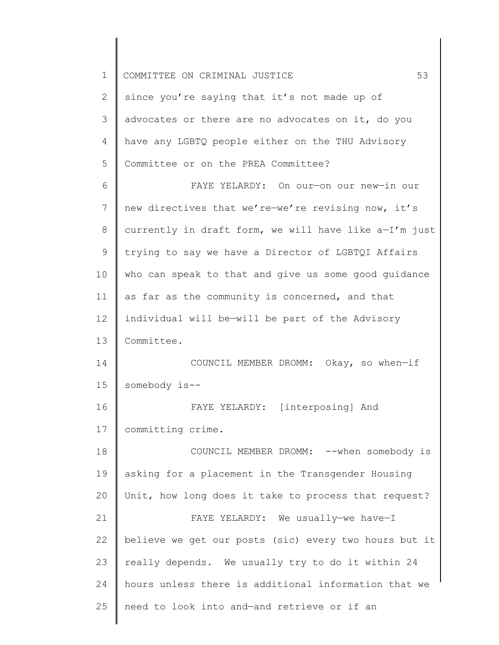| 1  | 53<br>COMMITTEE ON CRIMINAL JUSTICE                   |
|----|-------------------------------------------------------|
| 2  | since you're saying that it's not made up of          |
| 3  | advocates or there are no advocates on it, do you     |
| 4  | have any LGBTQ people either on the THU Advisory      |
| 5  | Committee or on the PREA Committee?                   |
| 6  | FAYE YELARDY: On our-on our new-in our                |
| 7  | new directives that we're-we're revising now, it's    |
| 8  | currently in draft form, we will have like a-I'm just |
| 9  | trying to say we have a Director of LGBTQI Affairs    |
| 10 | who can speak to that and give us some good guidance  |
| 11 | as far as the community is concerned, and that        |
| 12 | individual will be-will be part of the Advisory       |
| 13 | Committee.                                            |
| 14 | COUNCIL MEMBER DROMM: Okay, so when-if                |
| 15 | somebody is--                                         |
| 16 | FAYE YELARDY: [interposing] And                       |
| 17 | committing crime.                                     |
| 18 | COUNCIL MEMBER DROMM: -- when somebody is             |
| 19 | asking for a placement in the Transgender Housing     |
| 20 | Unit, how long does it take to process that request?  |
| 21 | FAYE YELARDY: We usually-we have-I                    |
| 22 | believe we get our posts (sic) every two hours but it |
| 23 | really depends. We usually try to do it within 24     |
| 24 | hours unless there is additional information that we  |
| 25 | need to look into and-and retrieve or if an           |
|    |                                                       |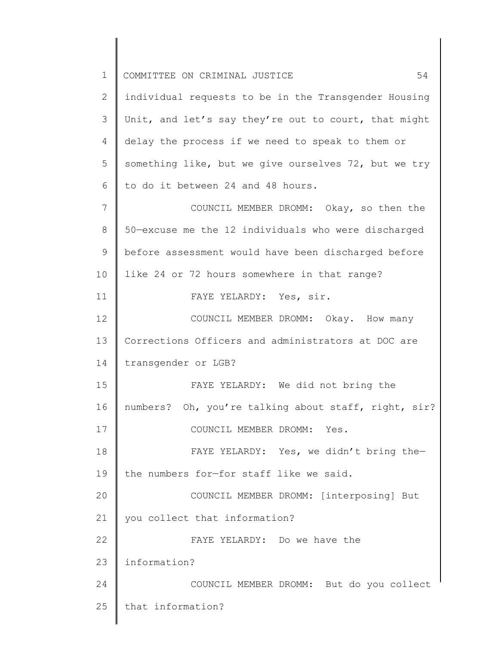| $\mathbf 1$ | 54<br>COMMITTEE ON CRIMINAL JUSTICE                  |
|-------------|------------------------------------------------------|
| 2           | individual requests to be in the Transgender Housing |
| 3           | Unit, and let's say they're out to court, that might |
| 4           | delay the process if we need to speak to them or     |
| 5           | something like, but we give ourselves 72, but we try |
| 6           | to do it between 24 and 48 hours.                    |
| 7           | COUNCIL MEMBER DROMM: Okay, so then the              |
| 8           | 50-excuse me the 12 individuals who were discharged  |
| 9           | before assessment would have been discharged before  |
| 10          | like 24 or 72 hours somewhere in that range?         |
| 11          | FAYE YELARDY: Yes, sir.                              |
| 12          | COUNCIL MEMBER DROMM: Okay. How many                 |
| 13          | Corrections Officers and administrators at DOC are   |
| 14          | transgender or LGB?                                  |
| 15          | FAYE YELARDY: We did not bring the                   |
| 16          | numbers? Oh, you're talking about staff, right, sir? |
| 17          | COUNCIL MEMBER DROMM: Yes.                           |
| 18          | FAYE YELARDY: Yes, we didn't bring the-              |
| 19          | the numbers for-for staff like we said.              |
| 20          | COUNCIL MEMBER DROMM: [interposing] But              |
| 21          | you collect that information?                        |
| 22          | FAYE YELARDY: Do we have the                         |
| 23          | information?                                         |
| 24          | COUNCIL MEMBER DROMM: But do you collect             |
| 25          | that information?                                    |
|             |                                                      |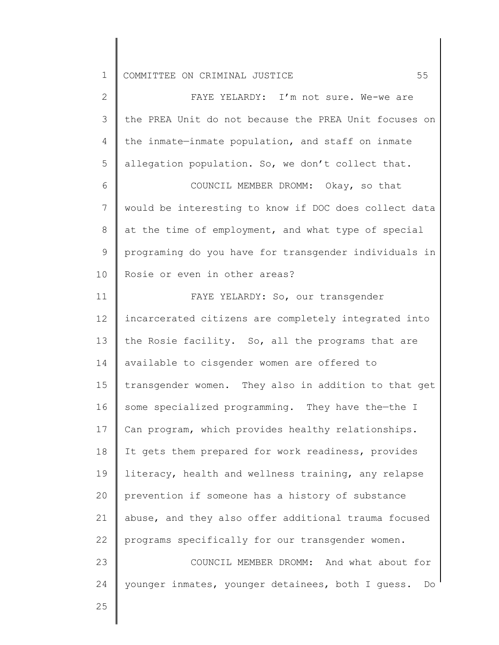| $\overline{2}$ | FAYE YELARDY: I'm not sure. We-we are                   |
|----------------|---------------------------------------------------------|
| 3              | the PREA Unit do not because the PREA Unit focuses on   |
| 4              | the inmate-inmate population, and staff on inmate       |
| 5              | allegation population. So, we don't collect that.       |
| 6              | COUNCIL MEMBER DROMM: Okay, so that                     |
| $7\phantom{.}$ | would be interesting to know if DOC does collect data   |
| $8\,$          | at the time of employment, and what type of special     |
| $\mathsf 9$    | programing do you have for transgender individuals in   |
| 10             | Rosie or even in other areas?                           |
| 11             | FAYE YELARDY: So, our transgender                       |
| 12             | incarcerated citizens are completely integrated into    |
| 13             | the Rosie facility. So, all the programs that are       |
| 14             | available to cisgender women are offered to             |
| 15             | transgender women. They also in addition to that get    |
| 16             | some specialized programming. They have the-the I       |
| 17             | Can program, which provides healthy relationships.      |
| 18             | It gets them prepared for work readiness, provides      |
| 19             | literacy, health and wellness training, any relapse     |
| 20             | prevention if someone has a history of substance        |
| 21             | abuse, and they also offer additional trauma focused    |
| 22             | programs specifically for our transgender women.        |
| 23             | COUNCIL MEMBER DROMM: And what about for                |
| 24             | younger inmates, younger detainees, both I guess.<br>Do |
| 25             |                                                         |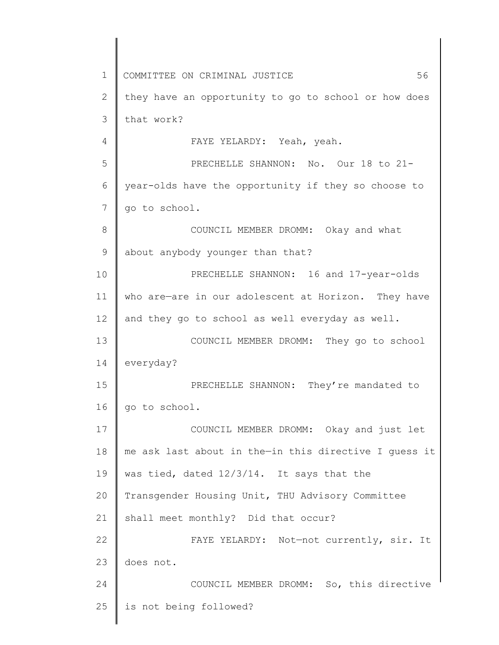1 2 3 4 5 6 7 8 9 10 11 12 13 14 15 16 17 18 19 20 21 22 23 24 25 COMMITTEE ON CRIMINAL JUSTICE 56 they have an opportunity to go to school or how does that work? FAYE YELARDY: Yeah, yeah. PRECHELLE SHANNON: No. Our 18 to 21year-olds have the opportunity if they so choose to go to school. COUNCIL MEMBER DROMM: Okay and what about anybody younger than that? PRECHELLE SHANNON: 16 and 17-year-olds who are-are in our adolescent at Horizon. They have and they go to school as well everyday as well. COUNCIL MEMBER DROMM: They go to school everyday? PRECHELLE SHANNON: They're mandated to go to school. COUNCIL MEMBER DROMM: Okay and just let me ask last about in the—in this directive I guess it was tied, dated 12/3/14. It says that the Transgender Housing Unit, THU Advisory Committee shall meet monthly? Did that occur? FAYE YELARDY: Not—not currently, sir. It does not. COUNCIL MEMBER DROMM: So, this directive is not being followed?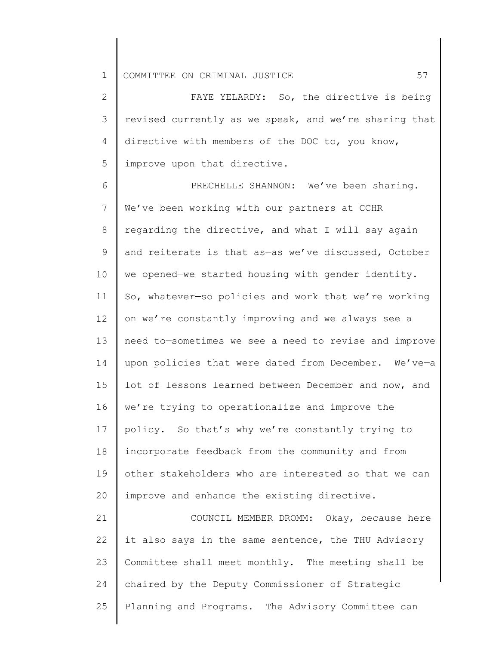2 3 4 5 FAYE YELARDY: So, the directive is being revised currently as we speak, and we're sharing that directive with members of the DOC to, you know, improve upon that directive.

6 7 8 9 10 11 12 13 14 15 16 17 18 19 20 PRECHELLE SHANNON: We've been sharing. We've been working with our partners at CCHR regarding the directive, and what I will say again and reiterate is that as—as we've discussed, October we opened—we started housing with gender identity. So, whatever—so policies and work that we're working on we're constantly improving and we always see a need to—sometimes we see a need to revise and improve upon policies that were dated from December. We've—a lot of lessons learned between December and now, and we're trying to operationalize and improve the policy. So that's why we're constantly trying to incorporate feedback from the community and from other stakeholders who are interested so that we can improve and enhance the existing directive.

21 22 23 24 25 COUNCIL MEMBER DROMM: Okay, because here it also says in the same sentence, the THU Advisory Committee shall meet monthly. The meeting shall be chaired by the Deputy Commissioner of Strategic Planning and Programs. The Advisory Committee can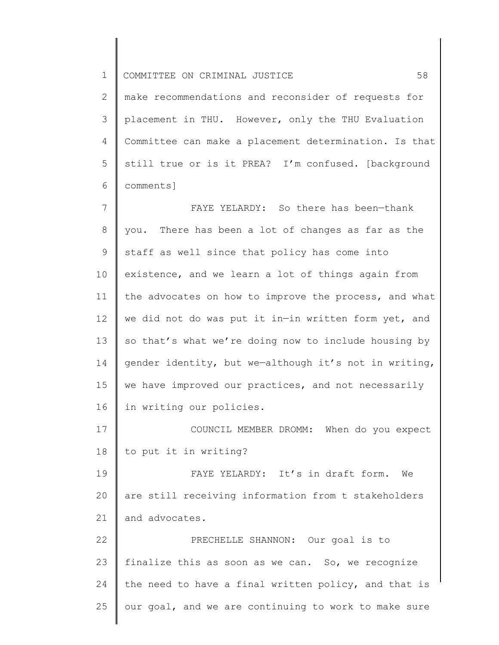2 3 4 5 6 make recommendations and reconsider of requests for placement in THU. However, only the THU Evaluation Committee can make a placement determination. Is that still true or is it PREA? I'm confused. [background comments]

7 8 9 10 11 12 13 14 15 16 FAYE YELARDY: So there has been—thank you. There has been a lot of changes as far as the staff as well since that policy has come into existence, and we learn a lot of things again from the advocates on how to improve the process, and what we did not do was put it in—in written form yet, and so that's what we're doing now to include housing by gender identity, but we—although it's not in writing, we have improved our practices, and not necessarily in writing our policies.

17 18 COUNCIL MEMBER DROMM: When do you expect to put it in writing?

19 20 21 FAYE YELARDY: It's in draft form. We are still receiving information from t stakeholders and advocates.

22 23 24 25 PRECHELLE SHANNON: Our goal is to finalize this as soon as we can. So, we recognize the need to have a final written policy, and that is our goal, and we are continuing to work to make sure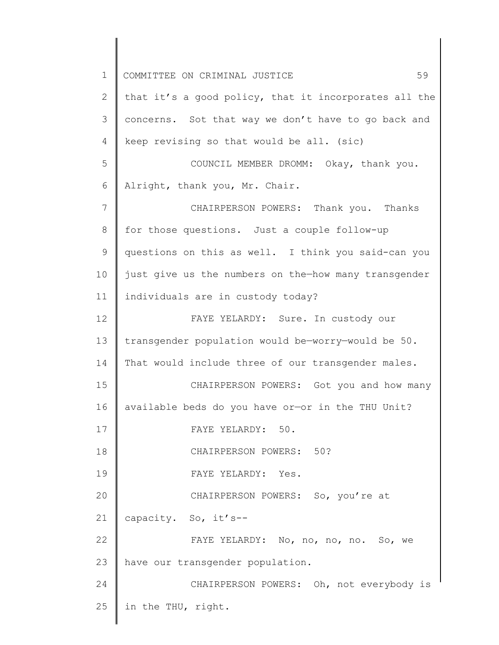1 2 3 4 5 6 7 8 9 10 11 12 13 14 15 16 17 18 19 20 21 22 23 24 25 COMMITTEE ON CRIMINAL JUSTICE 59 that it's a good policy, that it incorporates all the concerns. Sot that way we don't have to go back and keep revising so that would be all. (sic) COUNCIL MEMBER DROMM: Okay, thank you. Alright, thank you, Mr. Chair. CHAIRPERSON POWERS: Thank you. Thanks for those questions. Just a couple follow-up questions on this as well. I think you said-can you just give us the numbers on the—how many transgender individuals are in custody today? FAYE YELARDY: Sure. In custody our transgender population would be—worry—would be 50. That would include three of our transgender males. CHAIRPERSON POWERS: Got you and how many available beds do you have or—or in the THU Unit? FAYE YELARDY: 50. CHAIRPERSON POWERS: 50? FAYE YELARDY: Yes. CHAIRPERSON POWERS: So, you're at capacity. So, it's-- FAYE YELARDY: No, no, no, no. So, we have our transgender population. CHAIRPERSON POWERS: Oh, not everybody is in the THU, right.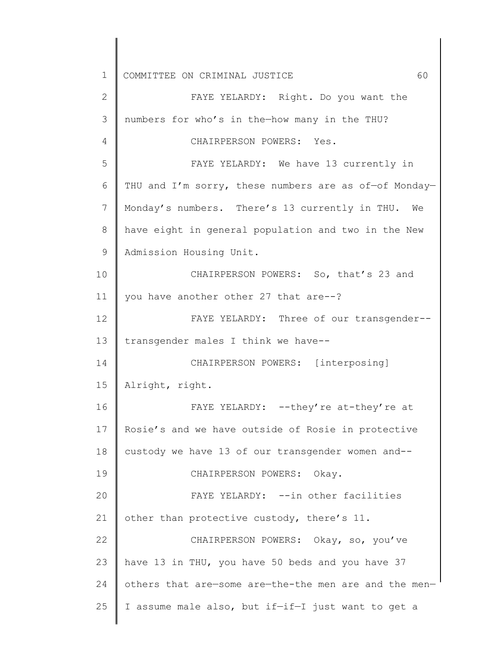1 2 3 4 5 6 7 8 9 10 11 12 13 14 15 16 17 18 19 20 21 22 23 24 25 COMMITTEE ON CRIMINAL JUSTICE 60 FAYE YELARDY: Right. Do you want the numbers for who's in the—how many in the THU? CHAIRPERSON POWERS: Yes. FAYE YELARDY: We have 13 currently in THU and I'm sorry, these numbers are as of-of Monday-Monday's numbers. There's 13 currently in THU. We have eight in general population and two in the New Admission Housing Unit. CHAIRPERSON POWERS: So, that's 23 and you have another other 27 that are--? FAYE YELARDY: Three of our transgender- transgender males I think we have-- CHAIRPERSON POWERS: [interposing] Alright, right. FAYE YELARDY: --they're at-they're at Rosie's and we have outside of Rosie in protective custody we have 13 of our transgender women and-- CHAIRPERSON POWERS: Okay. FAYE YELARDY: --in other facilities other than protective custody, there's 11. CHAIRPERSON POWERS: Okay, so, you've have 13 in THU, you have 50 beds and you have 37 others that are—some are—the-the men are and the men— I assume male also, but if—if—I just want to get a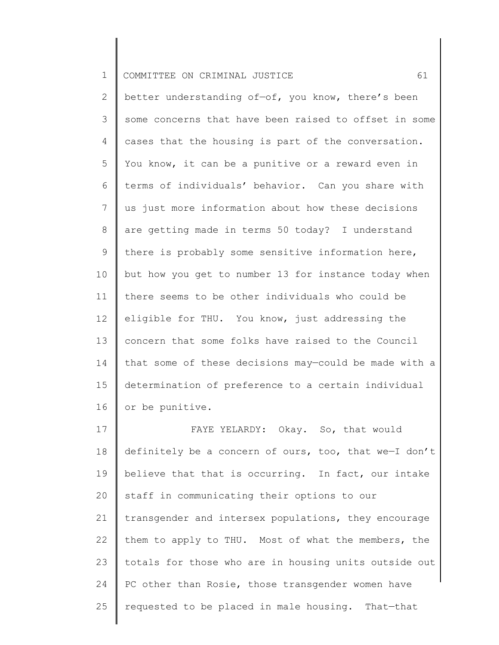2 3 4 5 6 7 8 9 10 11 12 13 14 15 16 better understanding of—of, you know, there's been some concerns that have been raised to offset in some cases that the housing is part of the conversation. You know, it can be a punitive or a reward even in terms of individuals' behavior. Can you share with us just more information about how these decisions are getting made in terms 50 today? I understand there is probably some sensitive information here, but how you get to number 13 for instance today when there seems to be other individuals who could be eligible for THU. You know, just addressing the concern that some folks have raised to the Council that some of these decisions may—could be made with a determination of preference to a certain individual or be punitive.

17 18 19 20 21 22 23 24 25 FAYE YELARDY: Okay. So, that would definitely be a concern of ours, too, that we—I don't believe that that is occurring. In fact, our intake staff in communicating their options to our transgender and intersex populations, they encourage them to apply to THU. Most of what the members, the totals for those who are in housing units outside out PC other than Rosie, those transgender women have requested to be placed in male housing. That—that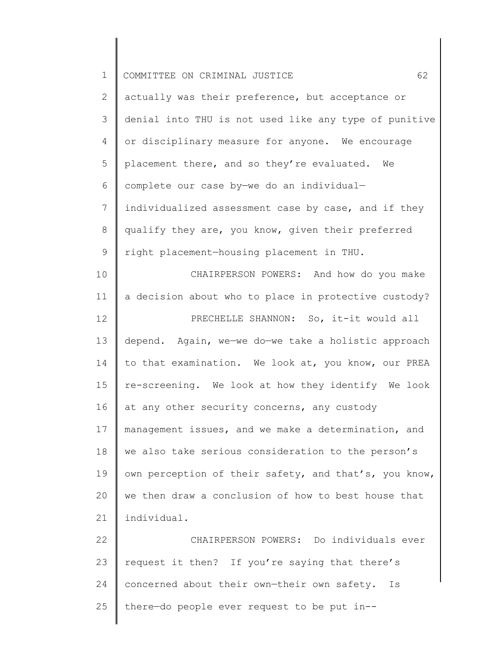| $\mathbf 1$ | 62<br>COMMITTEE ON CRIMINAL JUSTICE                   |
|-------------|-------------------------------------------------------|
| 2           | actually was their preference, but acceptance or      |
| 3           | denial into THU is not used like any type of punitive |
| 4           | or disciplinary measure for anyone. We encourage      |
| 5           | placement there, and so they're evaluated. We         |
| 6           | complete our case by-we do an individual-             |
| 7           | individualized assessment case by case, and if they   |
| $8\,$       | qualify they are, you know, given their preferred     |
| 9           | right placement-housing placement in THU.             |
| 10          | CHAIRPERSON POWERS: And how do you make               |
| 11          | a decision about who to place in protective custody?  |
| 12          | PRECHELLE SHANNON: So, it-it would all                |
| 13          | depend. Again, we-we do-we take a holistic approach   |
| 14          | to that examination. We look at, you know, our PREA   |
| 15          | re-screening. We look at how they identify We look    |
| 16          | at any other security concerns, any custody           |
| 17          | management issues, and we make a determination, and   |
| 18          | we also take serious consideration to the person's    |
| 19          | own perception of their safety, and that's, you know, |
| 20          | we then draw a conclusion of how to best house that   |
| 21          | individual.                                           |
| 22          | CHAIRPERSON POWERS: Do individuals ever               |
| 23          | request it then? If you're saying that there's        |
| 24          | concerned about their own-their own safety.<br>Is     |
| 25          | there-do people ever request to be put in--           |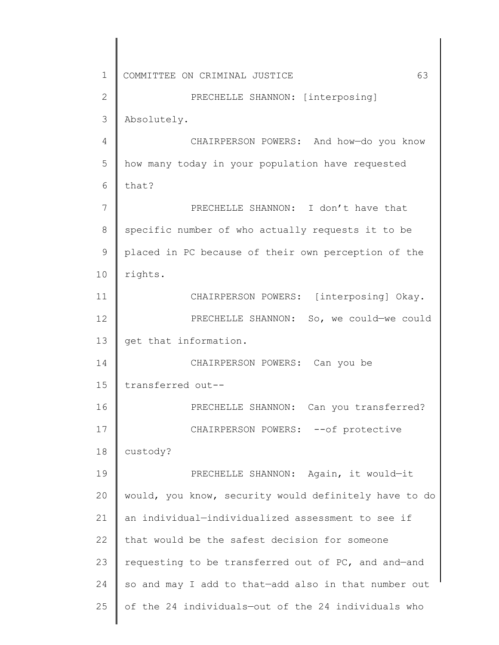1 2 3 4 5 6 7 8 9 10 11 12 13 14 15 16 17 18 19 20 21 22 23 24 25 COMMITTEE ON CRIMINAL JUSTICE 63 PRECHELLE SHANNON: [interposing] Absolutely. CHAIRPERSON POWERS: And how—do you know how many today in your population have requested that? PRECHELLE SHANNON: I don't have that specific number of who actually requests it to be placed in PC because of their own perception of the rights. CHAIRPERSON POWERS: [interposing] Okay. PRECHELLE SHANNON: So, we could—we could get that information. CHAIRPERSON POWERS: Can you be transferred out-- PRECHELLE SHANNON: Can you transferred? CHAIRPERSON POWERS: -- of protective custody? PRECHELLE SHANNON: Again, it would—it would, you know, security would definitely have to do an individual—individualized assessment to see if that would be the safest decision for someone requesting to be transferred out of PC, and and—and so and may I add to that—add also in that number out of the 24 individuals—out of the 24 individuals who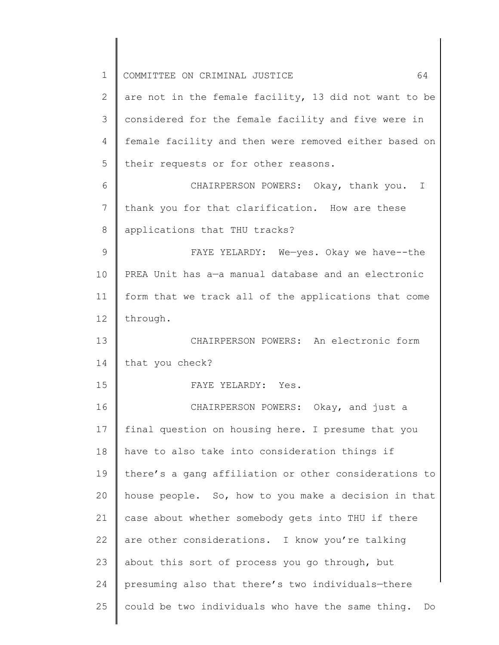| $\mathbf 1$   | 64<br>COMMITTEE ON CRIMINAL JUSTICE                     |
|---------------|---------------------------------------------------------|
| 2             | are not in the female facility, 13 did not want to be   |
| 3             | considered for the female facility and five were in     |
| 4             | female facility and then were removed either based on   |
| 5             | their requests or for other reasons.                    |
| 6             | CHAIRPERSON POWERS: Okay, thank you. I                  |
| 7             | thank you for that clarification. How are these         |
| 8             | applications that THU tracks?                           |
| $\mathcal{G}$ | FAYE YELARDY: We-yes. Okay we have--the                 |
| 10            | PREA Unit has a-a manual database and an electronic     |
| 11            | form that we track all of the applications that come    |
| 12            | through.                                                |
| 13            | CHAIRPERSON POWERS: An electronic form                  |
| 14            | that you check?                                         |
| 15            | FAYE YELARDY: Yes.                                      |
| 16            | CHAIRPERSON POWERS: Okay, and just a                    |
| 17            | final question on housing here. I presume that you      |
| 18            | have to also take into consideration things if          |
| 19            | there's a gang affiliation or other considerations to   |
| 20            | house people. So, how to you make a decision in that    |
| 21            | case about whether somebody gets into THU if there      |
| 22            | are other considerations. I know you're talking         |
| 23            | about this sort of process you go through, but          |
| 24            | presuming also that there's two individuals-there       |
| 25            | could be two individuals who have the same thing.<br>Do |
|               |                                                         |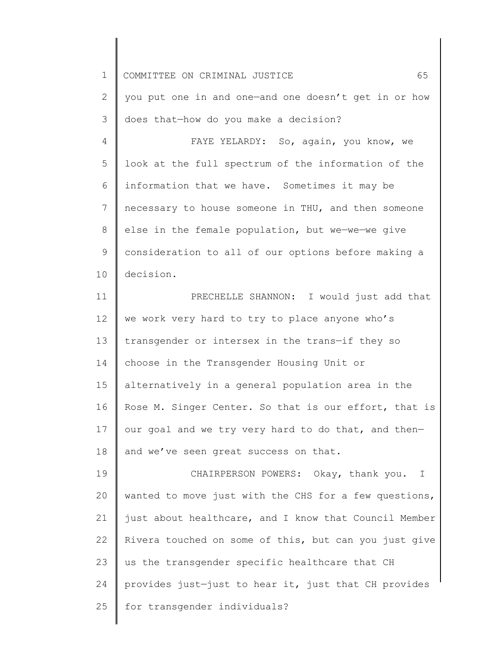2 3 you put one in and one—and one doesn't get in or how does that—how do you make a decision?

4 5 6 7 8 9 10 FAYE YELARDY: So, again, you know, we look at the full spectrum of the information of the information that we have. Sometimes it may be necessary to house someone in THU, and then someone else in the female population, but we—we—we give consideration to all of our options before making a decision.

11 12 13 14 15 16 17 18 PRECHELLE SHANNON: I would just add that we work very hard to try to place anyone who's transgender or intersex in the trans—if they so choose in the Transgender Housing Unit or alternatively in a general population area in the Rose M. Singer Center. So that is our effort, that is our goal and we try very hard to do that, and then and we've seen great success on that.

19 20 21 22 23 24 25 CHAIRPERSON POWERS: Okay, thank you. I wanted to move just with the CHS for a few questions, just about healthcare, and I know that Council Member Rivera touched on some of this, but can you just give us the transgender specific healthcare that CH provides just—just to hear it, just that CH provides for transgender individuals?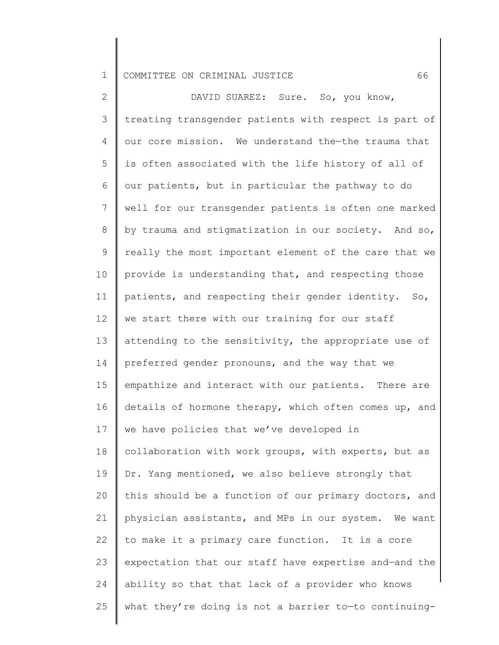2 3 4 5 6 7 8 9 10 11 12 13 14 15 16 17 18 19 20 21 22 23 24 25 DAVID SUAREZ: Sure. So, you know, treating transgender patients with respect is part of our core mission. We understand the—the trauma that is often associated with the life history of all of our patients, but in particular the pathway to do well for our transgender patients is often one marked by trauma and stigmatization in our society. And so, really the most important element of the care that we provide is understanding that, and respecting those patients, and respecting their gender identity. So, we start there with our training for our staff attending to the sensitivity, the appropriate use of preferred gender pronouns, and the way that we empathize and interact with our patients. There are details of hormone therapy, which often comes up, and we have policies that we've developed in collaboration with work groups, with experts, but as Dr. Yang mentioned, we also believe strongly that this should be a function of our primary doctors, and physician assistants, and MPs in our system. We want to make it a primary care function. It is a core expectation that our staff have expertise and—and the ability so that that lack of a provider who knows what they're doing is not a barrier to—to continuing-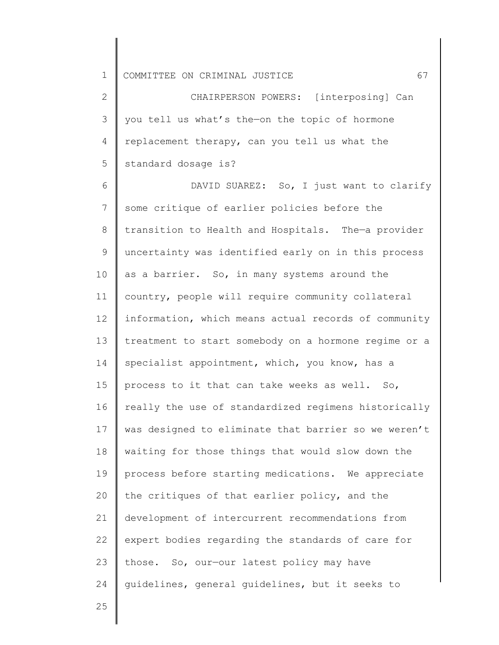2 3 4 5 CHAIRPERSON POWERS: [interposing] Can you tell us what's the—on the topic of hormone replacement therapy, can you tell us what the standard dosage is?

6 7 8 9 10 11 12 13 14 15 16 17 18 19 20 21 22 23 24 DAVID SUAREZ: So, I just want to clarify some critique of earlier policies before the transition to Health and Hospitals. The—a provider uncertainty was identified early on in this process as a barrier. So, in many systems around the country, people will require community collateral information, which means actual records of community treatment to start somebody on a hormone regime or a specialist appointment, which, you know, has a process to it that can take weeks as well. So, really the use of standardized regimens historically was designed to eliminate that barrier so we weren't waiting for those things that would slow down the process before starting medications. We appreciate the critiques of that earlier policy, and the development of intercurrent recommendations from expert bodies regarding the standards of care for those. So, our—our latest policy may have guidelines, general guidelines, but it seeks to

25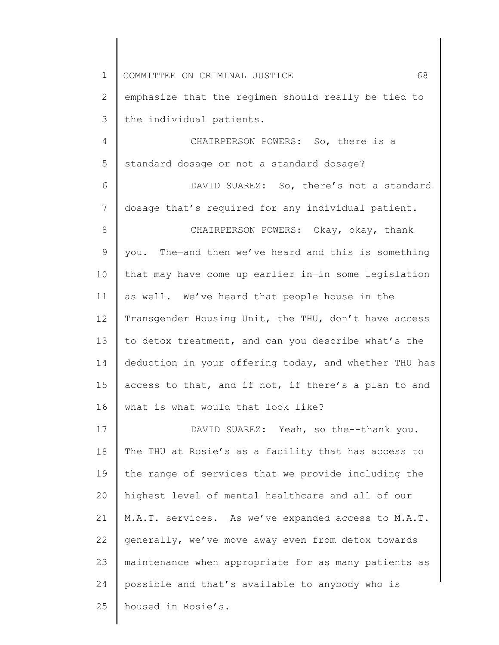| $\mathbf 1$    | 68<br>COMMITTEE ON CRIMINAL JUSTICE                   |
|----------------|-------------------------------------------------------|
| 2              | emphasize that the regimen should really be tied to   |
| 3              | the individual patients.                              |
| 4              | CHAIRPERSON POWERS: So, there is a                    |
| 5              | standard dosage or not a standard dosage?             |
| 6              | DAVID SUAREZ: So, there's not a standard              |
| $7\phantom{.}$ | dosage that's required for any individual patient.    |
| 8              | CHAIRPERSON POWERS: Okay, okay, thank                 |
| $\mathsf 9$    | you. The-and then we've heard and this is something   |
| 10             | that may have come up earlier in-in some legislation  |
| 11             | as well. We've heard that people house in the         |
| 12             | Transgender Housing Unit, the THU, don't have access  |
| 13             | to detox treatment, and can you describe what's the   |
| 14             | deduction in your offering today, and whether THU has |
| 15             | access to that, and if not, if there's a plan to and  |
| 16             | what is-what would that look like?                    |
| 17             | DAVID SUAREZ: Yeah, so the--thank you.                |
| 18             | The THU at Rosie's as a facility that has access to   |
| 19             | the range of services that we provide including the   |
| 20             | highest level of mental healthcare and all of our     |
| 21             | M.A.T. services. As we've expanded access to M.A.T.   |
| 22             | generally, we've move away even from detox towards    |
| 23             | maintenance when appropriate for as many patients as  |
| 24             | possible and that's available to anybody who is       |
| 25             | housed in Rosie's.                                    |
|                |                                                       |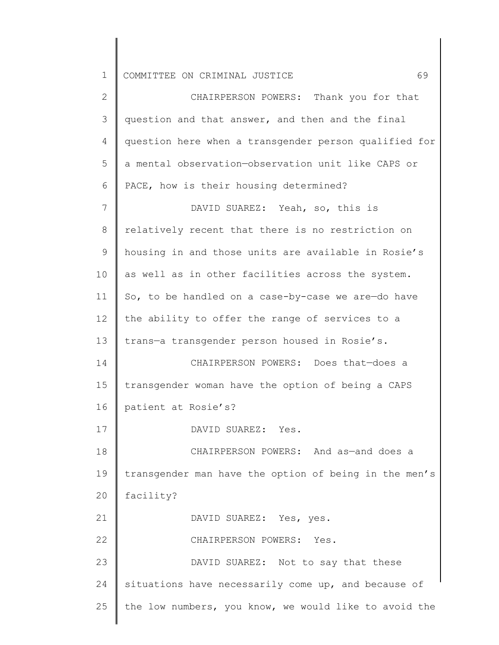2 3 4 5 6 7 8 9 10 11 12 13 14 15 16 17 18 19 20 21 22 23 24 25 CHAIRPERSON POWERS: Thank you for that question and that answer, and then and the final question here when a transgender person qualified for a mental observation—observation unit like CAPS or PACE, how is their housing determined? DAVID SUAREZ: Yeah, so, this is relatively recent that there is no restriction on housing in and those units are available in Rosie's as well as in other facilities across the system. So, to be handled on a case-by-case we are—do have the ability to offer the range of services to a trans—a transgender person housed in Rosie's. CHAIRPERSON POWERS: Does that—does a transgender woman have the option of being a CAPS patient at Rosie's? DAVID SUAREZ: Yes. CHAIRPERSON POWERS: And as—and does a transgender man have the option of being in the men's facility? DAVID SUAREZ: Yes, yes. CHAIRPERSON POWERS: Yes. DAVID SUAREZ: Not to say that these situations have necessarily come up, and because of the low numbers, you know, we would like to avoid the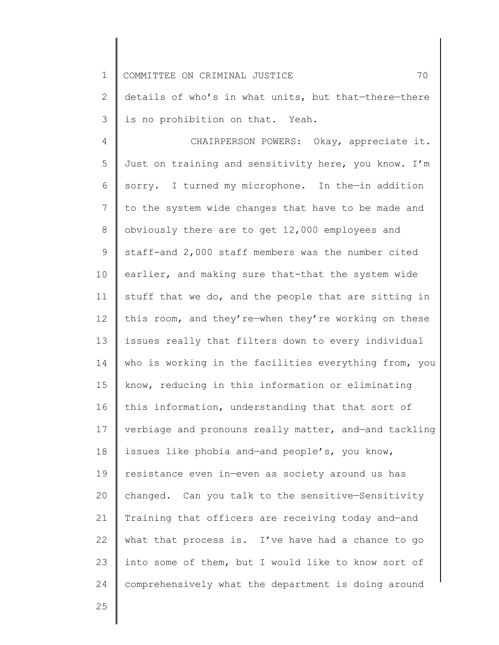2 3 details of who's in what units, but that—there—there is no prohibition on that. Yeah.

4 5 6 7 8 9 10 11 12 13 14 15 16 17 18 19 20 21 22 23 24 CHAIRPERSON POWERS: Okay, appreciate it. Just on training and sensitivity here, you know. I'm sorry. I turned my microphone. In the-in addition to the system wide changes that have to be made and obviously there are to get 12,000 employees and staff-and 2,000 staff members was the number cited earlier, and making sure that-that the system wide stuff that we do, and the people that are sitting in this room, and they're—when they're working on these issues really that filters down to every individual who is working in the facilities everything from, you know, reducing in this information or eliminating this information, understanding that that sort of verbiage and pronouns really matter, and—and tackling issues like phobia and—and people's, you know, resistance even in—even as society around us has changed. Can you talk to the sensitive—Sensitivity Training that officers are receiving today and—and what that process is. I've have had a chance to go into some of them, but I would like to know sort of comprehensively what the department is doing around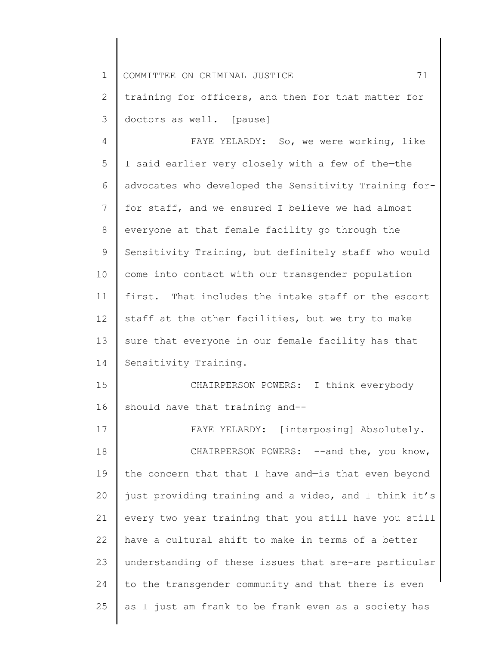| $\mathbf 1$ | 71<br>COMMITTEE ON CRIMINAL JUSTICE                   |
|-------------|-------------------------------------------------------|
| 2           | training for officers, and then for that matter for   |
| 3           | doctors as well. [pause]                              |
| 4           | FAYE YELARDY: So, we were working, like               |
| 5           | I said earlier very closely with a few of the-the     |
| 6           | advocates who developed the Sensitivity Training for- |
| 7           | for staff, and we ensured I believe we had almost     |
| 8           | everyone at that female facility go through the       |
| 9           | Sensitivity Training, but definitely staff who would  |
| 10          | come into contact with our transgender population     |
| 11          | first. That includes the intake staff or the escort   |
| 12          | staff at the other facilities, but we try to make     |
| 13          | sure that everyone in our female facility has that    |
| 14          | Sensitivity Training.                                 |
| 15          | CHAIRPERSON POWERS: I think everybody                 |
| 16          | should have that training and--                       |
| 17          | FAYE YELARDY: [interposing] Absolutely.               |
| 18          | CHAIRPERSON POWERS: -- and the, you know,             |
| 19          | the concern that that I have and-is that even beyond  |
| 20          | just providing training and a video, and I think it's |
| 21          | every two year training that you still have-you still |
| 22          | have a cultural shift to make in terms of a better    |
| 23          | understanding of these issues that are-are particular |
| 24          | to the transgender community and that there is even   |
| 25          | as I just am frank to be frank even as a society has  |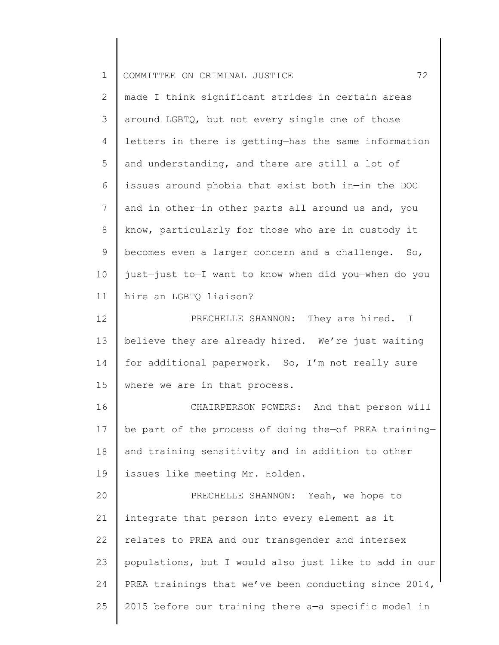| $\mathbf 1$ | 72<br>COMMITTEE ON CRIMINAL JUSTICE                   |
|-------------|-------------------------------------------------------|
| 2           | made I think significant strides in certain areas     |
| 3           | around LGBTQ, but not every single one of those       |
| 4           | letters in there is getting-has the same information  |
| 5           | and understanding, and there are still a lot of       |
| 6           | issues around phobia that exist both in-in the DOC    |
| 7           | and in other-in other parts all around us and, you    |
| $8\,$       | know, particularly for those who are in custody it    |
| $\mathsf 9$ | becomes even a larger concern and a challenge. So,    |
| 10          | just-just to-I want to know when did you-when do you  |
| 11          | hire an LGBTQ liaison?                                |
| 12          | PRECHELLE SHANNON: They are hired. I                  |
| 13          | believe they are already hired. We're just waiting    |
| 14          | for additional paperwork. So, I'm not really sure     |
| 15          | where we are in that process.                         |
| 16          | CHAIRPERSON POWERS: And that person will              |
| 17          | be part of the process of doing the-of PREA training- |
| 18          | and training sensitivity and in addition to other     |
| 19          | issues like meeting Mr. Holden.                       |
| 20          | PRECHELLE SHANNON: Yeah, we hope to                   |
| 21          | integrate that person into every element as it        |
| 22          | relates to PREA and our transgender and intersex      |
| 23          | populations, but I would also just like to add in our |
| 24          | PREA trainings that we've been conducting since 2014, |
| 25          | 2015 before our training there a-a specific model in  |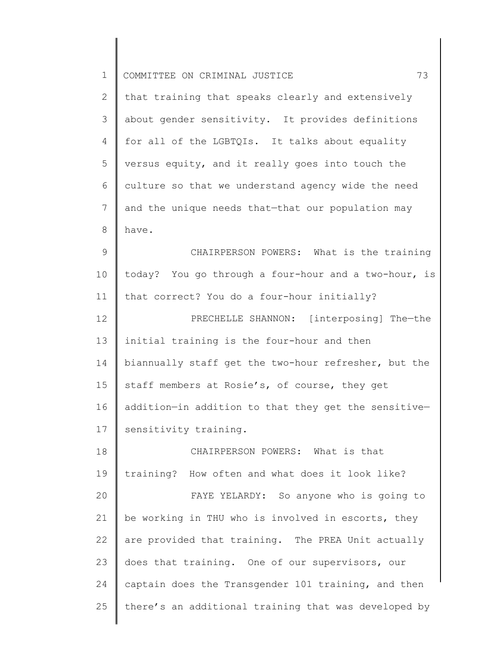| $\mathbf 1$    | 73<br>COMMITTEE ON CRIMINAL JUSTICE                  |
|----------------|------------------------------------------------------|
| $\mathbf{2}$   | that training that speaks clearly and extensively    |
| 3              | about gender sensitivity. It provides definitions    |
| 4              | for all of the LGBTQIs. It talks about equality      |
| 5              | versus equity, and it really goes into touch the     |
| 6              | culture so that we understand agency wide the need   |
| $7\phantom{.}$ | and the unique needs that-that our population may    |
| $8\,$          | have.                                                |
| $\mathcal{G}$  | CHAIRPERSON POWERS: What is the training             |
| 10             | today? You go through a four-hour and a two-hour, is |
| 11             | that correct? You do a four-hour initially?          |
| 12             | PRECHELLE SHANNON: [interposing] The-the             |
| 13             | initial training is the four-hour and then           |
| 14             | biannually staff get the two-hour refresher, but the |
| 15             | staff members at Rosie's, of course, they get        |
| 16             | addition-in addition to that they get the sensitive- |
| 17             | sensitivity training.                                |
| 18             | CHAIRPERSON POWERS: What is that                     |
| 19             | training? How often and what does it look like?      |
| 20             | FAYE YELARDY: So anyone who is going to              |
| 21             | be working in THU who is involved in escorts, they   |
| 22             | are provided that training. The PREA Unit actually   |
| 23             | does that training. One of our supervisors, our      |
| 24             | captain does the Transgender 101 training, and then  |
| 25             | there's an additional training that was developed by |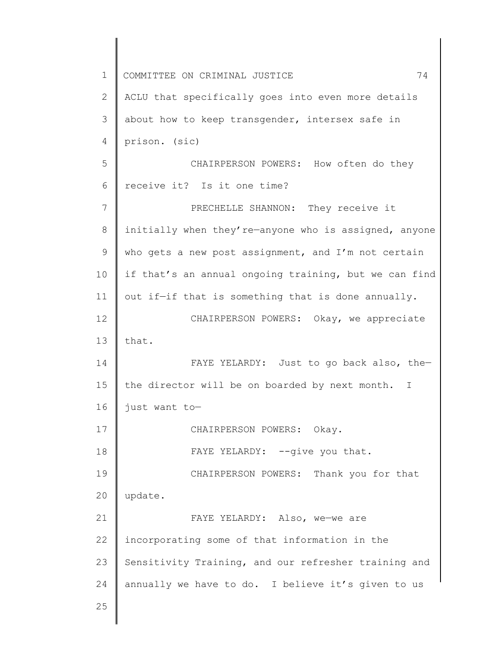1 2 3 4 5 6 7 8 9 10 11 12 13 14 15 16 17 18 19 20 21 22 23 24 25 COMMITTEE ON CRIMINAL JUSTICE  $74$ ACLU that specifically goes into even more details about how to keep transgender, intersex safe in prison. (sic) CHAIRPERSON POWERS: How often do they receive it? Is it one time? PRECHELLE SHANNON: They receive it initially when they're—anyone who is assigned, anyone who gets a new post assignment, and I'm not certain if that's an annual ongoing training, but we can find out if—if that is something that is done annually. CHAIRPERSON POWERS: Okay, we appreciate that. FAYE YELARDY: Just to go back also, thethe director will be on boarded by next month. I just want to— CHAIRPERSON POWERS: Okay. FAYE YELARDY: -- give you that. CHAIRPERSON POWERS: Thank you for that update. FAYE YELARDY: Also, we—we are incorporating some of that information in the Sensitivity Training, and our refresher training and annually we have to do. I believe it's given to us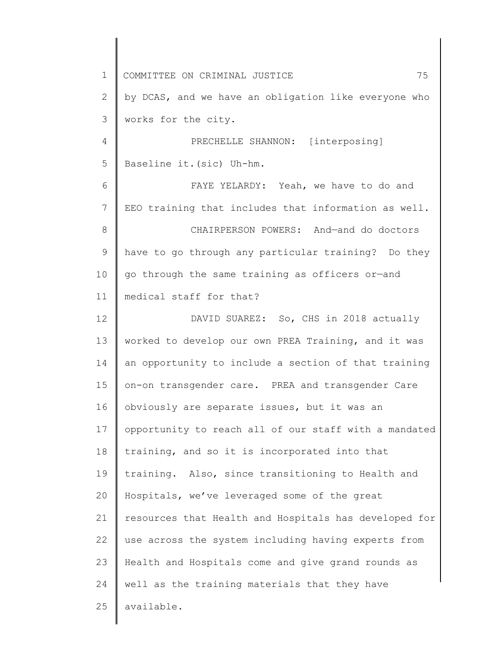1 2 3 4 5 6 7 8 9 10 11 12 13 14 15 16 17 18 19 20 21 22 23 24 25 COMMITTEE ON CRIMINAL JUSTICE 75 by DCAS, and we have an obligation like everyone who works for the city. PRECHELLE SHANNON: [interposing] Baseline it.(sic) Uh-hm. FAYE YELARDY: Yeah, we have to do and EEO training that includes that information as well. CHAIRPERSON POWERS: And—and do doctors have to go through any particular training? Do they go through the same training as officers or—and medical staff for that? DAVID SUAREZ: So, CHS in 2018 actually worked to develop our own PREA Training, and it was an opportunity to include a section of that training on-on transgender care. PREA and transgender Care obviously are separate issues, but it was an opportunity to reach all of our staff with a mandated training, and so it is incorporated into that training. Also, since transitioning to Health and Hospitals, we've leveraged some of the great resources that Health and Hospitals has developed for use across the system including having experts from Health and Hospitals come and give grand rounds as well as the training materials that they have available.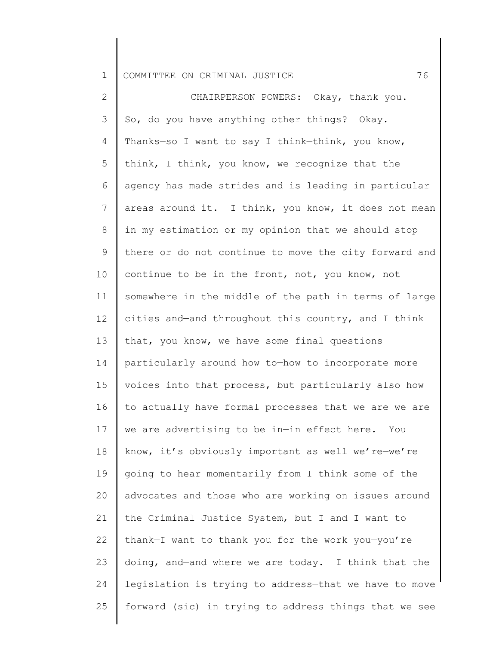2 3 4 5 6 7 8 9 10 11 12 13 14 15 16 17 18 19 20 21 22 23 24 25 CHAIRPERSON POWERS: Okay, thank you. So, do you have anything other things? Okay. Thanks—so I want to say I think—think, you know, think, I think, you know, we recognize that the agency has made strides and is leading in particular areas around it. I think, you know, it does not mean in my estimation or my opinion that we should stop there or do not continue to move the city forward and continue to be in the front, not, you know, not somewhere in the middle of the path in terms of large cities and—and throughout this country, and I think that, you know, we have some final questions particularly around how to—how to incorporate more voices into that process, but particularly also how to actually have formal processes that we are—we are we are advertising to be in—in effect here. You know, it's obviously important as well we're—we're going to hear momentarily from I think some of the advocates and those who are working on issues around the Criminal Justice System, but I—and I want to thank—I want to thank you for the work you—you're doing, and—and where we are today. I think that the legislation is trying to address—that we have to move forward (sic) in trying to address things that we see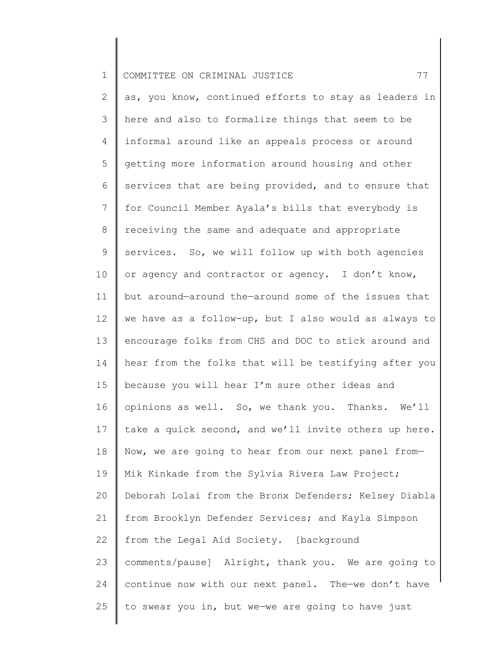2 3 4 5 6 7 8 9 10 11 12 13 14 15 16 17 18 19 20 21 22 23 24 25 as, you know, continued efforts to stay as leaders in here and also to formalize things that seem to be informal around like an appeals process or around getting more information around housing and other services that are being provided, and to ensure that for Council Member Ayala's bills that everybody is receiving the same and adequate and appropriate services. So, we will follow up with both agencies or agency and contractor or agency. I don't know, but around—around the—around some of the issues that we have as a follow-up, but I also would as always to encourage folks from CHS and DOC to stick around and hear from the folks that will be testifying after you because you will hear I'm sure other ideas and opinions as well. So, we thank you. Thanks. We'll take a quick second, and we'll invite others up here. Now, we are going to hear from our next panel from— Mik Kinkade from the Sylvia Rivera Law Project; Deborah Lolai from the Bronx Defenders; Kelsey Diabla from Brooklyn Defender Services; and Kayla Simpson from the Legal Aid Society. [background comments/pause] Alright, thank you. We are going to continue now with our next panel. The—we don't have to swear you in, but we—we are going to have just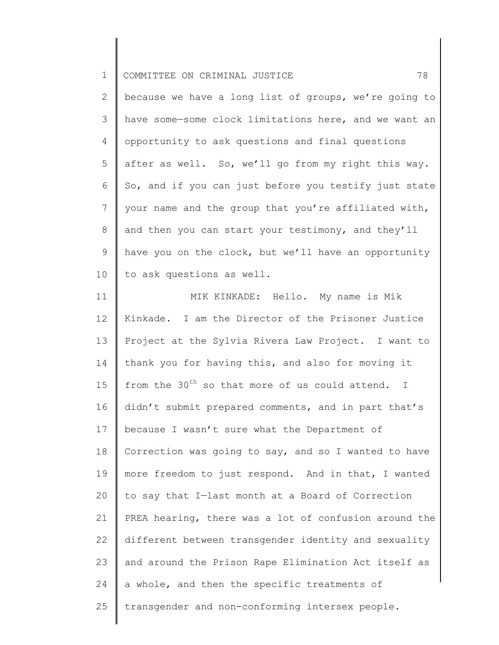| $\mathbf 1$    | 78<br>COMMITTEE ON CRIMINAL JUSTICE                             |
|----------------|-----------------------------------------------------------------|
| $\mathbf{2}$   | because we have a long list of groups, we're going to           |
| 3              | have some-some clock limitations here, and we want an           |
| 4              | opportunity to ask questions and final questions                |
| 5              | after as well. So, we'll go from my right this way.             |
| 6              | So, and if you can just before you testify just state           |
| $\overline{7}$ | your name and the group that you're affiliated with,            |
| 8              | and then you can start your testimony, and they'll              |
| 9              | have you on the clock, but we'll have an opportunity            |
| 10             | to ask questions as well.                                       |
| 11             | MIK KINKADE: Hello. My name is Mik                              |
| 12             | Kinkade. I am the Director of the Prisoner Justice              |
| 13             | Project at the Sylvia Rivera Law Project. I want to             |
| 14             | thank you for having this, and also for moving it               |
| 15             | from the 30 <sup>th</sup> so that more of us could attend.<br>I |
| 16             | didn't submit prepared comments, and in part that's             |
| 17             | because I wasn't sure what the Department of                    |
| 18             | Correction was going to say, and so I wanted to have            |
| 19             | more freedom to just respond. And in that, I wanted             |
| 20             | to say that I-last month at a Board of Correction               |
| 21             | PREA hearing, there was a lot of confusion around the           |
| 22             | different between transgender identity and sexuality            |
| 23             | and around the Prison Rape Elimination Act itself as            |
| 24             | a whole, and then the specific treatments of                    |
| 25             | transgender and non-conforming intersex people.                 |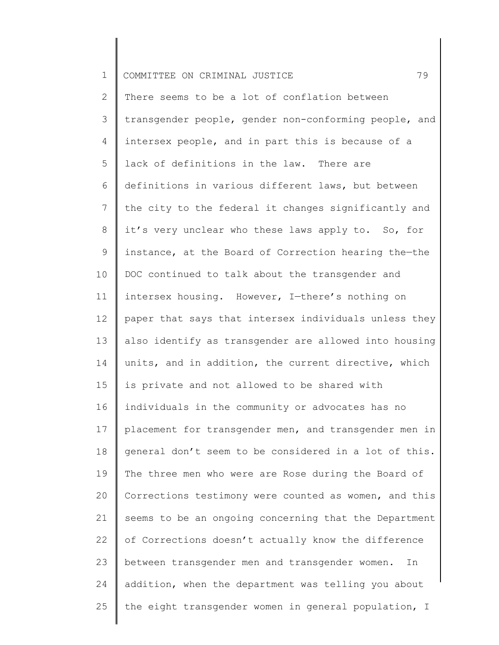| $\mathbf 1$    | 79<br>COMMITTEE ON CRIMINAL JUSTICE                   |
|----------------|-------------------------------------------------------|
| $\overline{2}$ | There seems to be a lot of conflation between         |
| 3              | transgender people, gender non-conforming people, and |
| 4              | intersex people, and in part this is because of a     |
| 5              | lack of definitions in the law. There are             |
| 6              | definitions in various different laws, but between    |
| 7              | the city to the federal it changes significantly and  |
| 8              | it's very unclear who these laws apply to. So, for    |
| 9              | instance, at the Board of Correction hearing the-the  |
| 10             | DOC continued to talk about the transgender and       |
| 11             | intersex housing. However, I-there's nothing on       |
| 12             | paper that says that intersex individuals unless they |
| 13             | also identify as transgender are allowed into housing |
| 14             | units, and in addition, the current directive, which  |
| 15             | is private and not allowed to be shared with          |
| 16             | individuals in the community or advocates has no      |
| 17             | placement for transgender men, and transgender men in |
| 18             | general don't seem to be considered in a lot of this. |
| 19             | The three men who were are Rose during the Board of   |
| 20             | Corrections testimony were counted as women, and this |
| 21             | seems to be an ongoing concerning that the Department |
| 22             | of Corrections doesn't actually know the difference   |
| 23             | between transgender men and transgender women.<br>In  |
| 24             | addition, when the department was telling you about   |
| 25             | the eight transgender women in general population, I  |
|                |                                                       |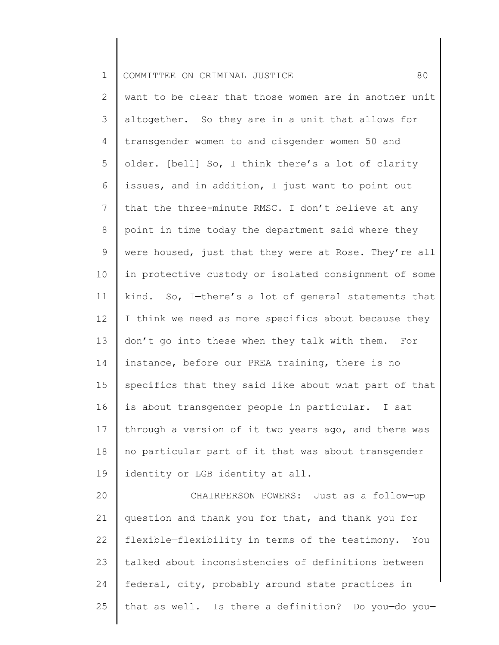| $\mathbf 1$     | 80<br>COMMITTEE ON CRIMINAL JUSTICE                   |
|-----------------|-------------------------------------------------------|
| $\overline{2}$  | want to be clear that those women are in another unit |
| 3               | altogether. So they are in a unit that allows for     |
| $\overline{4}$  | transgender women to and cisgender women 50 and       |
| 5               | older. [bell] So, I think there's a lot of clarity    |
| 6               | issues, and in addition, I just want to point out     |
| $\overline{7}$  | that the three-minute RMSC. I don't believe at any    |
| $8\,$           | point in time today the department said where they    |
| 9               | were housed, just that they were at Rose. They're all |
| 10              | in protective custody or isolated consignment of some |
| 11              | kind. So, I-there's a lot of general statements that  |
| 12 <sup>°</sup> | I think we need as more specifics about because they  |
| 13              | don't go into these when they talk with them. For     |
| 14              | instance, before our PREA training, there is no       |
| 15              | specifics that they said like about what part of that |
| 16              | is about transgender people in particular. I sat      |
| 17              | through a version of it two years ago, and there was  |
| 18              | no particular part of it that was about transgender   |
| 19              | identity or LGB identity at all.                      |
| 20              | CHAIRPERSON POWERS: Just as a follow-up               |

21 22 23 24 25 question and thank you for that, and thank you for flexible—flexibility in terms of the testimony. You talked about inconsistencies of definitions between federal, city, probably around state practices in that as well. Is there a definition? Do you—do you—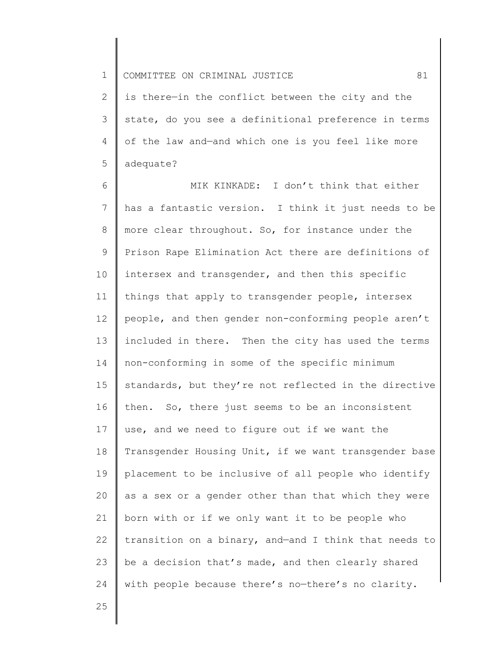2 3 4 5 is there—in the conflict between the city and the state, do you see a definitional preference in terms of the law and—and which one is you feel like more adequate?

6 7 8 9 10 11 12 13 14 15 16 17 18 19 20 21 22 23 24 MIK KINKADE: I don't think that either has a fantastic version. I think it just needs to be more clear throughout. So, for instance under the Prison Rape Elimination Act there are definitions of intersex and transgender, and then this specific things that apply to transgender people, intersex people, and then gender non-conforming people aren't included in there. Then the city has used the terms non-conforming in some of the specific minimum standards, but they're not reflected in the directive then. So, there just seems to be an inconsistent use, and we need to figure out if we want the Transgender Housing Unit, if we want transgender base placement to be inclusive of all people who identify as a sex or a gender other than that which they were born with or if we only want it to be people who transition on a binary, and—and I think that needs to be a decision that's made, and then clearly shared with people because there's no-there's no clarity.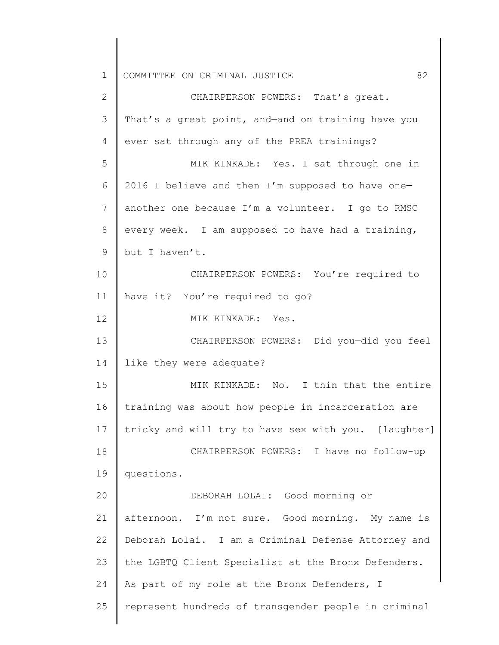| $\mathbf 1$  | 82<br>COMMITTEE ON CRIMINAL JUSTICE                  |
|--------------|------------------------------------------------------|
| $\mathbf{2}$ | CHAIRPERSON POWERS: That's great.                    |
| 3            | That's a great point, and-and on training have you   |
| 4            | ever sat through any of the PREA trainings?          |
| 5            | MIK KINKADE: Yes. I sat through one in               |
| 6            | 2016 I believe and then I'm supposed to have one-    |
| 7            | another one because I'm a volunteer. I go to RMSC    |
| 8            | every week. I am supposed to have had a training,    |
| 9            | but I haven't.                                       |
| 10           | CHAIRPERSON POWERS: You're required to               |
| 11           | have it? You're required to go?                      |
| 12           | MIK KINKADE: Yes.                                    |
| 13           | CHAIRPERSON POWERS: Did you-did you feel             |
| 14           | like they were adequate?                             |
| 15           | MIK KINKADE: No. I thin that the entire              |
| 16           | training was about how people in incarceration are   |
| 17           | tricky and will try to have sex with you. [laughter] |
| 18           | CHAIRPERSON POWERS: I have no follow-up              |
| 19           | questions.                                           |
| 20           | DEBORAH LOLAI: Good morning or                       |
| 21           | afternoon. I'm not sure. Good morning. My name is    |
| 22           | Deborah Lolai. I am a Criminal Defense Attorney and  |
| 23           | the LGBTQ Client Specialist at the Bronx Defenders.  |
| 24           | As part of my role at the Bronx Defenders, I         |
| 25           | represent hundreds of transgender people in criminal |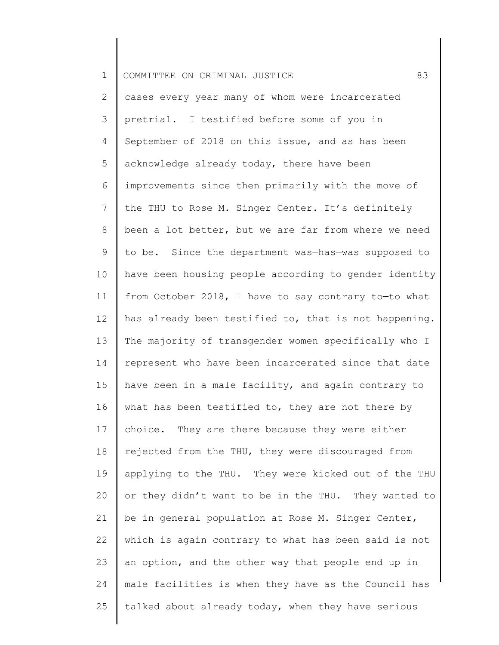| $\mathbf 1$     | 83<br>COMMITTEE ON CRIMINAL JUSTICE                   |
|-----------------|-------------------------------------------------------|
| 2               | cases every year many of whom were incarcerated       |
| 3               | pretrial. I testified before some of you in           |
| 4               | September of 2018 on this issue, and as has been      |
| 5               | acknowledge already today, there have been            |
| 6               | improvements since then primarily with the move of    |
| $7\phantom{.0}$ | the THU to Rose M. Singer Center. It's definitely     |
| 8               | been a lot better, but we are far from where we need  |
| 9               | to be. Since the department was-has-was supposed to   |
| 10              | have been housing people according to gender identity |
| 11              | from October 2018, I have to say contrary to-to what  |
| 12              | has already been testified to, that is not happening. |
| 13              | The majority of transgender women specifically who I  |
| 14              | represent who have been incarcerated since that date  |
| 15              | have been in a male facility, and again contrary to   |
| 16              | what has been testified to, they are not there by     |
| 17              | They are there because they were either<br>choice.    |
| 18              | rejected from the THU, they were discouraged from     |
| 19              | applying to the THU. They were kicked out of the THU  |
| 20              | or they didn't want to be in the THU. They wanted to  |
| 21              | be in general population at Rose M. Singer Center,    |
| 22              | which is again contrary to what has been said is not  |
| 23              | an option, and the other way that people end up in    |
| 24              | male facilities is when they have as the Council has  |
| 25              | talked about already today, when they have serious    |
|                 |                                                       |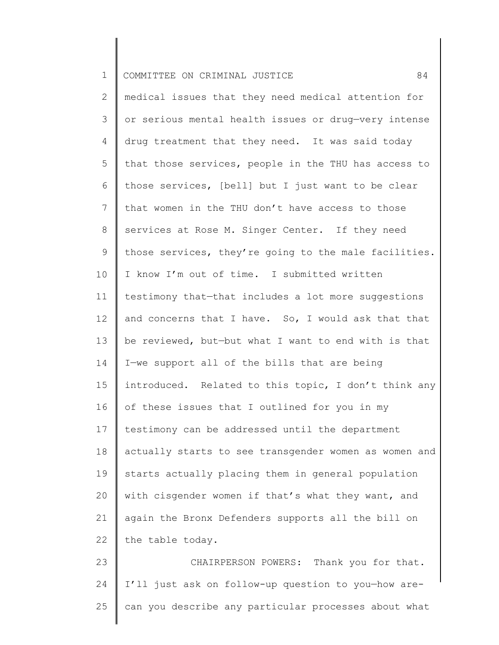| $\mathbf 1$ | 84<br>COMMITTEE ON CRIMINAL JUSTICE                   |
|-------------|-------------------------------------------------------|
| 2           | medical issues that they need medical attention for   |
| 3           | or serious mental health issues or drug-very intense  |
| 4           | drug treatment that they need. It was said today      |
| 5           | that those services, people in the THU has access to  |
| 6           | those services, [bell] but I just want to be clear    |
| 7           | that women in the THU don't have access to those      |
| 8           | services at Rose M. Singer Center. If they need       |
| 9           | those services, they're going to the male facilities. |
| 10          | I know I'm out of time. I submitted written           |
| 11          | testimony that-that includes a lot more suggestions   |
| 12          | and concerns that I have. So, I would ask that that   |
| 13          | be reviewed, but-but what I want to end with is that  |
| 14          | I-we support all of the bills that are being          |
| 15          | introduced. Related to this topic, I don't think any  |
| 16          | of these issues that I outlined for you in my         |
| 17          | testimony can be addressed until the department       |
| 18          | actually starts to see transgender women as women and |
| 19          | starts actually placing them in general population    |
| 20          | with cisgender women if that's what they want, and    |
| 21          | again the Bronx Defenders supports all the bill on    |
| 22          | the table today.                                      |
| 23          | CHAIRPERSON POWERS: Thank you for that.               |
| 24          | I'll just ask on follow-up question to you-how are-   |
| 25          | can you describe any particular processes about what  |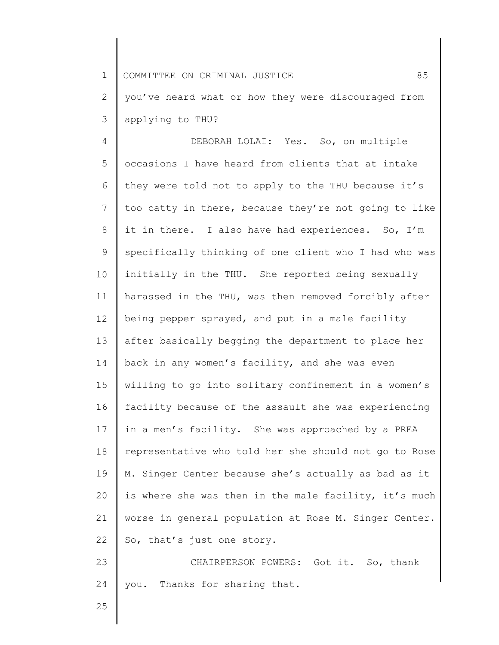1 2 3 COMMITTEE ON CRIMINAL JUSTICE  $85$ you've heard what or how they were discouraged from applying to THU?

4 5 6 7 8 9 10 11 12 13 14 15 16 17 18 19 20 21 22 23 DEBORAH LOLAI: Yes. So, on multiple occasions I have heard from clients that at intake they were told not to apply to the THU because it's too catty in there, because they're not going to like it in there. I also have had experiences. So, I'm specifically thinking of one client who I had who was initially in the THU. She reported being sexually harassed in the THU, was then removed forcibly after being pepper sprayed, and put in a male facility after basically begging the department to place her back in any women's facility, and she was even willing to go into solitary confinement in a women's facility because of the assault she was experiencing in a men's facility. She was approached by a PREA representative who told her she should not go to Rose M. Singer Center because she's actually as bad as it is where she was then in the male facility, it's much worse in general population at Rose M. Singer Center. So, that's just one story. CHAIRPERSON POWERS: Got it. So, thank

you. Thanks for sharing that.

24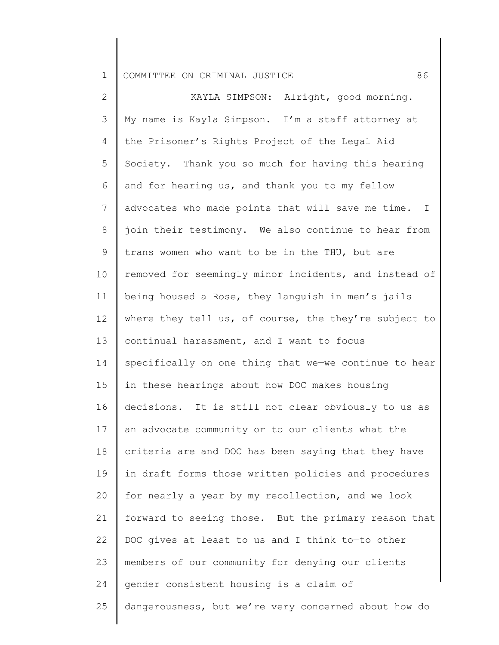2 3 4 5 6 7 8 9 10 11 12 13 14 15 16 17 18 19 20 21 22 23 24 25 KAYLA SIMPSON: Alright, good morning. My name is Kayla Simpson. I'm a staff attorney at the Prisoner's Rights Project of the Legal Aid Society. Thank you so much for having this hearing and for hearing us, and thank you to my fellow advocates who made points that will save me time. I join their testimony. We also continue to hear from trans women who want to be in the THU, but are removed for seemingly minor incidents, and instead of being housed a Rose, they languish in men's jails where they tell us, of course, the they're subject to continual harassment, and I want to focus specifically on one thing that we—we continue to hear in these hearings about how DOC makes housing decisions. It is still not clear obviously to us as an advocate community or to our clients what the criteria are and DOC has been saying that they have in draft forms those written policies and procedures for nearly a year by my recollection, and we look forward to seeing those. But the primary reason that DOC gives at least to us and I think to—to other members of our community for denying our clients gender consistent housing is a claim of dangerousness, but we're very concerned about how do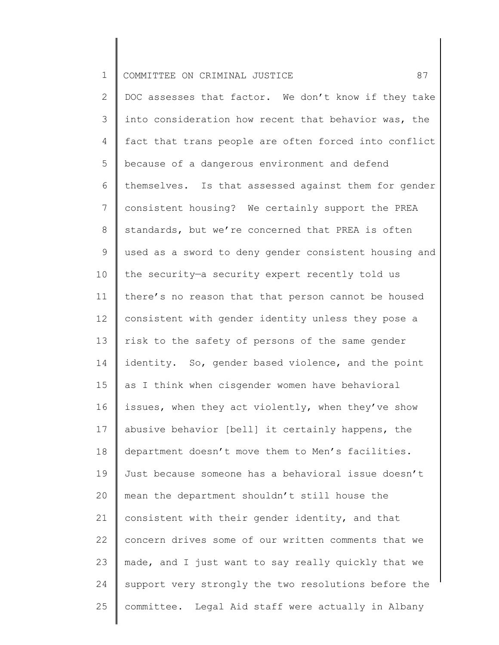| $\mathbf 1$    | 87<br>COMMITTEE ON CRIMINAL JUSTICE                   |
|----------------|-------------------------------------------------------|
| $\overline{2}$ | DOC assesses that factor. We don't know if they take  |
| 3              | into consideration how recent that behavior was, the  |
| 4              | fact that trans people are often forced into conflict |
| 5              | because of a dangerous environment and defend         |
| 6              | themselves. Is that assessed against them for gender  |
| $\overline{7}$ | consistent housing? We certainly support the PREA     |
| $8\,$          | standards, but we're concerned that PREA is often     |
| $\mathsf 9$    | used as a sword to deny gender consistent housing and |
| 10             | the security-a security expert recently told us       |
| 11             | there's no reason that that person cannot be housed   |
| 12             | consistent with gender identity unless they pose a    |
| 13             | risk to the safety of persons of the same gender      |
| 14             | identity. So, gender based violence, and the point    |
| 15             | as I think when cisgender women have behavioral       |
| 16             | issues, when they act violently, when they've show    |
| 17             | abusive behavior [bell] it certainly happens, the     |
| 18             | department doesn't move them to Men's facilities.     |
| 19             | Just because someone has a behavioral issue doesn't   |
| 20             | mean the department shouldn't still house the         |
| 21             | consistent with their gender identity, and that       |
| 22             | concern drives some of our written comments that we   |
| 23             | made, and I just want to say really quickly that we   |
| 24             | support very strongly the two resolutions before the  |
| 25             | committee. Legal Aid staff were actually in Albany    |
|                |                                                       |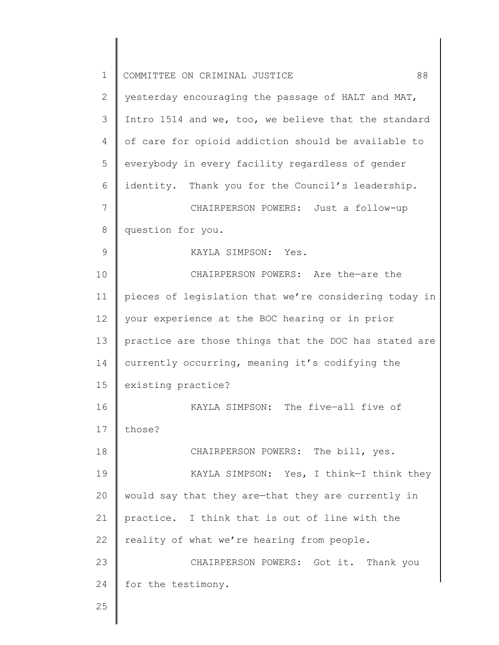| $\mathbf 1$ | 88<br>COMMITTEE ON CRIMINAL JUSTICE                   |
|-------------|-------------------------------------------------------|
| 2           | yesterday encouraging the passage of HALT and MAT,    |
| 3           | Intro 1514 and we, too, we believe that the standard  |
| 4           | of care for opioid addiction should be available to   |
| 5           | everybody in every facility regardless of gender      |
| 6           | identity. Thank you for the Council's leadership.     |
| 7           | CHAIRPERSON POWERS: Just a follow-up                  |
| 8           | question for you.                                     |
| 9           | KAYLA SIMPSON: Yes.                                   |
| 10          | CHAIRPERSON POWERS: Are the-are the                   |
| 11          | pieces of legislation that we're considering today in |
| 12          | your experience at the BOC hearing or in prior        |
| 13          | practice are those things that the DOC has stated are |
| 14          | currently occurring, meaning it's codifying the       |
| 15          | existing practice?                                    |
| 16          | KAYLA SIMPSON: The five-all five of                   |
| 17          | those?                                                |
| 18          | CHAIRPERSON POWERS: The bill, yes.                    |
| 19          | KAYLA SIMPSON: Yes, I think-I think they              |
| 20          | would say that they are-that they are currently in    |
| 21          | practice. I think that is out of line with the        |
| 22          | reality of what we're hearing from people.            |
| 23          | CHAIRPERSON POWERS: Got it. Thank you                 |
| 24          | for the testimony.                                    |
| 25          |                                                       |
|             |                                                       |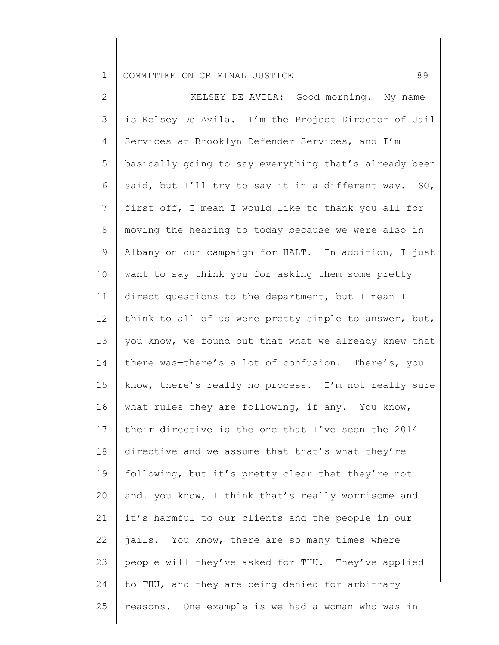2 3 4 5 6 7 8 9 10 11 12 13 14 15 16 17 18 19 20 21 22 23 24 25 KELSEY DE AVILA: Good morning. My name is Kelsey De Avila. I'm the Project Director of Jail Services at Brooklyn Defender Services, and I'm basically going to say everything that's already been said, but I'll try to say it in a different way. SO, first off, I mean I would like to thank you all for moving the hearing to today because we were also in Albany on our campaign for HALT. In addition, I just want to say think you for asking them some pretty direct questions to the department, but I mean I think to all of us were pretty simple to answer, but, you know, we found out that—what we already knew that there was—there's a lot of confusion. There's, you know, there's really no process. I'm not really sure what rules they are following, if any. You know, their directive is the one that I've seen the 2014 directive and we assume that that's what they're following, but it's pretty clear that they're not and. you know, I think that's really worrisome and it's harmful to our clients and the people in our jails. You know, there are so many times where people will—they've asked for THU. They've applied to THU, and they are being denied for arbitrary reasons. One example is we had a woman who was in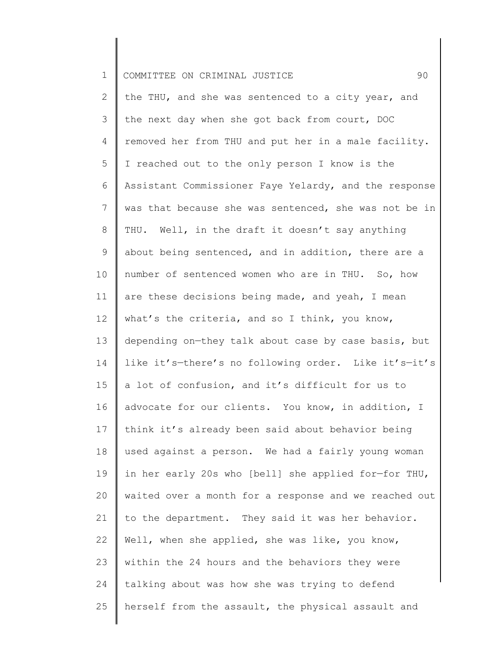| $\mathbf 1$     | 90<br>COMMITTEE ON CRIMINAL JUSTICE                   |
|-----------------|-------------------------------------------------------|
| $\overline{2}$  | the THU, and she was sentenced to a city year, and    |
| 3               | the next day when she got back from court, DOC        |
| 4               | removed her from THU and put her in a male facility.  |
| 5               | I reached out to the only person I know is the        |
| 6               | Assistant Commissioner Faye Yelardy, and the response |
| 7               | was that because she was sentenced, she was not be in |
| 8               | THU. Well, in the draft it doesn't say anything       |
| $\mathsf 9$     | about being sentenced, and in addition, there are a   |
| 10              | number of sentenced women who are in THU. So, how     |
| 11              | are these decisions being made, and yeah, I mean      |
| 12              | what's the criteria, and so I think, you know,        |
| 13              | depending on-they talk about case by case basis, but  |
| 14              | like it's-there's no following order. Like it's-it's  |
| 15 <sub>2</sub> | a lot of confusion, and it's difficult for us to      |
| 16              | advocate for our clients. You know, in addition, I    |
| 17              | think it's already been said about behavior being     |
| 18              | used against a person. We had a fairly young woman    |
| 19              | in her early 20s who [bell] she applied for-for THU,  |
| 20              | waited over a month for a response and we reached out |
| 21              | to the department. They said it was her behavior.     |
| 22              | Well, when she applied, she was like, you know,       |
| 23              | within the 24 hours and the behaviors they were       |
| 24              | talking about was how she was trying to defend        |
| 25              | herself from the assault, the physical assault and    |
|                 |                                                       |

 $\parallel$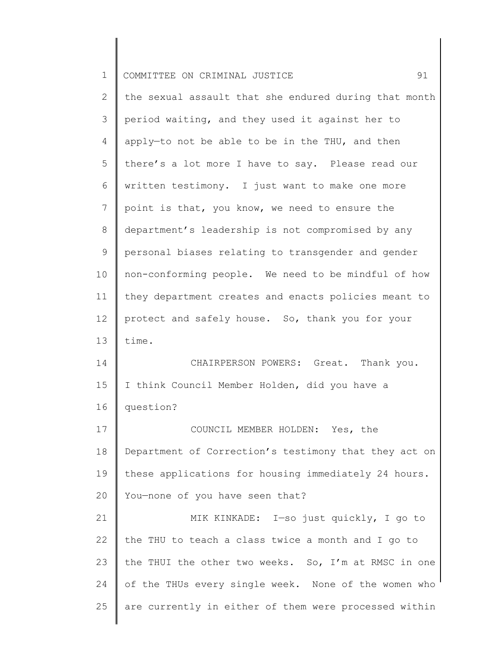| $\mathbf 1$  | 91<br>COMMITTEE ON CRIMINAL JUSTICE                   |
|--------------|-------------------------------------------------------|
| $\mathbf{2}$ | the sexual assault that she endured during that month |
| 3            | period waiting, and they used it against her to       |
| 4            | apply-to not be able to be in the THU, and then       |
| 5            | there's a lot more I have to say. Please read our     |
| 6            | written testimony. I just want to make one more       |
| 7            | point is that, you know, we need to ensure the        |
| 8            | department's leadership is not compromised by any     |
| $\mathsf 9$  | personal biases relating to transgender and gender    |
| 10           | non-conforming people. We need to be mindful of how   |
| 11           | they department creates and enacts policies meant to  |
| 12           | protect and safely house. So, thank you for your      |
| 13           | time.                                                 |
| 14           | CHAIRPERSON POWERS: Great. Thank you.                 |
| 15           | I think Council Member Holden, did you have a         |
| 16           | question?                                             |
| 17           | COUNCIL MEMBER HOLDEN: Yes, the                       |
| 18           | Department of Correction's testimony that they act on |
| 19           | these applications for housing immediately 24 hours.  |
| 20           | You-none of you have seen that?                       |
| 21           | MIK KINKADE: I-so just quickly, I go to               |
| 22           | the THU to teach a class twice a month and I go to    |
| 23           | the THUI the other two weeks. So, I'm at RMSC in one  |
| 24           | of the THUs every single week. None of the women who  |
| 25           | are currently in either of them were processed within |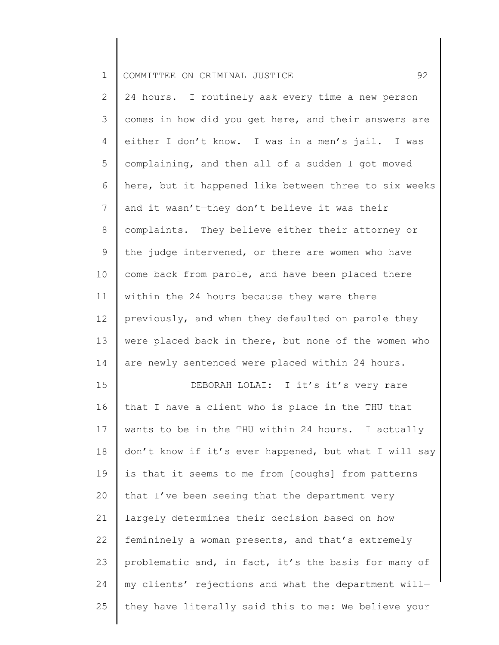2 3 4 5 6 7 8 9 10 11 12 13 14 15 16 17 18 19 20 21 22 24 hours. I routinely ask every time a new person comes in how did you get here, and their answers are either I don't know. I was in a men's jail. I was complaining, and then all of a sudden I got moved here, but it happened like between three to six weeks and it wasn't—they don't believe it was their complaints. They believe either their attorney or the judge intervened, or there are women who have come back from parole, and have been placed there within the 24 hours because they were there previously, and when they defaulted on parole they were placed back in there, but none of the women who are newly sentenced were placed within 24 hours. DEBORAH LOLAI: I—it's—it's very rare that I have a client who is place in the THU that wants to be in the THU within 24 hours. I actually don't know if it's ever happened, but what I will say is that it seems to me from [coughs] from patterns that I've been seeing that the department very largely determines their decision based on how femininely a woman presents, and that's extremely

23 24 25 problematic and, in fact, it's the basis for many of my clients' rejections and what the department will they have literally said this to me: We believe your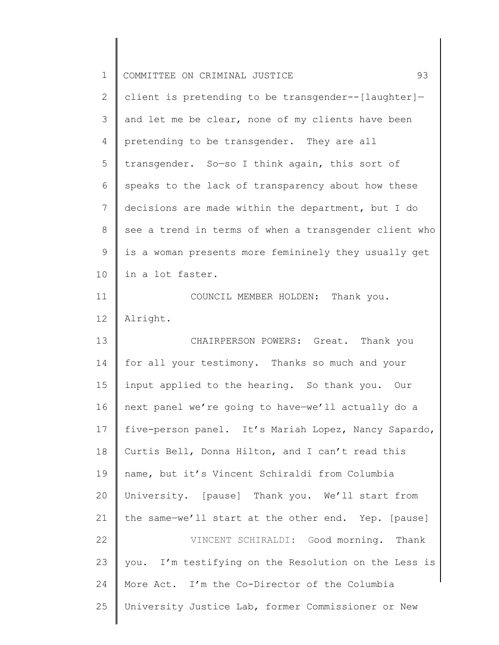| $\mathbf 1$    | 93<br>COMMITTEE ON CRIMINAL JUSTICE                   |
|----------------|-------------------------------------------------------|
| 2              | client is pretending to be transgender--[laughter]-   |
| 3              | and let me be clear, none of my clients have been     |
| $\overline{4}$ | pretending to be transgender. They are all            |
| 5              | transgender. So-so I think again, this sort of        |
| 6              | speaks to the lack of transparency about how these    |
| 7              | decisions are made within the department, but I do    |
| 8              | see a trend in terms of when a transgender client who |
| 9              | is a woman presents more femininely they usually get  |
| 10             | in a lot faster.                                      |
| 11             | COUNCIL MEMBER HOLDEN: Thank you.                     |
| 12             | Alright.                                              |
| 13             | CHAIRPERSON POWERS: Great. Thank you                  |
| 14             | for all your testimony. Thanks so much and your       |
| 15             | input applied to the hearing. So thank you. Our       |
| 16             | next panel we're going to have-we'll actually do a    |
| 17             | five-person panel. It's Mariah Lopez, Nancy Sapardo,  |
| 18             | Curtis Bell, Donna Hilton, and I can't read this      |
| 19             | name, but it's Vincent Schiraldi from Columbia        |
| 20             | University. [pause] Thank you. We'll start from       |
| 21             | the same-we'll start at the other end. Yep. [pause]   |
| 22             | VINCENT SCHIRALDI: Good morning. Thank                |
| 23             | you. I'm testifying on the Resolution on the Less is  |
| 24             | More Act. I'm the Co-Director of the Columbia         |
| 25             | University Justice Lab, former Commissioner or New    |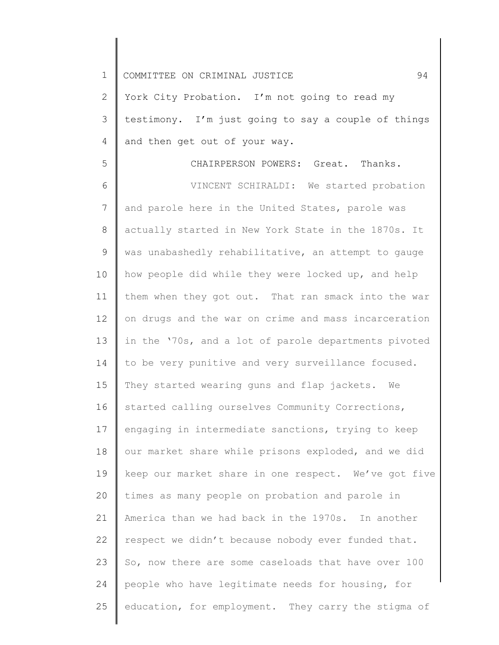| $\mathbf 1$    | 94<br>COMMITTEE ON CRIMINAL JUSTICE                  |
|----------------|------------------------------------------------------|
| 2              | York City Probation. I'm not going to read my        |
| 3              | testimony. I'm just going to say a couple of things  |
| 4              | and then get out of your way.                        |
| 5              | CHAIRPERSON POWERS: Great. Thanks.                   |
| 6              | VINCENT SCHIRALDI: We started probation              |
| $7\phantom{.}$ | and parole here in the United States, parole was     |
| 8              | actually started in New York State in the 1870s. It  |
| 9              | was unabashedly rehabilitative, an attempt to gauge  |
| 10             | how people did while they were locked up, and help   |
| 11             | them when they got out. That ran smack into the war  |
| 12             | on drugs and the war on crime and mass incarceration |
| 13             | in the '70s, and a lot of parole departments pivoted |
| 14             | to be very punitive and very surveillance focused.   |
| 15             | They started wearing guns and flap jackets. We       |
| 16             | started calling ourselves Community Corrections,     |
| 17             | engaging in intermediate sanctions, trying to keep   |
| 18             | our market share while prisons exploded, and we did  |
| 19             | keep our market share in one respect. We've got five |
| 20             | times as many people on probation and parole in      |
| 21             | America than we had back in the 1970s. In another    |
| 22             | respect we didn't because nobody ever funded that.   |
| 23             | So, now there are some caseloads that have over 100  |
| 24             | people who have legitimate needs for housing, for    |
| 25             | education, for employment. They carry the stigma of  |
|                |                                                      |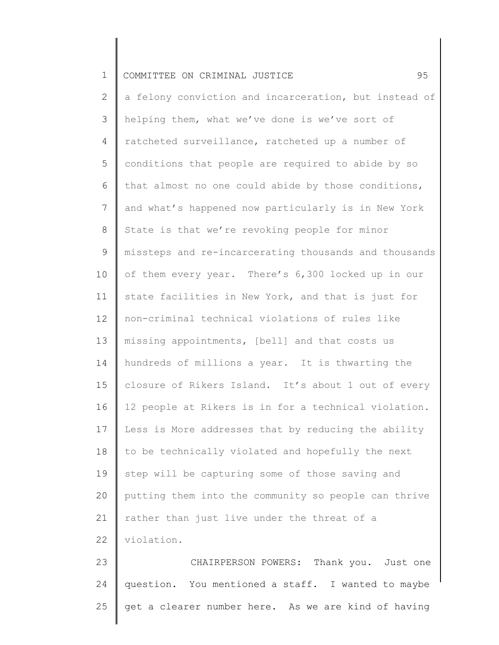|  | 1    COMMITTEE ON CRIMINAL JUSTICE |  |  |  |  |  |  |
|--|------------------------------------|--|--|--|--|--|--|
|--|------------------------------------|--|--|--|--|--|--|

2 3 4 5 6 7 8 9 10 11 12 13 14 15 16 17 18 19 20 21 22 a felony conviction and incarceration, but instead of helping them, what we've done is we've sort of ratcheted surveillance, ratcheted up a number of conditions that people are required to abide by so that almost no one could abide by those conditions, and what's happened now particularly is in New York State is that we're revoking people for minor missteps and re-incarcerating thousands and thousands of them every year. There's 6,300 locked up in our state facilities in New York, and that is just for non-criminal technical violations of rules like missing appointments, [bell] and that costs us hundreds of millions a year. It is thwarting the closure of Rikers Island. It's about 1 out of every 12 people at Rikers is in for a technical violation. Less is More addresses that by reducing the ability to be technically violated and hopefully the next step will be capturing some of those saving and putting them into the community so people can thrive rather than just live under the threat of a violation.

23 24 25 CHAIRPERSON POWERS: Thank you. Just one question. You mentioned a staff. I wanted to maybe get a clearer number here. As we are kind of having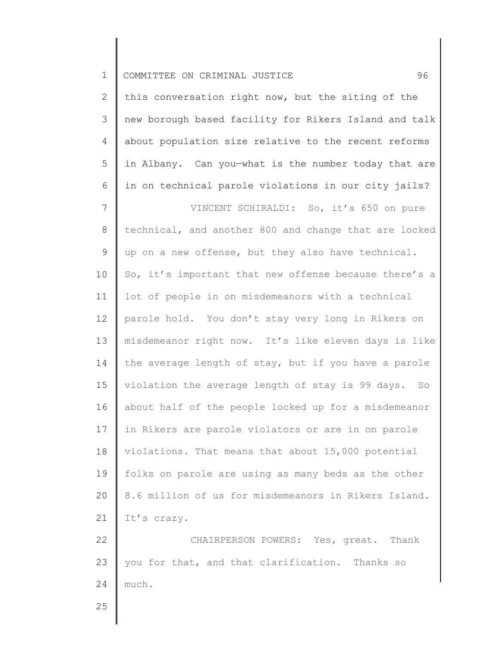| $1\,$            | 96<br>COMMITTEE ON CRIMINAL JUSTICE                   |
|------------------|-------------------------------------------------------|
| $\mathbf{2}$     | this conversation right now, but the siting of the    |
| $\mathcal{S}$    | new borough based facility for Rikers Island and talk |
| 4                | about population size relative to the recent reforms  |
| 5                | in Albany. Can you-what is the number today that are  |
| 6                | in on technical parole violations in our city jails?  |
| $\boldsymbol{7}$ | VINCENT SCHIRALDI: So, it's 650 on pure               |
| 8                | technical, and another 800 and change that are locked |
| 9                | up on a new offense, but they also have technical.    |
| 10               | So, it's important that new offense because there's a |
| 11               | lot of people in on misdemeanors with a technical     |
| 12               | parole hold. You don't stay very long in Rikers on    |
| 13               | misdemeanor right now. It's like eleven days is like  |
| 14               | the average length of stay, but if you have a parole  |
| 15               | violation the average length of stay is 99 days. So   |
| 16               | about half of the people locked up for a misdemeanor  |
| 17               | in Rikers are parole violators or are in on parole    |
| 18               | violations. That means that about 15,000 potential    |
| 19               | folks on parole are using as many beds as the other   |
| 20               | 8.6 million of us for misdemeanors in Rikers Island.  |
| 21               | It's crazy.                                           |
| 22               | CHAIRPERSON POWERS: Yes, great. Thank                 |
| 23               | you for that, and that clarification. Thanks so       |
| 24               | much.                                                 |
| 25               |                                                       |
|                  |                                                       |

∥ ∥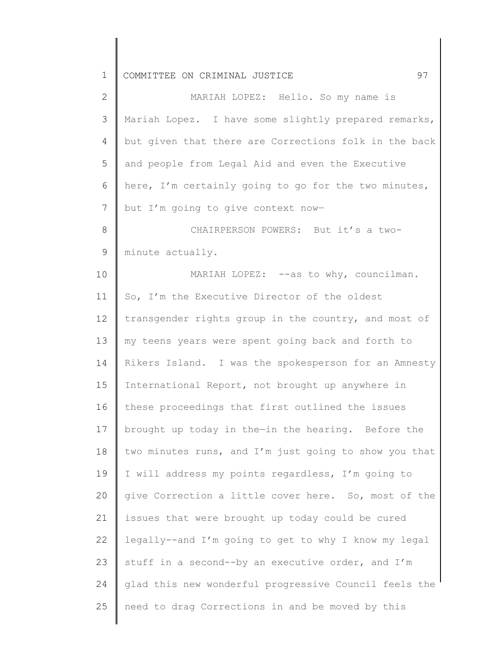| $\mathbf{2}$    | MARIAH LOPEZ: Hello. So my name is                    |
|-----------------|-------------------------------------------------------|
| 3               | Mariah Lopez. I have some slightly prepared remarks,  |
| 4               | but given that there are Corrections folk in the back |
| 5               | and people from Legal Aid and even the Executive      |
| 6               | here, I'm certainly going to go for the two minutes,  |
| $7\phantom{.0}$ | but I'm going to give context now-                    |
| 8               | CHAIRPERSON POWERS: But it's a two-                   |
| 9               | minute actually.                                      |
| 10              | MARIAH LOPEZ: --as to why, councilman.                |
| 11              | So, I'm the Executive Director of the oldest          |
| 12              | transgender rights group in the country, and most of  |
| 13              | my teens years were spent going back and forth to     |
| 14              | Rikers Island. I was the spokesperson for an Amnesty  |
| 15              | International Report, not brought up anywhere in      |
| 16              | these proceedings that first outlined the issues      |
| 17              | brought up today in the-in the hearing. Before the    |
| 18              | two minutes runs, and I'm just going to show you that |
| 19              | I will address my points regardless, I'm going to     |
| 20              | give Correction a little cover here. So, most of the  |
| 21              | issues that were brought up today could be cured      |
| 22              | legally--and I'm going to get to why I know my legal  |
| 23              | stuff in a second--by an executive order, and I'm     |
| 24              | glad this new wonderful progressive Council feels the |
| 25              | need to drag Corrections in and be moved by this      |
|                 |                                                       |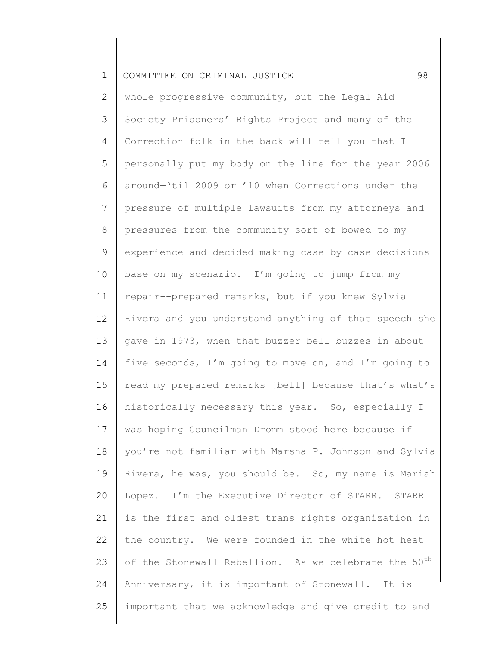2 3 4 5 6 7 8 9 10 11 12 13 14 15 16 17 18 19 20 21 22 23 24 25 whole progressive community, but the Legal Aid Society Prisoners' Rights Project and many of the Correction folk in the back will tell you that I personally put my body on the line for the year 2006 around—'til 2009 or '10 when Corrections under the pressure of multiple lawsuits from my attorneys and pressures from the community sort of bowed to my experience and decided making case by case decisions base on my scenario. I'm going to jump from my repair--prepared remarks, but if you knew Sylvia Rivera and you understand anything of that speech she gave in 1973, when that buzzer bell buzzes in about five seconds, I'm going to move on, and I'm going to read my prepared remarks [bell] because that's what's historically necessary this year. So, especially I was hoping Councilman Dromm stood here because if you're not familiar with Marsha P. Johnson and Sylvia Rivera, he was, you should be. So, my name is Mariah Lopez. I'm the Executive Director of STARR. STARR is the first and oldest trans rights organization in the country. We were founded in the white hot heat of the Stonewall Rebellion. As we celebrate the 50<sup>th</sup> Anniversary, it is important of Stonewall. It is important that we acknowledge and give credit to and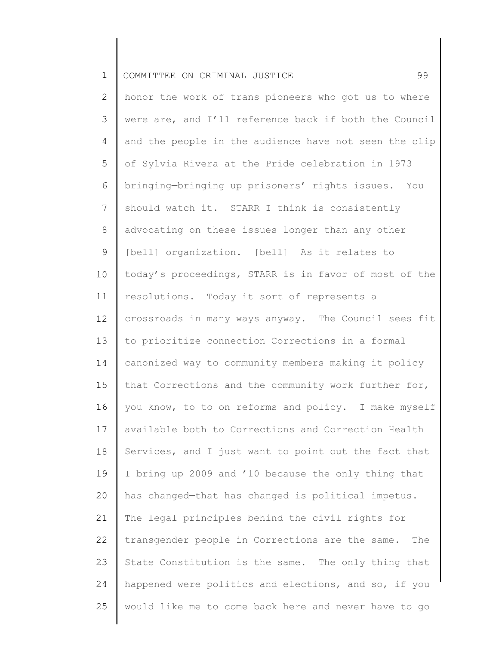|  | COMMITTEE ON CRIMINAL JUSTICE |  |  |  |  |  |  |
|--|-------------------------------|--|--|--|--|--|--|
|--|-------------------------------|--|--|--|--|--|--|

2 3 4 5 6 7 8 9 10 11 12 13 14 15 16 17 18 19 20 21 22 23 24 25 honor the work of trans pioneers who got us to where were are, and I'll reference back if both the Council and the people in the audience have not seen the clip of Sylvia Rivera at the Pride celebration in 1973 bringing—bringing up prisoners' rights issues. You should watch it. STARR I think is consistently advocating on these issues longer than any other [bell] organization. [bell] As it relates to today's proceedings, STARR is in favor of most of the resolutions. Today it sort of represents a crossroads in many ways anyway. The Council sees fit to prioritize connection Corrections in a formal canonized way to community members making it policy that Corrections and the community work further for, you know, to—to—on reforms and policy. I make myself available both to Corrections and Correction Health Services, and I just want to point out the fact that I bring up 2009 and '10 because the only thing that has changed—that has changed is political impetus. The legal principles behind the civil rights for transgender people in Corrections are the same. The State Constitution is the same. The only thing that happened were politics and elections, and so, if you would like me to come back here and never have to go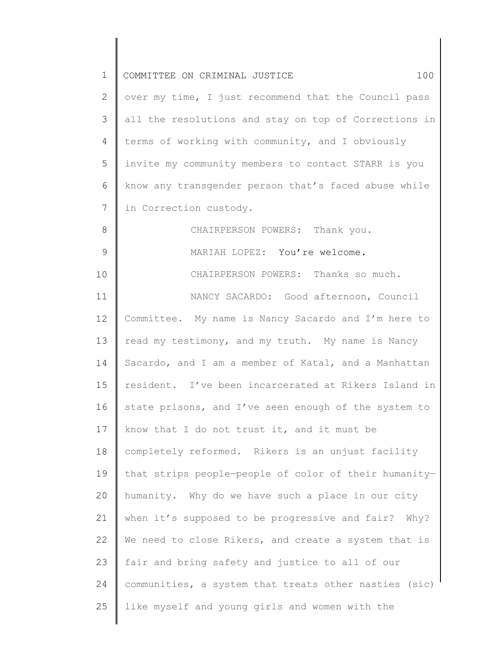| $\mathbf 1$    | COMMITTEE ON CRIMINAL JUSTICE<br>100                  |
|----------------|-------------------------------------------------------|
| 2              | over my time, I just recommend that the Council pass  |
| 3              | all the resolutions and stay on top of Corrections in |
| $\overline{4}$ | terms of working with community, and I obviously      |
| 5              | invite my community members to contact STARR is you   |
| 6              | know any transgender person that's faced abuse while  |
| 7              | in Correction custody.                                |
| 8              | CHAIRPERSON POWERS: Thank you.                        |
| 9              | MARIAH LOPEZ: You're welcome.                         |
| 10             | CHAIRPERSON POWERS: Thanks so much.                   |
| 11             | NANCY SACARDO: Good afternoon, Council                |
| 12             | Committee. My name is Nancy Sacardo and I'm here to   |
| 13             | read my testimony, and my truth. My name is Nancy     |
| 14             | Sacardo, and I am a member of Katal, and a Manhattan  |
| 15             | resident. I've been incarcerated at Rikers Island in  |
| 16             | state prisons, and I've seen enough of the system to  |
| 17             | know that I do not trust it, and it must be           |
| 18             | completely reformed. Rikers is an unjust facility     |
| 19             | that strips people-people of color of their humanity- |
| 20             | humanity. Why do we have such a place in our city     |
| 21             | when it's supposed to be progressive and fair? Why?   |
| 22             | We need to close Rikers, and create a system that is  |
| 23             | fair and bring safety and justice to all of our       |
| 24             | communities, a system that treats other nasties (sic) |
| 25             | like myself and young girls and women with the        |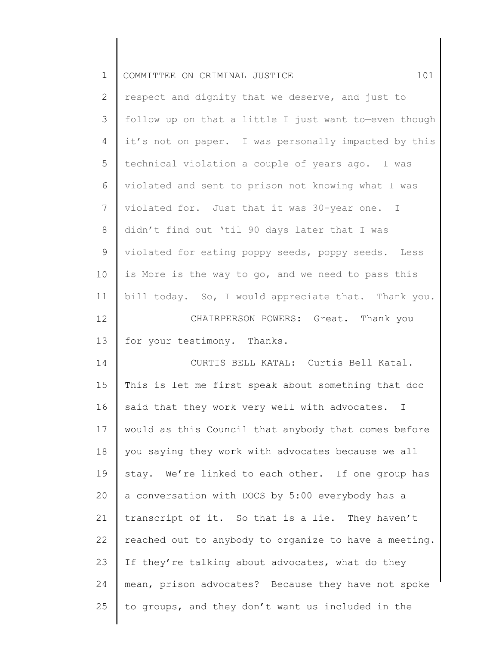| $\mathbf 1$     | 101<br>COMMITTEE ON CRIMINAL JUSTICE                  |
|-----------------|-------------------------------------------------------|
| $\mathbf{2}$    | respect and dignity that we deserve, and just to      |
| 3               | follow up on that a little I just want to-even though |
| $\overline{4}$  | it's not on paper. I was personally impacted by this  |
| 5               | technical violation a couple of years ago. I was      |
| 6               | violated and sent to prison not knowing what I was    |
| $7\overline{ }$ | violated for. Just that it was 30-year one. I         |
| $8\,$           | didn't find out 'til 90 days later that I was         |
| 9               | violated for eating poppy seeds, poppy seeds. Less    |
| 10              | is More is the way to go, and we need to pass this    |
| 11              | bill today. So, I would appreciate that. Thank you.   |
| 12              | CHAIRPERSON POWERS: Great. Thank you                  |
| 13              | for your testimony. Thanks.                           |
| 14              | CURTIS BELL KATAL: Curtis Bell Katal.                 |
| 15              | This is-let me first speak about something that doc   |
| 16              | said that they work very well with advocates. I       |
| 17              | would as this Council that anybody that comes before  |
| 18              | you saying they work with advocates because we all    |
| 19              | stay. We're linked to each other. If one group has    |
| 20              | a conversation with DOCS by 5:00 everybody has a      |
| 21              | transcript of it. So that is a lie. They haven't      |
| 22              | reached out to anybody to organize to have a meeting. |
| 23              | If they're talking about advocates, what do they      |
| 24              | mean, prison advocates? Because they have not spoke   |
| 25              | to groups, and they don't want us included in the     |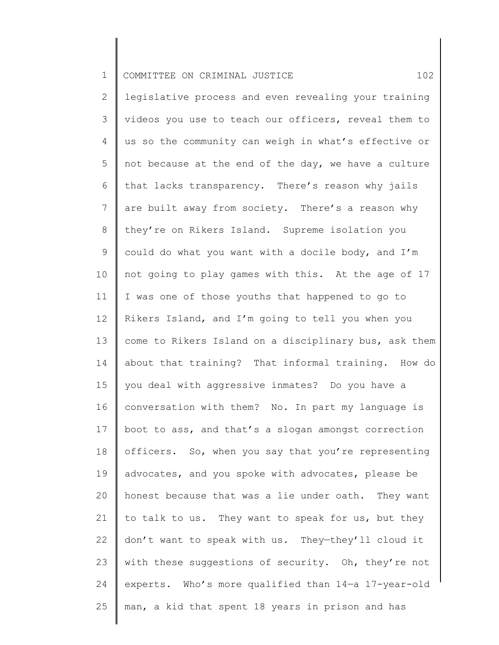| $\mathbf 1$  | 102<br>COMMITTEE ON CRIMINAL JUSTICE                  |
|--------------|-------------------------------------------------------|
| $\mathbf{2}$ | legislative process and even revealing your training  |
| 3            | videos you use to teach our officers, reveal them to  |
| 4            | us so the community can weigh in what's effective or  |
| 5            | not because at the end of the day, we have a culture  |
| 6            | that lacks transparency. There's reason why jails     |
| 7            | are built away from society. There's a reason why     |
| $\,8\,$      | they're on Rikers Island. Supreme isolation you       |
| $\mathsf 9$  | could do what you want with a docile body, and I'm    |
| 10           | not going to play games with this. At the age of 17   |
| 11           | I was one of those youths that happened to go to      |
| 12           | Rikers Island, and I'm going to tell you when you     |
| 13           | come to Rikers Island on a disciplinary bus, ask them |
| 14           | about that training? That informal training. How do   |
| 15           | you deal with aggressive inmates? Do you have a       |
| 16           | conversation with them? No. In part my language is    |
| 17           | boot to ass, and that's a slogan amongst correction   |
| 18           | officers. So, when you say that you're representing   |
| 19           | advocates, and you spoke with advocates, please be    |
| 20           | honest because that was a lie under oath. They want   |
| 21           | to talk to us. They want to speak for us, but they    |
| 22           | don't want to speak with us. They-they'll cloud it    |
| 23           | with these suggestions of security. Oh, they're not   |
| 24           | experts. Who's more qualified than 14-a 17-year-old   |
| 25           | man, a kid that spent 18 years in prison and has      |
|              |                                                       |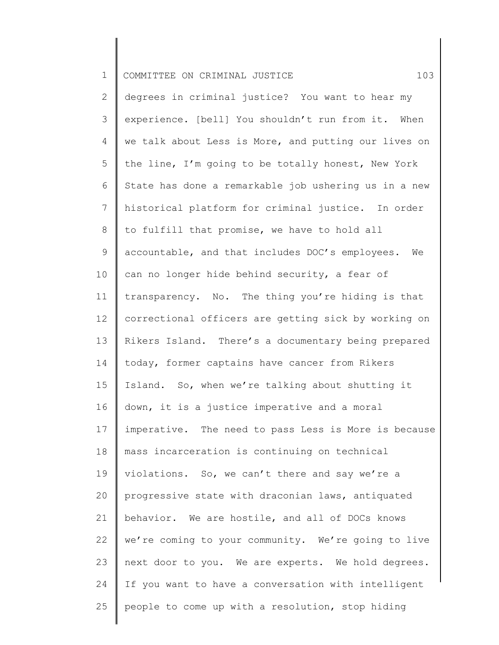| $\mathbf 1$     | 103<br>COMMITTEE ON CRIMINAL JUSTICE                  |
|-----------------|-------------------------------------------------------|
| 2               | degrees in criminal justice? You want to hear my      |
| 3               | experience. [bell] You shouldn't run from it. When    |
| $\overline{4}$  | we talk about Less is More, and putting our lives on  |
| 5               | the line, I'm going to be totally honest, New York    |
| 6               | State has done a remarkable job ushering us in a new  |
| $7\phantom{.0}$ | historical platform for criminal justice. In order    |
| 8               | to fulfill that promise, we have to hold all          |
| 9               | accountable, and that includes DOC's employees.<br>We |
| 10              | can no longer hide behind security, a fear of         |
| 11              | transparency. No. The thing you're hiding is that     |
| 12              | correctional officers are getting sick by working on  |
| 13              | Rikers Island. There's a documentary being prepared   |
| 14              | today, former captains have cancer from Rikers        |
| 15 <sub>1</sub> | Island. So, when we're talking about shutting it      |
| 16              | down, it is a justice imperative and a moral          |
| 17              | imperative. The need to pass Less is More is because  |
| 18              | mass incarceration is continuing on technical         |
| 19              | violations. So, we can't there and say we're a        |
| 20              | progressive state with draconian laws, antiquated     |
| 21              | behavior. We are hostile, and all of DOCs knows       |
| 22              | we're coming to your community. We're going to live   |
| 23              | next door to you. We are experts. We hold degrees.    |
| 24              | If you want to have a conversation with intelligent   |
| 25              | people to come up with a resolution, stop hiding      |
|                 |                                                       |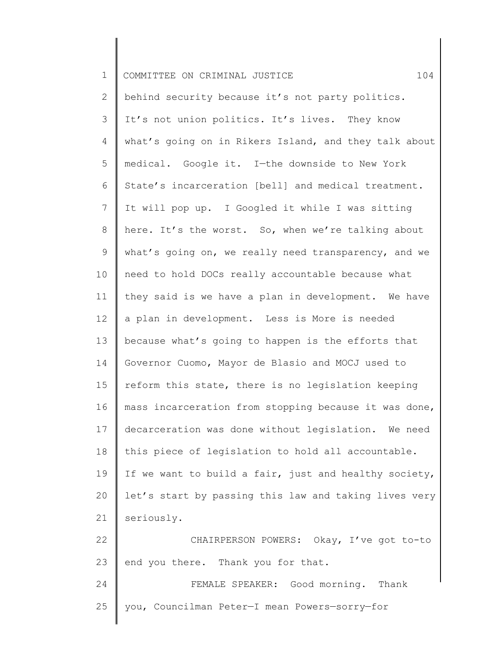| $\mathbf 1$     | 104<br>COMMITTEE ON CRIMINAL JUSTICE                  |
|-----------------|-------------------------------------------------------|
| $\overline{2}$  | behind security because it's not party politics.      |
| 3               | It's not union politics. It's lives. They know        |
| 4               | what's going on in Rikers Island, and they talk about |
| 5               | medical. Google it. I-the downside to New York        |
| 6               | State's incarceration [bell] and medical treatment.   |
| $\overline{7}$  | It will pop up. I Googled it while I was sitting      |
| 8               | here. It's the worst. So, when we're talking about    |
| 9               | what's going on, we really need transparency, and we  |
| 10              | need to hold DOCs really accountable because what     |
| 11              | they said is we have a plan in development. We have   |
| 12 <sup>°</sup> | a plan in development. Less is More is needed         |
| 13              | because what's going to happen is the efforts that    |
| 14              | Governor Cuomo, Mayor de Blasio and MOCJ used to      |
| 15              | reform this state, there is no legislation keeping    |
| 16              | mass incarceration from stopping because it was done, |
| 17              | decarceration was done without legislation. We need   |
| 18              | this piece of legislation to hold all accountable.    |
| 19              | If we want to build a fair, just and healthy society, |
| 20              | let's start by passing this law and taking lives very |
| 21              | seriously.                                            |
| 22              | CHAIRPERSON POWERS: Okay, I've got to-to              |
| 23              | end you there. Thank you for that.                    |
| 24              | FEMALE SPEAKER: Good morning.<br>Thank                |
| 25              | you, Councilman Peter-I mean Powers-sorry-for         |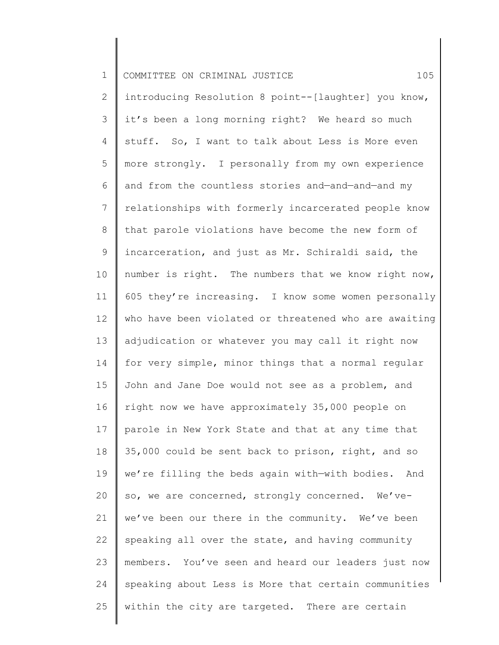| $\mathbf 1$    | 105<br>COMMITTEE ON CRIMINAL JUSTICE                  |
|----------------|-------------------------------------------------------|
| $\overline{2}$ | introducing Resolution 8 point--[laughter] you know,  |
| 3              | it's been a long morning right? We heard so much      |
| 4              | stuff. So, I want to talk about Less is More even     |
| 5              | more strongly. I personally from my own experience    |
| 6              | and from the countless stories and-and-and-and my     |
| $7\phantom{.}$ | relationships with formerly incarcerated people know  |
| $8\,$          | that parole violations have become the new form of    |
| 9              | incarceration, and just as Mr. Schiraldi said, the    |
| 10             | number is right. The numbers that we know right now,  |
| 11             | 605 they're increasing. I know some women personally  |
| 12             | who have been violated or threatened who are awaiting |
| 13             | adjudication or whatever you may call it right now    |
| 14             | for very simple, minor things that a normal regular   |
| 15             | John and Jane Doe would not see as a problem, and     |
| 16             | right now we have approximately 35,000 people on      |
| 17             | parole in New York State and that at any time that    |
| 18             | 35,000 could be sent back to prison, right, and so    |
| 19             | we're filling the beds again with-with bodies. And    |
| 20             | so, we are concerned, strongly concerned. We've-      |
| 21             | we've been our there in the community. We've been     |
| 22             | speaking all over the state, and having community     |
| 23             | members. You've seen and heard our leaders just now   |
| 24             | speaking about Less is More that certain communities  |
| 25             | within the city are targeted. There are certain       |
|                |                                                       |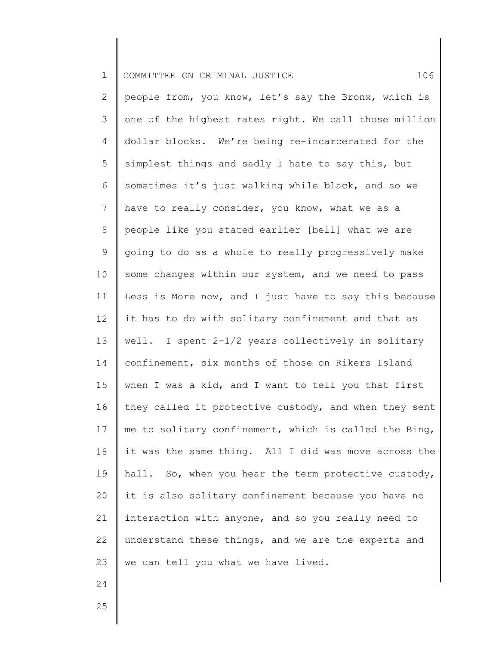1 2 3 4 5 6 7 8 9 10 11 12 13 14 15 16 17 18 19 20 21 22 23 COMMITTEE ON CRIMINAL JUSTICE 106 people from, you know, let's say the Bronx, which is one of the highest rates right. We call those million dollar blocks. We're being re-incarcerated for the simplest things and sadly I hate to say this, but sometimes it's just walking while black, and so we have to really consider, you know, what we as a people like you stated earlier [bell] what we are going to do as a whole to really progressively make some changes within our system, and we need to pass Less is More now, and I just have to say this because it has to do with solitary confinement and that as well. I spent 2-1/2 years collectively in solitary confinement, six months of those on Rikers Island when I was a kid, and I want to tell you that first they called it protective custody, and when they sent me to solitary confinement, which is called the Bing, it was the same thing. All I did was move across the hall. So, when you hear the term protective custody, it is also solitary confinement because you have no interaction with anyone, and so you really need to understand these things, and we are the experts and we can tell you what we have lived.

25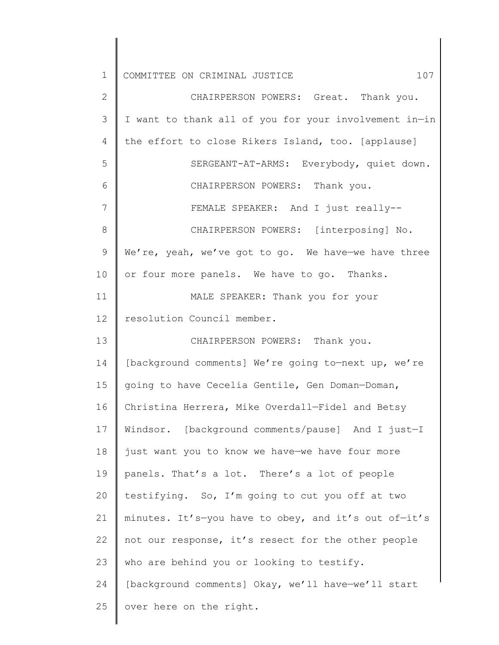| $\mathbf 1$    | 107<br>COMMITTEE ON CRIMINAL JUSTICE                  |
|----------------|-------------------------------------------------------|
| $\overline{2}$ | CHAIRPERSON POWERS: Great. Thank you.                 |
| 3              | I want to thank all of you for your involvement in-in |
| 4              | the effort to close Rikers Island, too. [applause]    |
| 5              | SERGEANT-AT-ARMS: Everybody, quiet down.              |
| 6              | CHAIRPERSON POWERS: Thank you.                        |
| 7              | FEMALE SPEAKER: And I just really--                   |
| 8              | CHAIRPERSON POWERS: [interposing] No.                 |
| $\mathsf 9$    | We're, yeah, we've got to go. We have-we have three   |
| 10             | or four more panels. We have to go. Thanks.           |
| 11             | MALE SPEAKER: Thank you for your                      |
| 12             | resolution Council member.                            |
| 13             | CHAIRPERSON POWERS: Thank you.                        |
| 14             | [background comments] We're going to-next up, we're   |
| 15             | going to have Cecelia Gentile, Gen Doman-Doman,       |
| 16             | Christina Herrera, Mike Overdall-Fidel and Betsy      |
| 17             | Windsor. [background comments/pause] And I just-I     |
| 18             | just want you to know we have-we have four more       |
| 19             | panels. That's a lot. There's a lot of people         |
| 20             | testifying. So, I'm going to cut you off at two       |
| 21             | minutes. It's-you have to obey, and it's out of-it's  |
| 22             | not our response, it's resect for the other people    |
| 23             | who are behind you or looking to testify.             |
| 24             | [background comments] Okay, we'll have-we'll start    |
| 25             | over here on the right.                               |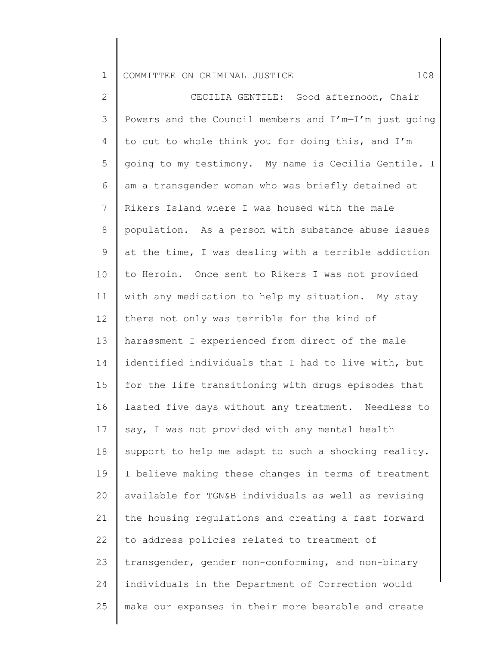2 3 4 5 6 7 8 9 10 11 12 13 14 15 16 17 18 19 20 21 22 23 24 25 CECILIA GENTILE: Good afternoon, Chair Powers and the Council members and I'm—I'm just going to cut to whole think you for doing this, and I'm going to my testimony. My name is Cecilia Gentile. I am a transgender woman who was briefly detained at Rikers Island where I was housed with the male population. As a person with substance abuse issues at the time, I was dealing with a terrible addiction to Heroin. Once sent to Rikers I was not provided with any medication to help my situation. My stay there not only was terrible for the kind of harassment I experienced from direct of the male identified individuals that I had to live with, but for the life transitioning with drugs episodes that lasted five days without any treatment. Needless to say, I was not provided with any mental health support to help me adapt to such a shocking reality. I believe making these changes in terms of treatment available for TGN&B individuals as well as revising the housing regulations and creating a fast forward to address policies related to treatment of transgender, gender non-conforming, and non-binary individuals in the Department of Correction would make our expanses in their more bearable and create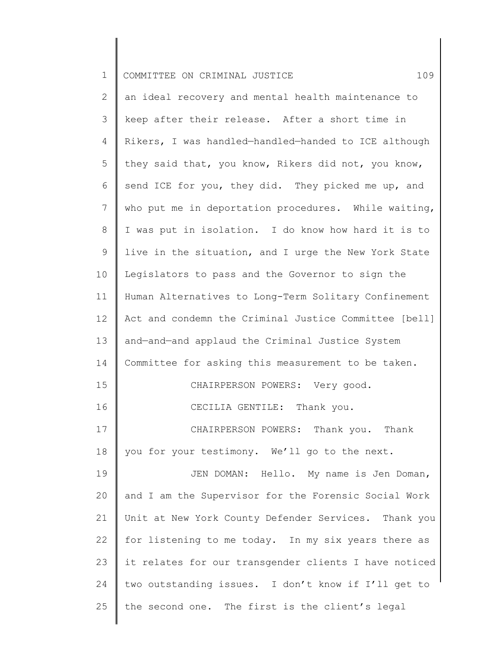| $\mathbf 1$    | 109<br>COMMITTEE ON CRIMINAL JUSTICE                  |
|----------------|-------------------------------------------------------|
| $\mathbf{2}$   | an ideal recovery and mental health maintenance to    |
| 3              | keep after their release. After a short time in       |
| $\overline{4}$ | Rikers, I was handled-handled-handed to ICE although  |
| 5              | they said that, you know, Rikers did not, you know,   |
| 6              | send ICE for you, they did. They picked me up, and    |
| $\overline{7}$ | who put me in deportation procedures. While waiting,  |
| $8\,$          | I was put in isolation. I do know how hard it is to   |
| $\mathsf 9$    | live in the situation, and I urge the New York State  |
| 10             | Legislators to pass and the Governor to sign the      |
| 11             | Human Alternatives to Long-Term Solitary Confinement  |
| 12             | Act and condemn the Criminal Justice Committee [bell] |
| 13             | and-and-and applaud the Criminal Justice System       |
| 14             | Committee for asking this measurement to be taken.    |
| 15             | CHAIRPERSON POWERS: Very good.                        |
| 16             | CECILIA GENTILE: Thank you.                           |
| 17             | CHAIRPERSON POWERS: Thank you. Thank                  |
| $18\,$         | you for your testimony. We'll go to the next.         |
| 19             | JEN DOMAN: Hello. My name is Jen Doman,               |
| 20             | and I am the Supervisor for the Forensic Social Work  |
| 21             | Unit at New York County Defender Services. Thank you  |
| 22             | for listening to me today. In my six years there as   |
| 23             | it relates for our transgender clients I have noticed |
| 24             | two outstanding issues. I don't know if I'll get to   |
| 25             | the second one. The first is the client's legal       |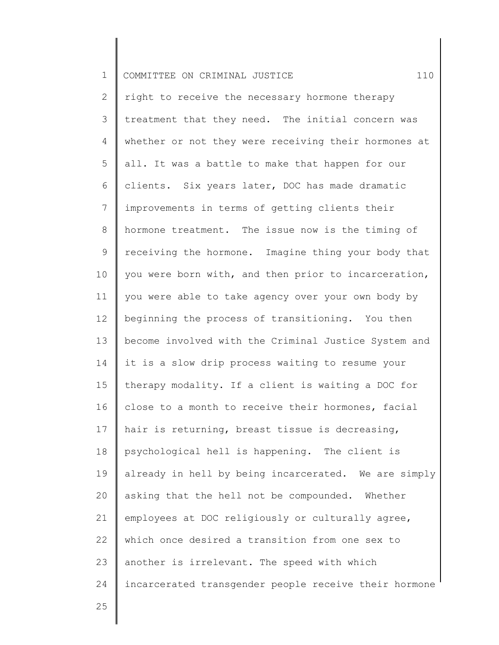| $\mathbf 1$     | 110<br>COMMITTEE ON CRIMINAL JUSTICE                  |
|-----------------|-------------------------------------------------------|
| $\mathbf{2}$    | right to receive the necessary hormone therapy        |
| 3               | treatment that they need. The initial concern was     |
| 4               | whether or not they were receiving their hormones at  |
| 5               | all. It was a battle to make that happen for our      |
| 6               | clients. Six years later, DOC has made dramatic       |
| $7\phantom{.0}$ | improvements in terms of getting clients their        |
| 8               | hormone treatment. The issue now is the timing of     |
| 9               | receiving the hormone. Imagine thing your body that   |
| 10              | you were born with, and then prior to incarceration,  |
| 11              | you were able to take agency over your own body by    |
| 12              | beginning the process of transitioning. You then      |
| 13              | become involved with the Criminal Justice System and  |
| 14              | it is a slow drip process waiting to resume your      |
| 15              | therapy modality. If a client is waiting a DOC for    |
| 16              | close to a month to receive their hormones, facial    |
| 17              | hair is returning, breast tissue is decreasing,       |
| 18              | psychological hell is happening. The client is        |
| 19              | already in hell by being incarcerated. We are simply  |
| 20              | asking that the hell not be compounded. Whether       |
| 21              | employees at DOC religiously or culturally agree,     |
| 22              | which once desired a transition from one sex to       |
| 23              | another is irrelevant. The speed with which           |
| 24              | incarcerated transgender people receive their hormone |
| 25              |                                                       |
|                 |                                                       |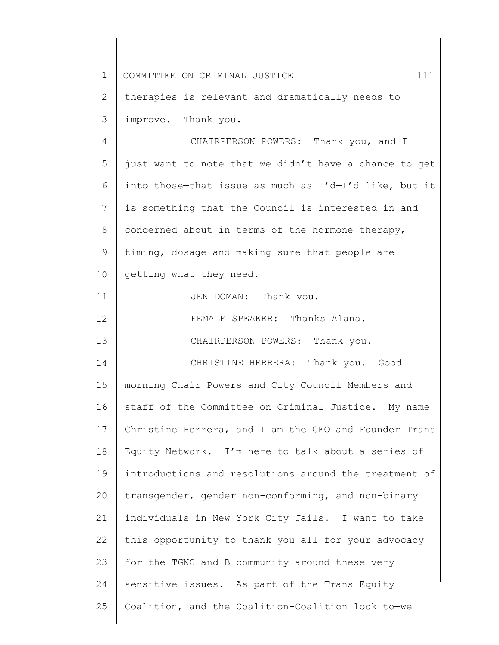| $\mathbf 1$  | 111<br>COMMITTEE ON CRIMINAL JUSTICE                        |
|--------------|-------------------------------------------------------------|
| $\mathbf{2}$ | therapies is relevant and dramatically needs to             |
| 3            | improve. Thank you.                                         |
| 4            | CHAIRPERSON POWERS: Thank you, and I                        |
| 5            | just want to note that we didn't have a chance to get       |
| 6            | into those-that issue as much as $I' d - I' d$ like, but it |
| 7            | is something that the Council is interested in and          |
| $8\,$        | concerned about in terms of the hormone therapy,            |
| 9            | timing, dosage and making sure that people are              |
| 10           | getting what they need.                                     |
| 11           | JEN DOMAN: Thank you.                                       |
| 12           | FEMALE SPEAKER: Thanks Alana.                               |
| 13           | CHAIRPERSON POWERS: Thank you.                              |
| 14           | CHRISTINE HERRERA: Thank you. Good                          |
| 15           | morning Chair Powers and City Council Members and           |
| 16           | staff of the Committee on Criminal Justice. My name         |
| 17           | Christine Herrera, and I am the CEO and Founder Trans       |
| 18           | Equity Network. I'm here to talk about a series of          |
| 19           | introductions and resolutions around the treatment of       |
| 20           | transgender, gender non-conforming, and non-binary          |
| 21           | individuals in New York City Jails. I want to take          |
| 22           | this opportunity to thank you all for your advocacy         |
| 23           | for the TGNC and B community around these very              |
| 24           | sensitive issues. As part of the Trans Equity               |
| 25           | Coalition, and the Coalition-Coalition look to-we           |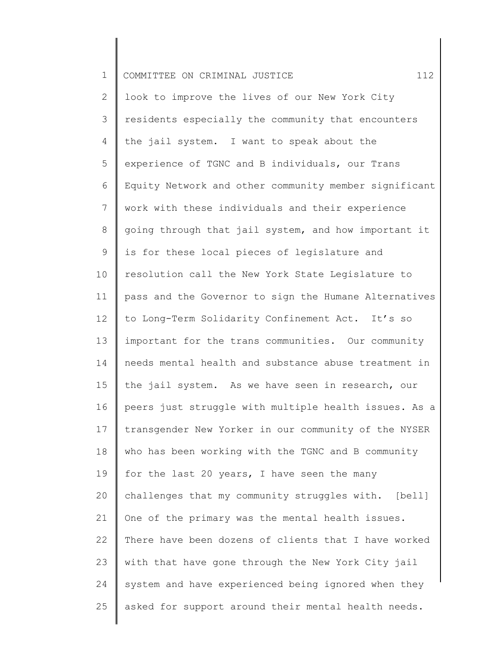| $\mathbf 1$     | 112<br>COMMITTEE ON CRIMINAL JUSTICE                  |
|-----------------|-------------------------------------------------------|
| 2               | look to improve the lives of our New York City        |
| $\mathfrak{Z}$  | residents especially the community that encounters    |
| 4               | the jail system. I want to speak about the            |
| 5               | experience of TGNC and B individuals, our Trans       |
| 6               | Equity Network and other community member significant |
| $7\phantom{.0}$ | work with these individuals and their experience      |
| $8\,$           | going through that jail system, and how important it  |
| 9               | is for these local pieces of legislature and          |
| 10              | resolution call the New York State Legislature to     |
| 11              | pass and the Governor to sign the Humane Alternatives |
| 12              | to Long-Term Solidarity Confinement Act. It's so      |
| 13              | important for the trans communities. Our community    |
| 14              | needs mental health and substance abuse treatment in  |
| 15              | the jail system. As we have seen in research, our     |
| 16              | peers just struggle with multiple health issues. As a |
| 17              | transgender New Yorker in our community of the NYSER  |
| 18              | who has been working with the TGNC and B community    |
| 19              | for the last 20 years, I have seen the many           |
| 20              | challenges that my community struggles with. [bell]   |
| 21              | One of the primary was the mental health issues.      |
| 22              | There have been dozens of clients that I have worked  |
| 23              | with that have gone through the New York City jail    |
| 24              | system and have experienced being ignored when they   |
| 25              | asked for support around their mental health needs.   |
|                 |                                                       |

║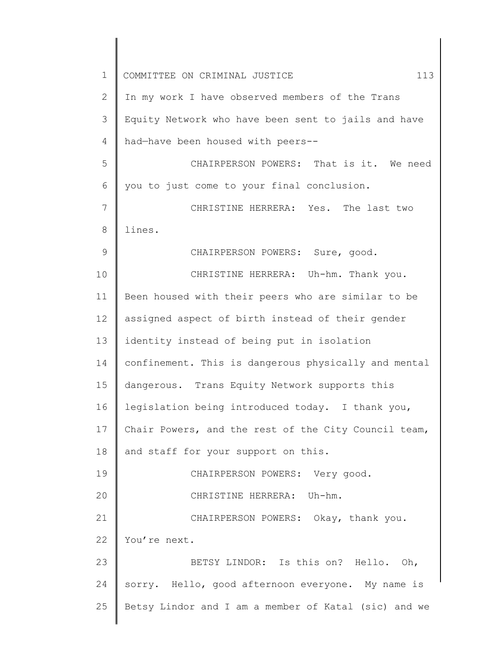| $\mathbf 1$ | COMMITTEE ON CRIMINAL JUSTICE<br>113                 |
|-------------|------------------------------------------------------|
| 2           | In my work I have observed members of the Trans      |
| 3           | Equity Network who have been sent to jails and have  |
| 4           | had-have been housed with peers--                    |
| 5           | CHAIRPERSON POWERS: That is it. We need              |
| 6           | you to just come to your final conclusion.           |
| 7           | CHRISTINE HERRERA: Yes. The last two                 |
| 8           | lines.                                               |
| 9           | CHAIRPERSON POWERS: Sure, good.                      |
| 10          | CHRISTINE HERRERA: Uh-hm. Thank you.                 |
| 11          | Been housed with their peers who are similar to be   |
| 12          | assigned aspect of birth instead of their gender     |
| 13          | identity instead of being put in isolation           |
| 14          | confinement. This is dangerous physically and mental |
| 15          | dangerous. Trans Equity Network supports this        |
| 16          | legislation being introduced today. I thank you,     |
| 17          | Chair Powers, and the rest of the City Council team, |
| 18          | and staff for your support on this.                  |
| 19          | CHAIRPERSON POWERS: Very good.                       |
| 20          | CHRISTINE HERRERA: Uh-hm.                            |
| 21          | CHAIRPERSON POWERS: Okay, thank you.                 |
| 22          | You're next.                                         |
| 23          | BETSY LINDOR: Is this on? Hello. Oh,                 |
| 24          | sorry. Hello, good afternoon everyone. My name is    |
| 25          | Betsy Lindor and I am a member of Katal (sic) and we |
|             |                                                      |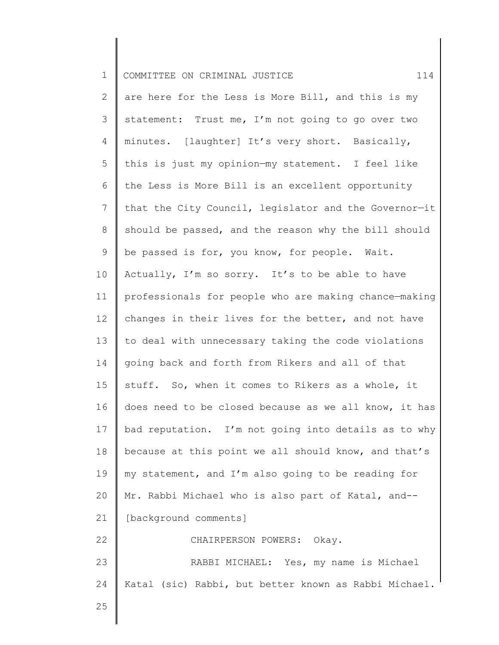| $1\,$          | 114<br>COMMITTEE ON CRIMINAL JUSTICE                  |
|----------------|-------------------------------------------------------|
| $\overline{2}$ | are here for the Less is More Bill, and this is my    |
| 3              | statement: Trust me, I'm not going to go over two     |
| 4              | minutes. [laughter] It's very short. Basically,       |
| 5              | this is just my opinion-my statement. I feel like     |
| 6              | the Less is More Bill is an excellent opportunity     |
| $\overline{7}$ | that the City Council, legislator and the Governor-it |
| 8              | should be passed, and the reason why the bill should  |
| 9              | be passed is for, you know, for people. Wait.         |
| 10             | Actually, I'm so sorry. It's to be able to have       |
| 11             | professionals for people who are making chance-making |
| 12             | changes in their lives for the better, and not have   |
| 13             | to deal with unnecessary taking the code violations   |
| 14             | going back and forth from Rikers and all of that      |
| 15             | stuff. So, when it comes to Rikers as a whole, it     |
| 16             | does need to be closed because as we all know, it has |
| 17             | bad reputation. I'm not going into details as to why  |
| 18             | because at this point we all should know, and that's  |
| 19             | my statement, and I'm also going to be reading for    |
| 20             | Mr. Rabbi Michael who is also part of Katal, and--    |
| 21             | [background comments]                                 |
| 22             | CHAIRPERSON POWERS: Okay.                             |
| 23             | RABBI MICHAEL: Yes, my name is Michael                |
| 24             | Katal (sic) Rabbi, but better known as Rabbi Michael. |
| 25             |                                                       |
|                |                                                       |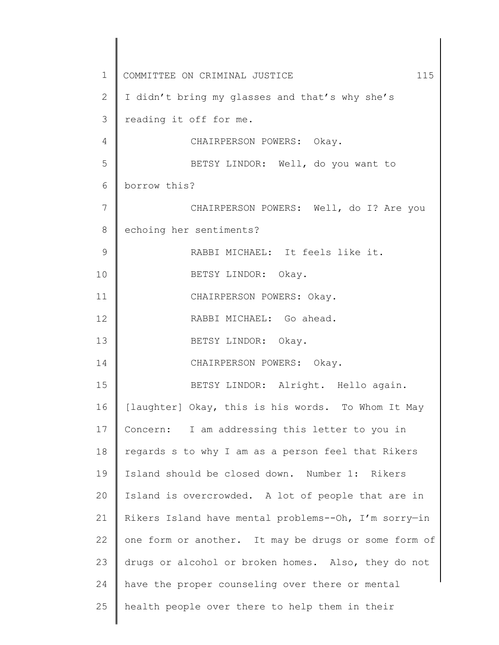1 2 3 4 5 6 7 8 9 10 11 12 13 14 15 16 17 18 19 20 21 22 23 24 25 COMMITTEE ON CRIMINAL JUSTICE 115 I didn't bring my glasses and that's why she's reading it off for me. CHAIRPERSON POWERS: Okay. BETSY LINDOR: Well, do you want to borrow this? CHAIRPERSON POWERS: Well, do I? Are you echoing her sentiments? RABBI MICHAEL: It feels like it. BETSY LINDOR: Okay. CHAIRPERSON POWERS: Okay. RABBI MICHAEL: Go ahead. BETSY LINDOR: Okay. CHAIRPERSON POWERS: Okay. BETSY LINDOR: Alright. Hello again. [laughter] Okay, this is his words. To Whom It May Concern: I am addressing this letter to you in regards s to why I am as a person feel that Rikers Island should be closed down. Number 1: Rikers Island is overcrowded. A lot of people that are in Rikers Island have mental problems--Oh, I'm sorry—in one form or another. It may be drugs or some form of drugs or alcohol or broken homes. Also, they do not have the proper counseling over there or mental health people over there to help them in their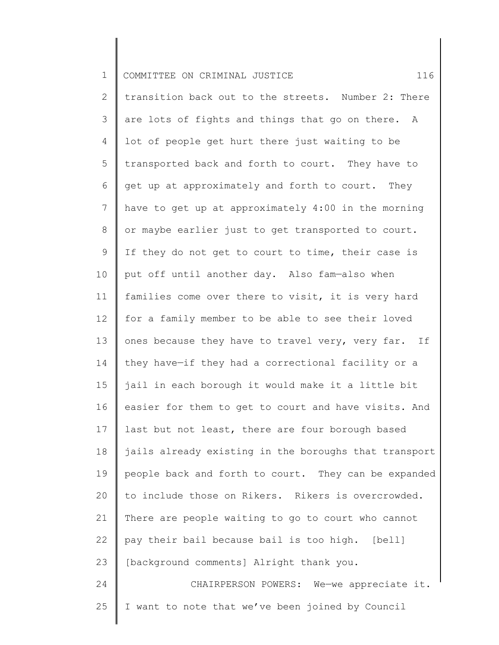| $\mathbf 1$     | 116<br>COMMITTEE ON CRIMINAL JUSTICE                  |
|-----------------|-------------------------------------------------------|
| $\mathbf{2}$    | transition back out to the streets. Number 2: There   |
| 3               | are lots of fights and things that go on there. A     |
| 4               | lot of people get hurt there just waiting to be       |
| 5               | transported back and forth to court. They have to     |
| 6               | get up at approximately and forth to court. They      |
| $7\phantom{.0}$ | have to get up at approximately 4:00 in the morning   |
| 8               | or maybe earlier just to get transported to court.    |
| $\mathsf 9$     | If they do not get to court to time, their case is    |
| 10              | put off until another day. Also fam-also when         |
| 11              | families come over there to visit, it is very hard    |
| 12              | for a family member to be able to see their loved     |
| 13              | ones because they have to travel very, very far. If   |
| 14              | they have-if they had a correctional facility or a    |
| 15              | jail in each borough it would make it a little bit    |
| 16              | easier for them to get to court and have visits. And  |
| 17              | last but not least, there are four borough based      |
| 18              | jails already existing in the boroughs that transport |
| 19              | people back and forth to court. They can be expanded  |
| 20              | to include those on Rikers. Rikers is overcrowded.    |
| 21              | There are people waiting to go to court who cannot    |
| 22              | pay their bail because bail is too high. [bell]       |
| 23              | [background comments] Alright thank you.              |
| 24              | CHAIRPERSON POWERS: We-we appreciate it.              |
| 25              | I want to note that we've been joined by Council      |
|                 |                                                       |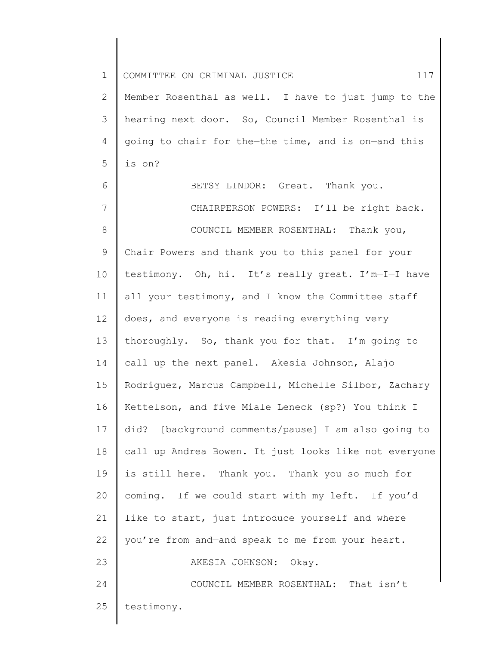| $\mathbf 1$  | 117<br>COMMITTEE ON CRIMINAL JUSTICE                  |
|--------------|-------------------------------------------------------|
| $\mathbf{2}$ | Member Rosenthal as well. I have to just jump to the  |
| 3            | hearing next door. So, Council Member Rosenthal is    |
| 4            | going to chair for the-the time, and is on-and this   |
| 5            | is on?                                                |
| 6            | BETSY LINDOR: Great. Thank you.                       |
| 7            | CHAIRPERSON POWERS: I'll be right back.               |
| $8\,$        | COUNCIL MEMBER ROSENTHAL: Thank you,                  |
| 9            | Chair Powers and thank you to this panel for your     |
| 10           | testimony. Oh, hi. It's really great. I'm-I-I have    |
| 11           | all your testimony, and I know the Committee staff    |
| 12           | does, and everyone is reading everything very         |
| 13           | thoroughly. So, thank you for that. I'm going to      |
| 14           | call up the next panel. Akesia Johnson, Alajo         |
| 15           | Rodriguez, Marcus Campbell, Michelle Silbor, Zachary  |
| 16           | Kettelson, and five Miale Leneck (sp?) You think I    |
| 17           | did? [background comments/pause] I am also going to   |
| 18           | call up Andrea Bowen. It just looks like not everyone |
| 19           | is still here. Thank you. Thank you so much for       |
| 20           | coming. If we could start with my left. If you'd      |
| 21           | like to start, just introduce yourself and where      |
| 22           | you're from and-and speak to me from your heart.      |
| 23           | AKESIA JOHNSON: Okay.                                 |
| 24           | COUNCIL MEMBER ROSENTHAL: That isn't                  |
| 25           | testimony.                                            |
|              |                                                       |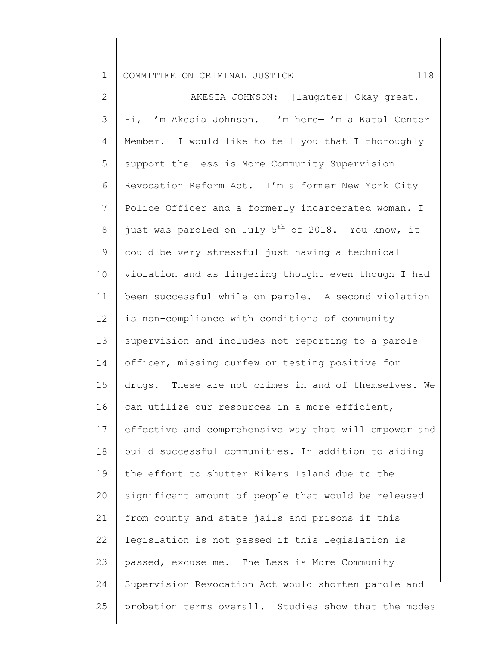2 3 4 5 6 7 8 9 10 11 12 13 14 15 16 17 18 19 20 21 22 23 24 25 AKESIA JOHNSON: [laughter] Okay great. Hi, I'm Akesia Johnson. I'm here—I'm a Katal Center Member. I would like to tell you that I thoroughly support the Less is More Community Supervision Revocation Reform Act. I'm a former New York City Police Officer and a formerly incarcerated woman. I just was paroled on July  $5^{th}$  of 2018. You know, it could be very stressful just having a technical violation and as lingering thought even though I had been successful while on parole. A second violation is non-compliance with conditions of community supervision and includes not reporting to a parole officer, missing curfew or testing positive for drugs. These are not crimes in and of themselves. We can utilize our resources in a more efficient, effective and comprehensive way that will empower and build successful communities. In addition to aiding the effort to shutter Rikers Island due to the significant amount of people that would be released from county and state jails and prisons if this legislation is not passed—if this legislation is passed, excuse me. The Less is More Community Supervision Revocation Act would shorten parole and probation terms overall. Studies show that the modes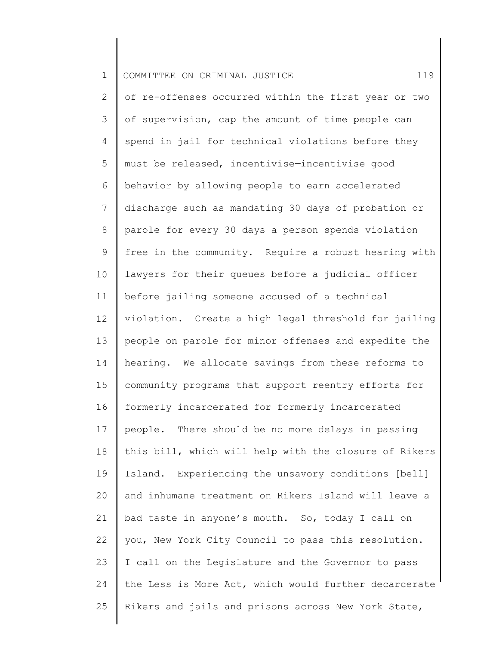| $\mathbf 1$    | 119<br>COMMITTEE ON CRIMINAL JUSTICE                  |
|----------------|-------------------------------------------------------|
| $\overline{2}$ | of re-offenses occurred within the first year or two  |
| 3              | of supervision, cap the amount of time people can     |
| 4              | spend in jail for technical violations before they    |
| 5              | must be released, incentivise-incentivise good        |
| 6              | behavior by allowing people to earn accelerated       |
| 7              | discharge such as mandating 30 days of probation or   |
| 8              | parole for every 30 days a person spends violation    |
| 9              | free in the community. Require a robust hearing with  |
| 10             | lawyers for their queues before a judicial officer    |
| 11             | before jailing someone accused of a technical         |
| 12             | violation. Create a high legal threshold for jailing  |
| 13             | people on parole for minor offenses and expedite the  |
| 14             | hearing. We allocate savings from these reforms to    |
| 15             | community programs that support reentry efforts for   |
| 16             | formerly incarcerated-for formerly incarcerated       |
| 17             | people. There should be no more delays in passing     |
| 18             | this bill, which will help with the closure of Rikers |
| 19             | Island. Experiencing the unsavory conditions [bell]   |
| 20             | and inhumane treatment on Rikers Island will leave a  |
| 21             | bad taste in anyone's mouth. So, today I call on      |
| 22             | you, New York City Council to pass this resolution.   |
| 23             | I call on the Legislature and the Governor to pass    |
| 24             | the Less is More Act, which would further decarcerate |
| 25             | Rikers and jails and prisons across New York State,   |
|                |                                                       |

 $\begin{array}{c} \hline \end{array}$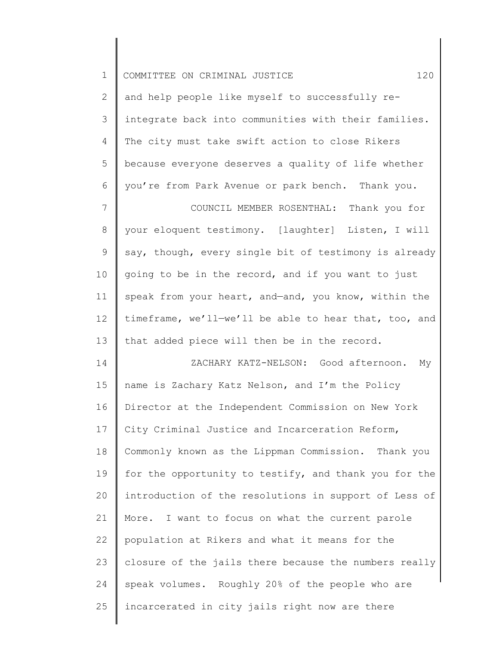| $\mathbf 1$ | 120<br>COMMITTEE ON CRIMINAL JUSTICE                  |
|-------------|-------------------------------------------------------|
| 2           | and help people like myself to successfully re-       |
| 3           | integrate back into communities with their families.  |
| 4           | The city must take swift action to close Rikers       |
| 5           | because everyone deserves a quality of life whether   |
| 6           | you're from Park Avenue or park bench. Thank you.     |
| 7           | COUNCIL MEMBER ROSENTHAL: Thank you for               |
| 8           | your eloquent testimony. [laughter] Listen, I will    |
| 9           | say, though, every single bit of testimony is already |
| 10          | going to be in the record, and if you want to just    |
| 11          | speak from your heart, and-and, you know, within the  |
| 12          | timeframe, we'll-we'll be able to hear that, too, and |
| 13          | that added piece will then be in the record.          |
| 14          | ZACHARY KATZ-NELSON: Good afternoon.<br>Мy            |
| 15          | name is Zachary Katz Nelson, and I'm the Policy       |
| 16          | Director at the Independent Commission on New York    |
| 17          | City Criminal Justice and Incarceration Reform,       |
| 18          | Commonly known as the Lippman Commission. Thank you   |
| 19          | for the opportunity to testify, and thank you for the |
| 20          | introduction of the resolutions in support of Less of |
| 21          | More. I want to focus on what the current parole      |
| 22          | population at Rikers and what it means for the        |
| 23          | closure of the jails there because the numbers really |
| 24          | speak volumes. Roughly 20% of the people who are      |
| 25          | incarcerated in city jails right now are there        |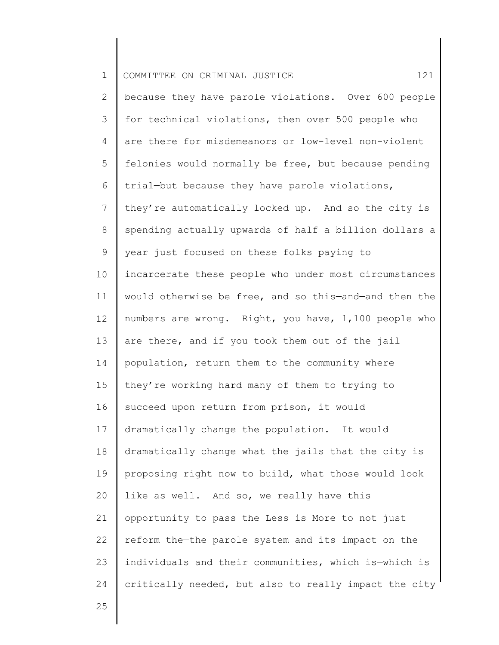| $\mathbf 1$    | 121<br>COMMITTEE ON CRIMINAL JUSTICE                  |
|----------------|-------------------------------------------------------|
| $\mathbf{2}$   | because they have parole violations. Over 600 people  |
| 3              | for technical violations, then over 500 people who    |
| 4              | are there for misdemeanors or low-level non-violent   |
| 5              | felonies would normally be free, but because pending  |
| 6              | trial-but because they have parole violations,        |
| $7\phantom{.}$ | they're automatically locked up. And so the city is   |
| 8              | spending actually upwards of half a billion dollars a |
| 9              | year just focused on these folks paying to            |
| 10             | incarcerate these people who under most circumstances |
| 11             | would otherwise be free, and so this-and-and then the |
| 12             | numbers are wrong. Right, you have, 1,100 people who  |
| 13             | are there, and if you took them out of the jail       |
| 14             | population, return them to the community where        |
| 15             | they're working hard many of them to trying to        |
| 16             | succeed upon return from prison, it would             |
| 17             | dramatically change the population. It would          |
| 18             | dramatically change what the jails that the city is   |
| 19             | proposing right now to build, what those would look   |
| 20             | like as well. And so, we really have this             |
| 21             | opportunity to pass the Less is More to not just      |
| 22             | reform the-the parole system and its impact on the    |
| 23             | individuals and their communities, which is-which is  |
| 24             | critically needed, but also to really impact the city |
| 25             |                                                       |
|                |                                                       |

 $\parallel$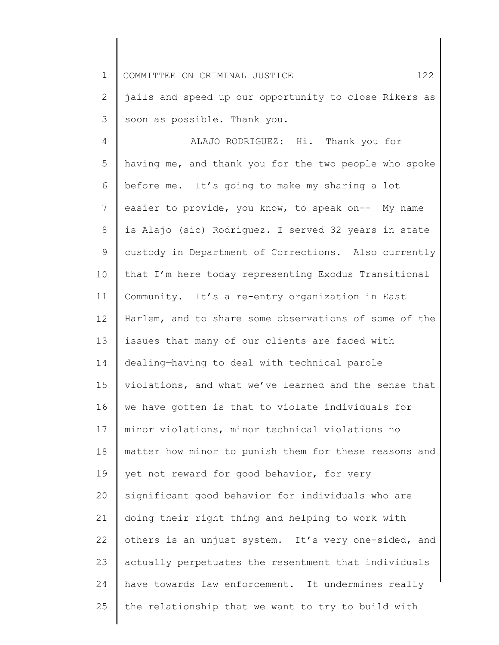1 2 COMMITTEE ON CRIMINAL JUSTICE 122 jails and speed up our opportunity to close Rikers as

soon as possible. Thank you.

3

4 5 6 7 8 9 10 11 12 13 14 15 16 17 18 19 20 21 22 23 24 25 ALAJO RODRIGUEZ: Hi. Thank you for having me, and thank you for the two people who spoke before me. It's going to make my sharing a lot easier to provide, you know, to speak on-- My name is Alajo (sic) Rodriguez. I served 32 years in state custody in Department of Corrections. Also currently that I'm here today representing Exodus Transitional Community. It's a re-entry organization in East Harlem, and to share some observations of some of the issues that many of our clients are faced with dealing—having to deal with technical parole violations, and what we've learned and the sense that we have gotten is that to violate individuals for minor violations, minor technical violations no matter how minor to punish them for these reasons and yet not reward for good behavior, for very significant good behavior for individuals who are doing their right thing and helping to work with others is an unjust system. It's very one-sided, and actually perpetuates the resentment that individuals have towards law enforcement. It undermines really the relationship that we want to try to build with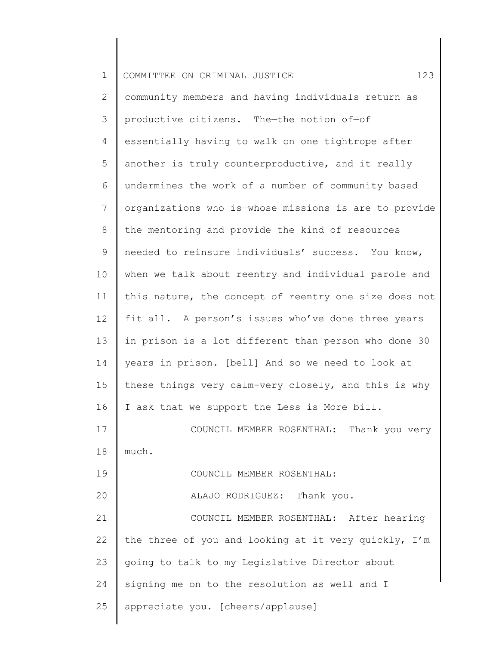| $\mathbf 1$    | 123<br>COMMITTEE ON CRIMINAL JUSTICE                  |
|----------------|-------------------------------------------------------|
| $\mathbf{2}$   | community members and having individuals return as    |
| 3              | productive citizens. The-the notion of-of             |
| 4              | essentially having to walk on one tightrope after     |
| 5              | another is truly counterproductive, and it really     |
| 6              | undermines the work of a number of community based    |
| $\overline{7}$ | organizations who is-whose missions is are to provide |
| 8              | the mentoring and provide the kind of resources       |
| 9              | needed to reinsure individuals' success. You know,    |
| 10             | when we talk about reentry and individual parole and  |
| 11             | this nature, the concept of reentry one size does not |
| 12             | fit all. A person's issues who've done three years    |
| 13             | in prison is a lot different than person who done 30  |
| 14             | years in prison. [bell] And so we need to look at     |
| 15             | these things very calm-very closely, and this is why  |
| 16             | I ask that we support the Less is More bill.          |
| 17             | COUNCIL MEMBER ROSENTHAL: Thank you very              |
| 18             | much.                                                 |
| 19             | COUNCIL MEMBER ROSENTHAL:                             |
| 20             | ALAJO RODRIGUEZ: Thank you.                           |
| 21             | COUNCIL MEMBER ROSENTHAL: After hearing               |
| 22             | the three of you and looking at it very quickly, I'm  |
| 23             | going to talk to my Legislative Director about        |
| 24             | signing me on to the resolution as well and I         |
| 25             | appreciate you. [cheers/applause]                     |
|                |                                                       |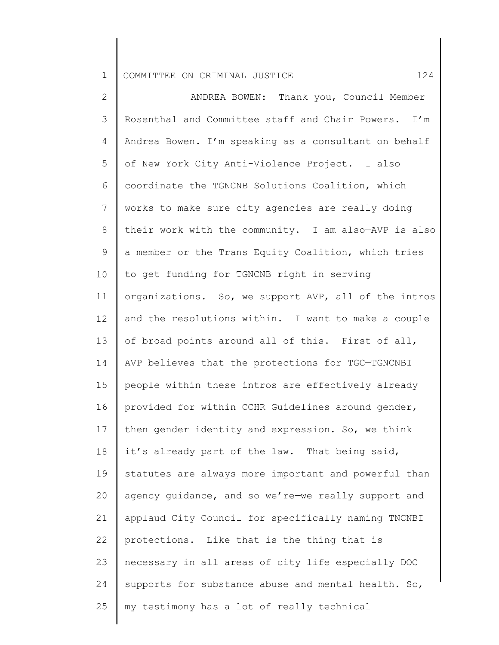2 3 4 5 6 7 8 9 10 11 12 13 14 15 16 17 18 19 20 21 22 23 24 25 ANDREA BOWEN: Thank you, Council Member Rosenthal and Committee staff and Chair Powers. I'm Andrea Bowen. I'm speaking as a consultant on behalf of New York City Anti-Violence Project. I also coordinate the TGNCNB Solutions Coalition, which works to make sure city agencies are really doing their work with the community. I am also—AVP is also a member or the Trans Equity Coalition, which tries to get funding for TGNCNB right in serving organizations. So, we support AVP, all of the intros and the resolutions within. I want to make a couple of broad points around all of this. First of all, AVP believes that the protections for TGC—TGNCNBI people within these intros are effectively already provided for within CCHR Guidelines around gender, then gender identity and expression. So, we think it's already part of the law. That being said, statutes are always more important and powerful than agency guidance, and so we're—we really support and applaud City Council for specifically naming TNCNBI protections. Like that is the thing that is necessary in all areas of city life especially DOC supports for substance abuse and mental health. So, my testimony has a lot of really technical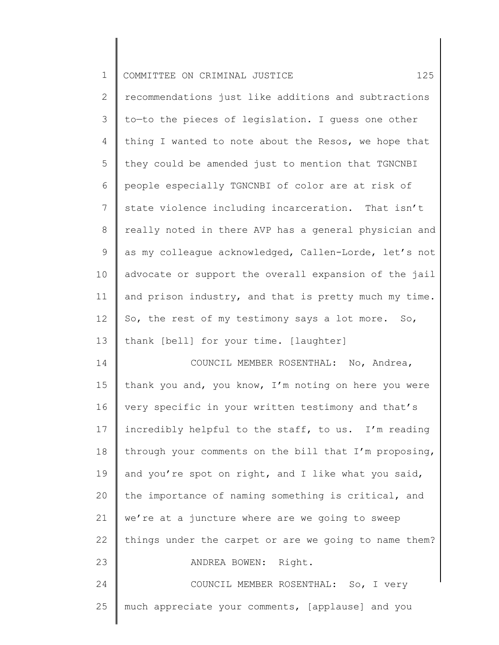| $\mathbf 1$    | 125<br>COMMITTEE ON CRIMINAL JUSTICE                  |
|----------------|-------------------------------------------------------|
| $\mathbf{2}$   | recommendations just like additions and subtractions  |
| 3              | to-to the pieces of legislation. I guess one other    |
| $\overline{4}$ | thing I wanted to note about the Resos, we hope that  |
| 5              | they could be amended just to mention that TGNCNBI    |
| 6              | people especially TGNCNBI of color are at risk of     |
| 7              | state violence including incarceration. That isn't    |
| 8              | really noted in there AVP has a general physician and |
| 9              | as my colleague acknowledged, Callen-Lorde, let's not |
| 10             | advocate or support the overall expansion of the jail |
| 11             | and prison industry, and that is pretty much my time. |
| 12             | So, the rest of my testimony says a lot more. So,     |
| 13             | thank [bell] for your time. [laughter]                |
| 14             | COUNCIL MEMBER ROSENTHAL: No, Andrea,                 |
| 15             | thank you and, you know, I'm noting on here you were  |
| 16             | very specific in your written testimony and that's    |
| 17             | incredibly helpful to the staff, to us. I'm reading   |
| 18             | through your comments on the bill that I'm proposing, |
| 19             | and you're spot on right, and I like what you said,   |
| 20             | the importance of naming something is critical, and   |
| 21             | we're at a juncture where are we going to sweep       |
| 22             | things under the carpet or are we going to name them? |
| 23             | ANDREA BOWEN: Right.                                  |
| 24             | COUNCIL MEMBER ROSENTHAL: So, I very                  |
| 25             | much appreciate your comments, [applause] and you     |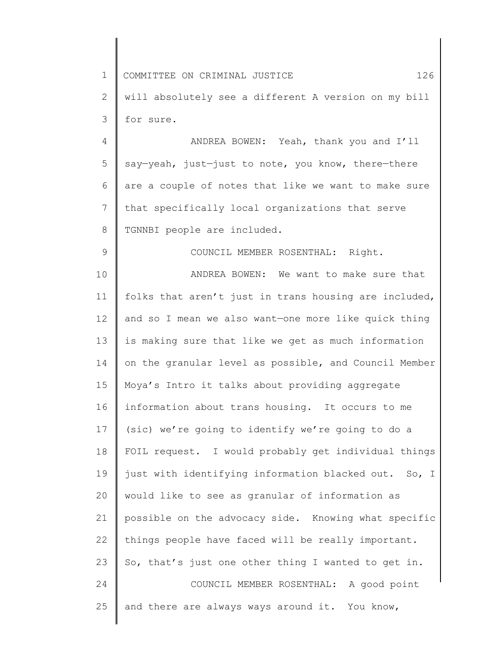1 2 3 4 5 6 7 8 9 10 11 12 13 14 15 16 17 18 19 20 21 22 23 24 25 COMMITTEE ON CRIMINAL JUSTICE 126 will absolutely see a different A version on my bill for sure. ANDREA BOWEN: Yeah, thank you and I'll say—yeah, just—just to note, you know, there—there are a couple of notes that like we want to make sure that specifically local organizations that serve TGNNBI people are included. COUNCIL MEMBER ROSENTHAL: Right. ANDREA BOWEN: We want to make sure that folks that aren't just in trans housing are included, and so I mean we also want—one more like quick thing is making sure that like we get as much information on the granular level as possible, and Council Member Moya's Intro it talks about providing aggregate information about trans housing. It occurs to me (sic) we're going to identify we're going to do a FOIL request. I would probably get individual things just with identifying information blacked out. So, I would like to see as granular of information as possible on the advocacy side. Knowing what specific things people have faced will be really important. So, that's just one other thing I wanted to get in. COUNCIL MEMBER ROSENTHAL: A good point and there are always ways around it. You know,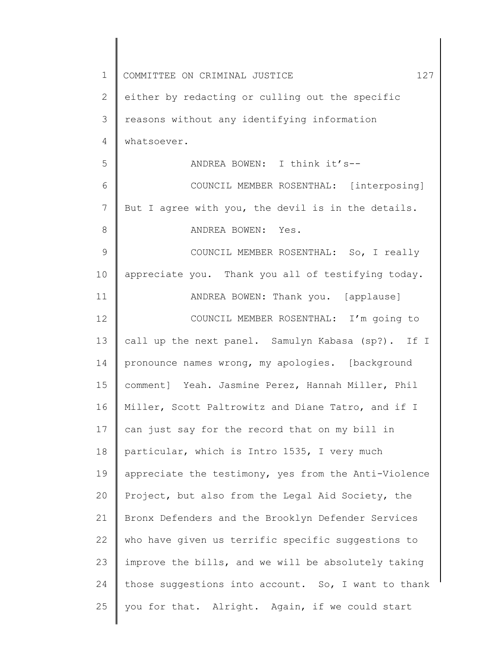| $\mathbf 1$  | 127<br>COMMITTEE ON CRIMINAL JUSTICE                 |
|--------------|------------------------------------------------------|
| $\mathbf{2}$ | either by redacting or culling out the specific      |
| 3            | reasons without any identifying information          |
| 4            | whatsoever.                                          |
| 5            | ANDREA BOWEN: I think it's--                         |
| 6            | COUNCIL MEMBER ROSENTHAL: [interposing]              |
| 7            | But I agree with you, the devil is in the details.   |
| 8            | ANDREA BOWEN: Yes.                                   |
| 9            | COUNCIL MEMBER ROSENTHAL: So, I really               |
| 10           | appreciate you. Thank you all of testifying today.   |
| 11           | ANDREA BOWEN: Thank you. [applause]                  |
| 12           | COUNCIL MEMBER ROSENTHAL: I'm going to               |
| 13           | call up the next panel. Samulyn Kabasa (sp?). If I   |
| 14           | pronounce names wrong, my apologies. [background     |
| 15           | comment] Yeah. Jasmine Perez, Hannah Miller, Phil    |
| 16           | Miller, Scott Paltrowitz and Diane Tatro, and if I   |
| 17           | can just say for the record that on my bill in       |
| 18           | particular, which is Intro 1535, I very much         |
| 19           | appreciate the testimony, yes from the Anti-Violence |
| 20           | Project, but also from the Legal Aid Society, the    |
| 21           | Bronx Defenders and the Brooklyn Defender Services   |
| 22           | who have given us terrific specific suggestions to   |
| 23           | improve the bills, and we will be absolutely taking  |
| 24           | those suggestions into account. So, I want to thank  |
| 25           | you for that. Alright. Again, if we could start      |
|              |                                                      |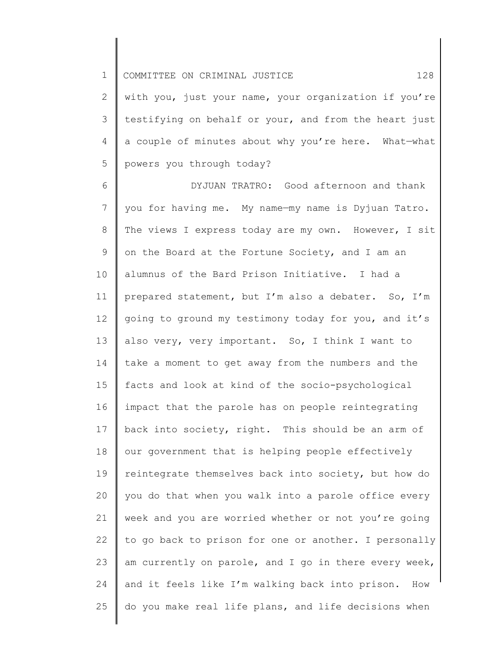2 3 4 5 with you, just your name, your organization if you're testifying on behalf or your, and from the heart just a couple of minutes about why you're here. What—what powers you through today?

6 7 8 9 10 11 12 13 14 15 16 17 18 19 20 21 22 23 24 25 DYJUAN TRATRO: Good afternoon and thank you for having me. My name—my name is Dyjuan Tatro. The views I express today are my own. However, I sit on the Board at the Fortune Society, and I am an alumnus of the Bard Prison Initiative. I had a prepared statement, but I'm also a debater. So, I'm going to ground my testimony today for you, and it's also very, very important. So, I think I want to take a moment to get away from the numbers and the facts and look at kind of the socio-psychological impact that the parole has on people reintegrating back into society, right. This should be an arm of our government that is helping people effectively reintegrate themselves back into society, but how do you do that when you walk into a parole office every week and you are worried whether or not you're going to go back to prison for one or another. I personally am currently on parole, and I go in there every week, and it feels like I'm walking back into prison. How do you make real life plans, and life decisions when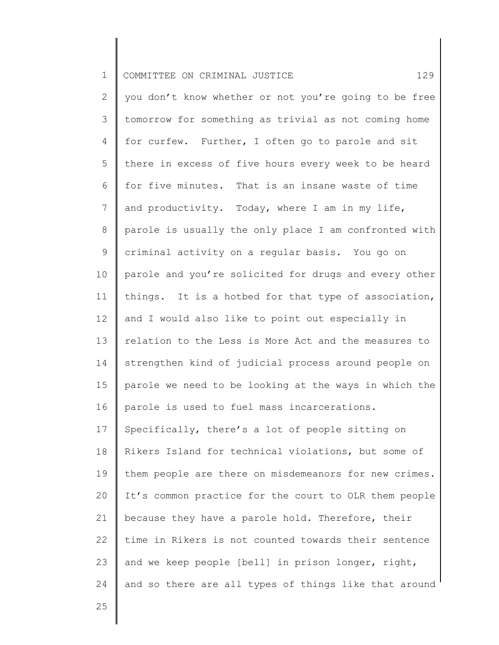| $\mathbf 1$  | 129<br>COMMITTEE ON CRIMINAL JUSTICE                  |
|--------------|-------------------------------------------------------|
| $\mathbf{2}$ | you don't know whether or not you're going to be free |
| 3            | tomorrow for something as trivial as not coming home  |
| 4            | for curfew. Further, I often go to parole and sit     |
| 5            | there in excess of five hours every week to be heard  |
| 6            | for five minutes. That is an insane waste of time     |
| 7            | and productivity. Today, where I am in my life,       |
| 8            | parole is usually the only place I am confronted with |
| 9            | criminal activity on a regular basis. You go on       |
| 10           | parole and you're solicited for drugs and every other |
| 11           | things. It is a hotbed for that type of association,  |
| 12           | and I would also like to point out especially in      |
| 13           | relation to the Less is More Act and the measures to  |
| 14           | strengthen kind of judicial process around people on  |
| 15           | parole we need to be looking at the ways in which the |
| 16           | parole is used to fuel mass incarcerations.           |
| 17           | Specifically, there's a lot of people sitting on      |
| 18           | Rikers Island for technical violations, but some of   |
| 19           | them people are there on misdemeanors for new crimes. |
| 20           | It's common practice for the court to OLR them people |
| 21           | because they have a parole hold. Therefore, their     |
| 22           | time in Rikers is not counted towards their sentence  |
| 23           | and we keep people [bell] in prison longer, right,    |
| 24           | and so there are all types of things like that around |
|              |                                                       |

Ι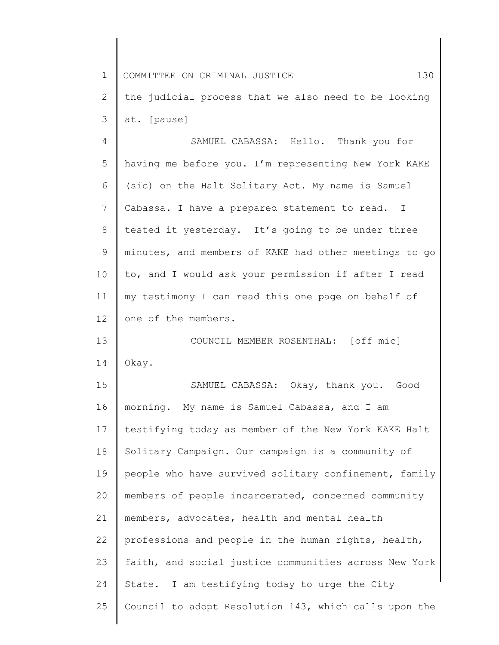| $\mathbf 1$    | 130<br>COMMITTEE ON CRIMINAL JUSTICE                  |
|----------------|-------------------------------------------------------|
| 2              | the judicial process that we also need to be looking  |
| 3              | at. [pause]                                           |
| $\overline{4}$ | SAMUEL CABASSA: Hello. Thank you for                  |
| 5              | having me before you. I'm representing New York KAKE  |
| 6              | (sic) on the Halt Solitary Act. My name is Samuel     |
| 7              | Cabassa. I have a prepared statement to read. I       |
| 8              | tested it yesterday. It's going to be under three     |
| 9              | minutes, and members of KAKE had other meetings to go |
| 10             | to, and I would ask your permission if after I read   |
| 11             | my testimony I can read this one page on behalf of    |
| 12             | one of the members.                                   |
| 13             | COUNCIL MEMBER ROSENTHAL: [off mic]                   |
| 14             | Okay.                                                 |
| 15             | SAMUEL CABASSA: Okay, thank you. Good                 |
| 16             | morning. My name is Samuel Cabassa, and I am          |
| 17             | testifying today as member of the New York KAKE Halt  |
| 18             | Solitary Campaign. Our campaign is a community of     |
| 19             | people who have survived solitary confinement, family |
| 20             | members of people incarcerated, concerned community   |
| 21             | members, advocates, health and mental health          |
| 22             | professions and people in the human rights, health,   |
| 23             | faith, and social justice communities across New York |
| 24             | State. I am testifying today to urge the City         |
| 25             | Council to adopt Resolution 143, which calls upon the |
|                |                                                       |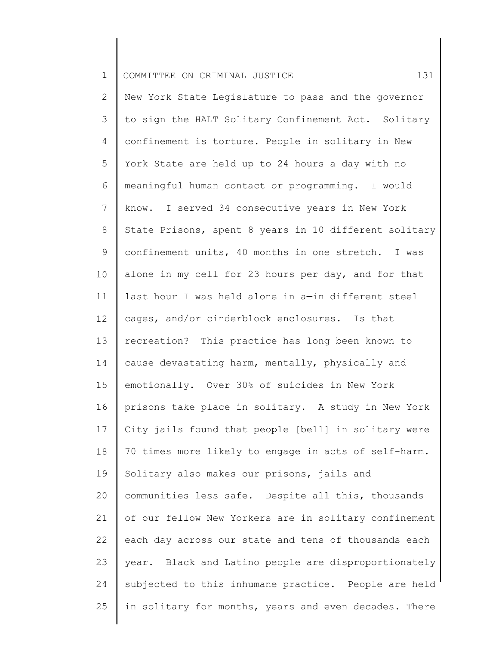1 2 3 4 5 6 7 8 9 10 11 12 13 14 15 16 17 18 19 20 21 22 23 24 COMMITTEE ON CRIMINAL JUSTICE 131 New York State Legislature to pass and the governor to sign the HALT Solitary Confinement Act. Solitary confinement is torture. People in solitary in New York State are held up to 24 hours a day with no meaningful human contact or programming. I would know. I served 34 consecutive years in New York State Prisons, spent 8 years in 10 different solitary confinement units, 40 months in one stretch. I was alone in my cell for 23 hours per day, and for that last hour I was held alone in a—in different steel cages, and/or cinderblock enclosures. Is that recreation? This practice has long been known to cause devastating harm, mentally, physically and emotionally. Over 30% of suicides in New York prisons take place in solitary. A study in New York City jails found that people [bell] in solitary were 70 times more likely to engage in acts of self-harm. Solitary also makes our prisons, jails and communities less safe. Despite all this, thousands of our fellow New Yorkers are in solitary confinement each day across our state and tens of thousands each year. Black and Latino people are disproportionately subjected to this inhumane practice. People are held

in solitary for months, years and even decades. There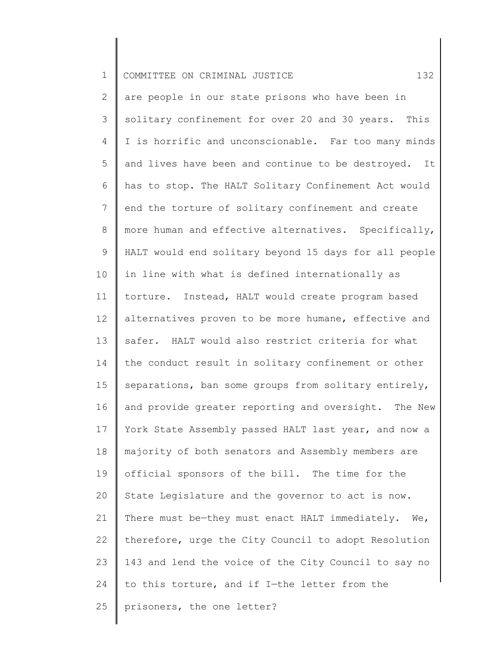| $\mathbf 1$  | 132<br>COMMITTEE ON CRIMINAL JUSTICE                    |
|--------------|---------------------------------------------------------|
| $\mathbf{2}$ | are people in our state prisons who have been in        |
| 3            | solitary confinement for over 20 and 30 years. This     |
| 4            | I is horrific and unconscionable. Far too many minds    |
| 5            | and lives have been and continue to be destroyed.<br>It |
| 6            | has to stop. The HALT Solitary Confinement Act would    |
| 7            | end the torture of solitary confinement and create      |
| 8            | more human and effective alternatives. Specifically,    |
| $\mathsf 9$  | HALT would end solitary beyond 15 days for all people   |
| 10           | in line with what is defined internationally as         |
| 11           | torture. Instead, HALT would create program based       |
| 12           | alternatives proven to be more humane, effective and    |
| 13           | safer. HALT would also restrict criteria for what       |
| 14           | the conduct result in solitary confinement or other     |
| 15           | separations, ban some groups from solitary entirely,    |
| 16           | and provide greater reporting and oversight. The New    |
| 17           | York State Assembly passed HALT last year, and now a    |
| 18           | majority of both senators and Assembly members are      |
| 19           | official sponsors of the bill. The time for the         |
| 20           | State Legislature and the governor to act is now.       |
| 21           | There must be-they must enact HALT immediately. We,     |
| 22           | therefore, urge the City Council to adopt Resolution    |
| 23           | 143 and lend the voice of the City Council to say no    |
| 24           | to this torture, and if I-the letter from the           |
| 25           | prisoners, the one letter?                              |
|              |                                                         |

║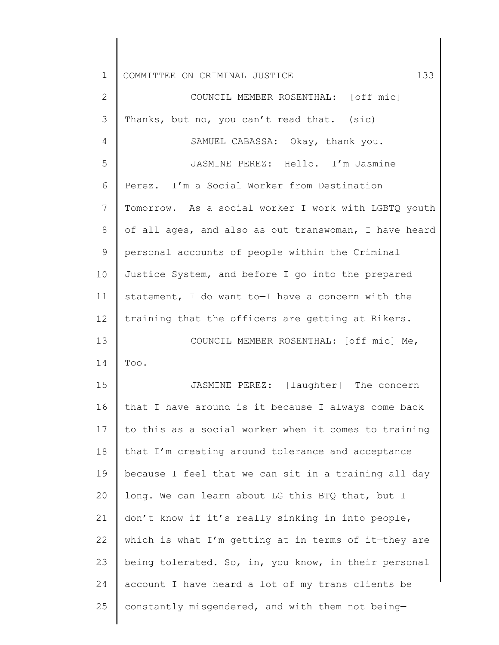1 2 3 4 5 6 7 8 9 10 11 12 13 14 15 16 17 18 19 20 21 22 23 24 25 COMMITTEE ON CRIMINAL JUSTICE 133 COUNCIL MEMBER ROSENTHAL: [off mic] Thanks, but no, you can't read that. (sic) SAMUEL CABASSA: Okay, thank you. JASMINE PEREZ: Hello. I'm Jasmine Perez. I'm a Social Worker from Destination Tomorrow. As a social worker I work with LGBTQ youth of all ages, and also as out transwoman, I have heard personal accounts of people within the Criminal Justice System, and before I go into the prepared statement, I do want to—I have a concern with the training that the officers are getting at Rikers. COUNCIL MEMBER ROSENTHAL: [off mic] Me, Too. JASMINE PEREZ: [laughter] The concern that I have around is it because I always come back to this as a social worker when it comes to training that I'm creating around tolerance and acceptance because I feel that we can sit in a training all day long. We can learn about LG this BTQ that, but I don't know if it's really sinking in into people, which is what I'm getting at in terms of it—they are being tolerated. So, in, you know, in their personal account I have heard a lot of my trans clients be constantly misgendered, and with them not being—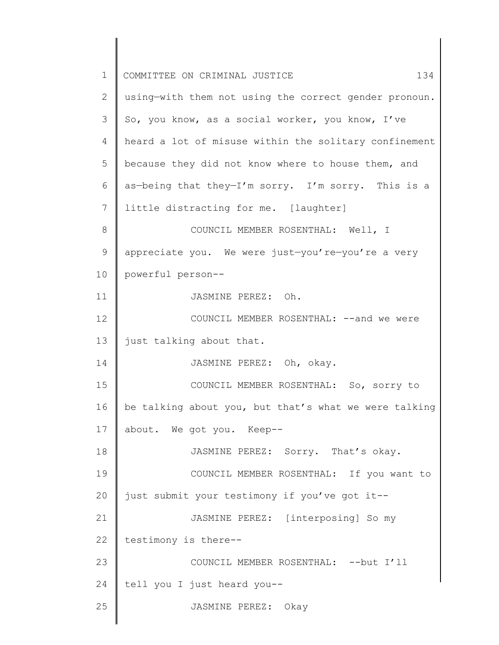| 1             | 134<br>COMMITTEE ON CRIMINAL JUSTICE                  |
|---------------|-------------------------------------------------------|
| 2             | using-with them not using the correct gender pronoun. |
| 3             | So, you know, as a social worker, you know, I've      |
| 4             | heard a lot of misuse within the solitary confinement |
| 5             | because they did not know where to house them, and    |
| 6             | as-being that they-I'm sorry. I'm sorry. This is a    |
| 7             | little distracting for me. [laughter]                 |
| 8             | COUNCIL MEMBER ROSENTHAL: Well, I                     |
| $\mathcal{G}$ | appreciate you. We were just-you're-you're a very     |
| 10            | powerful person--                                     |
| 11            | JASMINE PEREZ: Oh.                                    |
| 12            | COUNCIL MEMBER ROSENTHAL: -- and we were              |
| 13            | just talking about that.                              |
| 14            | JASMINE PEREZ: Oh, okay.                              |
| 15            | COUNCIL MEMBER ROSENTHAL: So, sorry to                |
| 16            | be talking about you, but that's what we were talking |
| 17            | about. We got you. Keep--                             |
| 18            | JASMINE PEREZ: Sorry. That's okay.                    |
| 19            | COUNCIL MEMBER ROSENTHAL: If you want to              |
| 20            | just submit your testimony if you've got it--         |
| 21            | JASMINE PEREZ: [interposing] So my                    |
| 22            | testimony is there--                                  |
| 23            | COUNCIL MEMBER ROSENTHAL: -- but I'll                 |
| 24            | tell you I just heard you--                           |
| 25            | JASMINE PEREZ: Okay                                   |
|               |                                                       |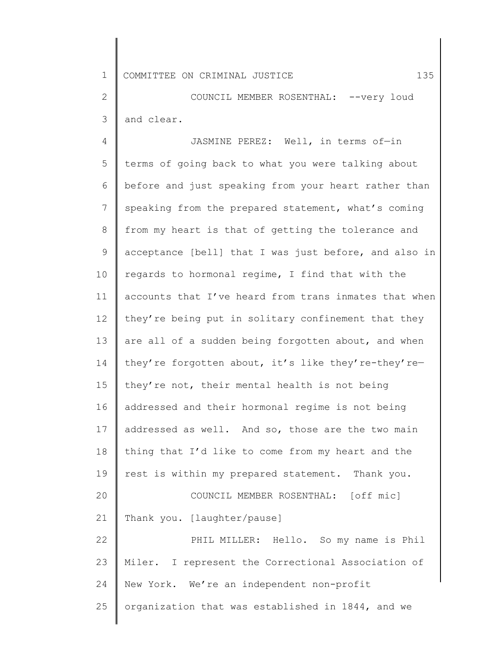2 3 COUNCIL MEMBER ROSENTHAL: --very loud and clear.

4 5 6 7 8 9 10 11 12 13 14 15 16 17 18 19 20 21 22 23 24 25 JASMINE PEREZ: Well, in terms of—in terms of going back to what you were talking about before and just speaking from your heart rather than speaking from the prepared statement, what's coming from my heart is that of getting the tolerance and acceptance [bell] that I was just before, and also in regards to hormonal regime, I find that with the accounts that I've heard from trans inmates that when they're being put in solitary confinement that they are all of a sudden being forgotten about, and when they're forgotten about, it's like they're-they're they're not, their mental health is not being addressed and their hormonal regime is not being addressed as well. And so, those are the two main thing that I'd like to come from my heart and the rest is within my prepared statement. Thank you. COUNCIL MEMBER ROSENTHAL: [off mic] Thank you. [laughter/pause] PHIL MILLER: Hello. So my name is Phil Miler. I represent the Correctional Association of New York. We're an independent non-profit organization that was established in 1844, and we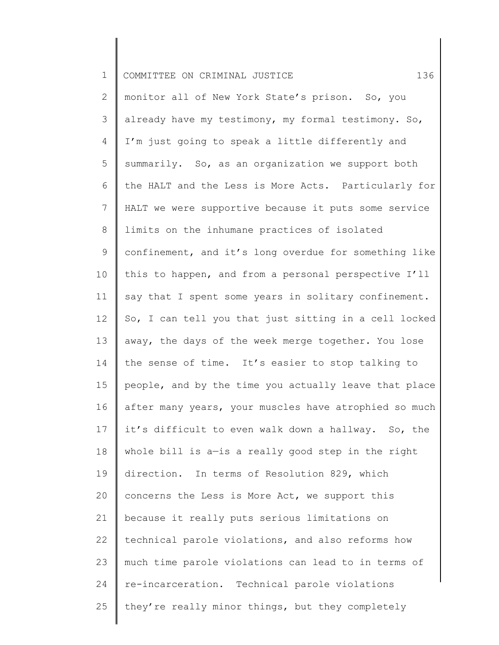| $\mathbf 1$    | 136<br>COMMITTEE ON CRIMINAL JUSTICE                  |
|----------------|-------------------------------------------------------|
| $\overline{2}$ | monitor all of New York State's prison. So, you       |
| 3              | already have my testimony, my formal testimony. So,   |
| 4              | I'm just going to speak a little differently and      |
| 5              | summarily. So, as an organization we support both     |
| 6              | the HALT and the Less is More Acts. Particularly for  |
| $7\phantom{.}$ | HALT we were supportive because it puts some service  |
| 8              | limits on the inhumane practices of isolated          |
| 9              | confinement, and it's long overdue for something like |
| 10             | this to happen, and from a personal perspective I'll  |
| 11             | say that I spent some years in solitary confinement.  |
| 12             | So, I can tell you that just sitting in a cell locked |
| 13             | away, the days of the week merge together. You lose   |
| 14             | the sense of time. It's easier to stop talking to     |
| 15             | people, and by the time you actually leave that place |
| 16             | after many years, your muscles have atrophied so much |
| 17             | it's difficult to even walk down a hallway. So, the   |
| 18             | whole bill is a-is a really good step in the right    |
| 19             | direction. In terms of Resolution 829, which          |
| 20             | concerns the Less is More Act, we support this        |
| 21             | because it really puts serious limitations on         |
| 22             | technical parole violations, and also reforms how     |
| 23             | much time parole violations can lead to in terms of   |
| 24             | re-incarceration. Technical parole violations         |
| 25             | they're really minor things, but they completely      |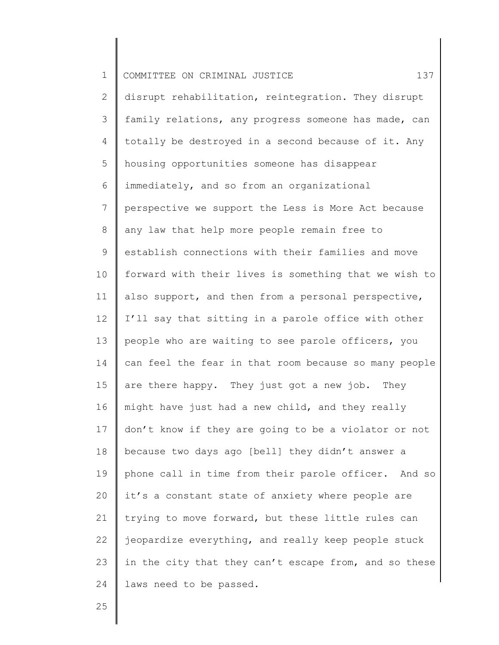| 2              | disrupt rehabilitation, reintegration. They disrupt   |
|----------------|-------------------------------------------------------|
|                |                                                       |
| 3              | family relations, any progress someone has made, can  |
| 4              | totally be destroyed in a second because of it. Any   |
| 5              | housing opportunities someone has disappear           |
| 6              | immediately, and so from an organizational            |
| $7\phantom{.}$ | perspective we support the Less is More Act because   |
| 8              | any law that help more people remain free to          |
| 9              | establish connections with their families and move    |
| 10             | forward with their lives is something that we wish to |
| 11             | also support, and then from a personal perspective,   |
| 12             | I'll say that sitting in a parole office with other   |
| 13             | people who are waiting to see parole officers, you    |
| 14             | can feel the fear in that room because so many people |
| 15             | are there happy. They just got a new job. They        |
| 16             | might have just had a new child, and they really      |
| 17             | don't know if they are going to be a violator or not  |
| 18             | because two days ago [bell] they didn't answer a      |
| 19             | phone call in time from their parole officer. And so  |
| 20             | it's a constant state of anxiety where people are     |
| 21             | trying to move forward, but these little rules can    |
| 22             | jeopardize everything, and really keep people stuck   |
| 23             | in the city that they can't escape from, and so these |
| 24             | laws need to be passed.                               |
|                |                                                       |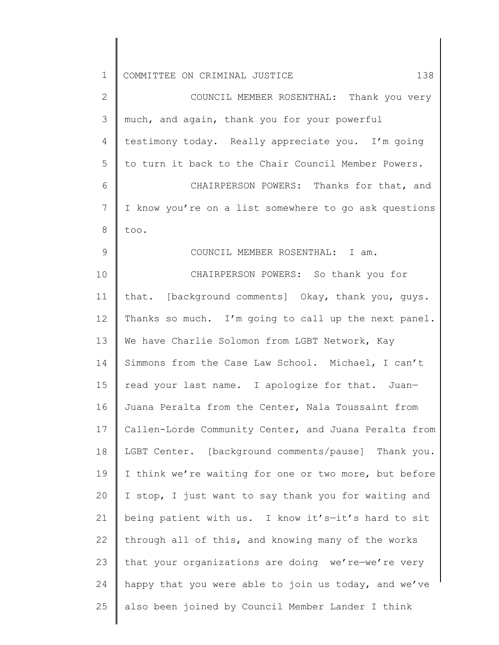| $\mathbf 1$     | COMMITTEE ON CRIMINAL JUSTICE<br>138                  |
|-----------------|-------------------------------------------------------|
| $\mathbf{2}$    | COUNCIL MEMBER ROSENTHAL: Thank you very              |
| 3               | much, and again, thank you for your powerful          |
| 4               | testimony today. Really appreciate you. I'm going     |
| 5               | to turn it back to the Chair Council Member Powers.   |
| 6               | CHAIRPERSON POWERS: Thanks for that, and              |
| $7\phantom{.0}$ | I know you're on a list somewhere to go ask questions |
| 8               | too.                                                  |
| $\mathcal{G}$   | COUNCIL MEMBER ROSENTHAL: I am.                       |
| 10              | CHAIRPERSON POWERS: So thank you for                  |
| 11              | that. [background comments] Okay, thank you, guys.    |
| 12              | Thanks so much. I'm going to call up the next panel.  |
| 13              | We have Charlie Solomon from LGBT Network, Kay        |
| 14              | Simmons from the Case Law School. Michael, I can't    |
| 15              | read your last name. I apologize for that. Juan-      |
| 16              | Juana Peralta from the Center, Nala Toussaint from    |
| 17              | Callen-Lorde Community Center, and Juana Peralta from |
| 18              | LGBT Center. [background comments/pause] Thank you.   |
| 19              | I think we're waiting for one or two more, but before |
| 20              | I stop, I just want to say thank you for waiting and  |
| 21              | being patient with us. I know it's-it's hard to sit   |
| 22              | through all of this, and knowing many of the works    |
| 23              | that your organizations are doing we're-we're very    |
| 24              | happy that you were able to join us today, and we've  |
| 25              | also been joined by Council Member Lander I think     |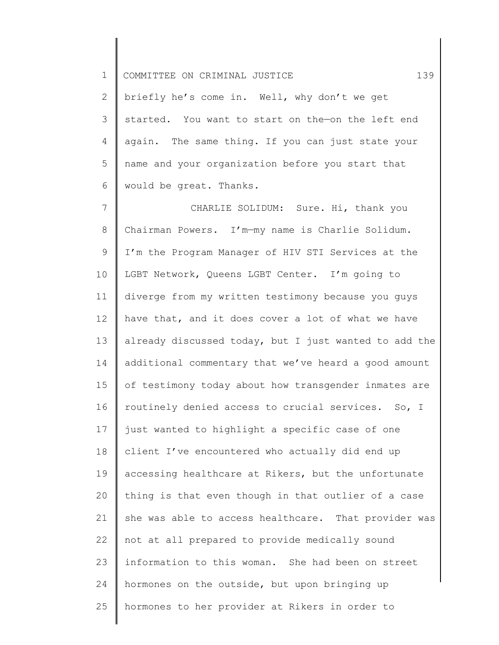2 3 4 5 6 briefly he's come in. Well, why don't we get started. You want to start on the—on the left end again. The same thing. If you can just state your name and your organization before you start that would be great. Thanks.

7 8 9 10 11 12 13 14 15 16 17 18 19 20 21 22 23 24 25 CHARLIE SOLIDUM: Sure. Hi, thank you Chairman Powers. I'm—my name is Charlie Solidum. I'm the Program Manager of HIV STI Services at the LGBT Network, Queens LGBT Center. I'm going to diverge from my written testimony because you guys have that, and it does cover a lot of what we have already discussed today, but I just wanted to add the additional commentary that we've heard a good amount of testimony today about how transgender inmates are routinely denied access to crucial services. So, I just wanted to highlight a specific case of one client I've encountered who actually did end up accessing healthcare at Rikers, but the unfortunate thing is that even though in that outlier of a case she was able to access healthcare. That provider was not at all prepared to provide medically sound information to this woman. She had been on street hormones on the outside, but upon bringing up hormones to her provider at Rikers in order to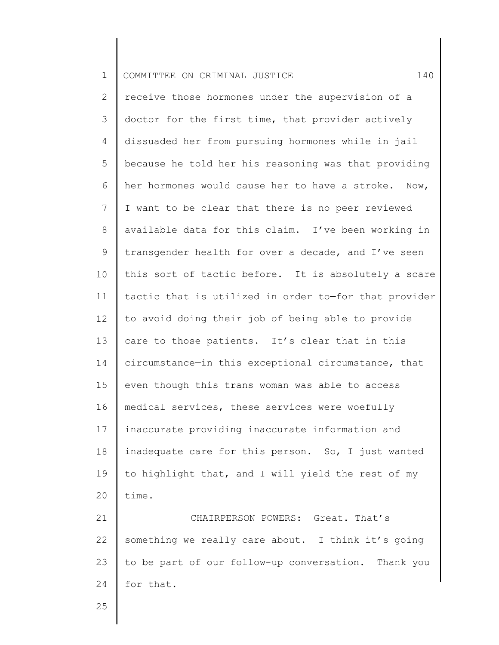2 3 4 5 6 7 8 9 10 11 12 13 14 15 16 17 18 19 20 receive those hormones under the supervision of a doctor for the first time, that provider actively dissuaded her from pursuing hormones while in jail because he told her his reasoning was that providing her hormones would cause her to have a stroke. Now, I want to be clear that there is no peer reviewed available data for this claim. I've been working in transgender health for over a decade, and I've seen this sort of tactic before. It is absolutely a scare tactic that is utilized in order to—for that provider to avoid doing their job of being able to provide care to those patients. It's clear that in this circumstance—in this exceptional circumstance, that even though this trans woman was able to access medical services, these services were woefully inaccurate providing inaccurate information and inadequate care for this person. So, I just wanted to highlight that, and I will yield the rest of my time.

21 22 23 24 CHAIRPERSON POWERS: Great. That's something we really care about. I think it's going to be part of our follow-up conversation. Thank you for that.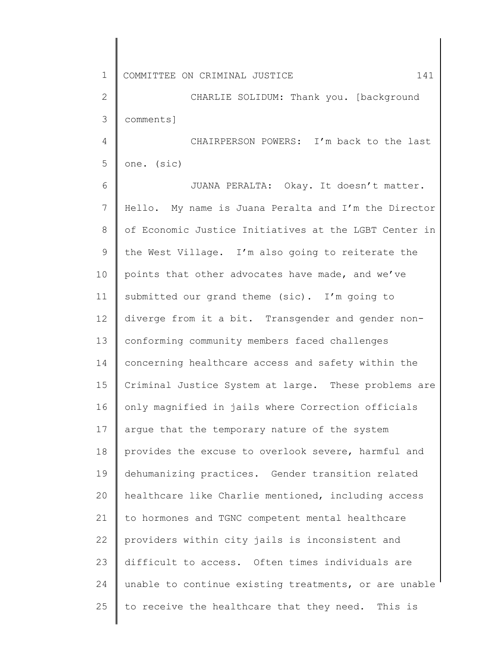2 3 CHARLIE SOLIDUM: Thank you. [background comments]

4 5 CHAIRPERSON POWERS: I'm back to the last one. (sic)

6 7 8 9 10 11 12 13 14 15 16 17 18 19 20 21 22 23 24 25 JUANA PERALTA: Okay. It doesn't matter. Hello. My name is Juana Peralta and I'm the Director of Economic Justice Initiatives at the LGBT Center in the West Village. I'm also going to reiterate the points that other advocates have made, and we've submitted our grand theme (sic). I'm going to diverge from it a bit. Transgender and gender nonconforming community members faced challenges concerning healthcare access and safety within the Criminal Justice System at large. These problems are only magnified in jails where Correction officials argue that the temporary nature of the system provides the excuse to overlook severe, harmful and dehumanizing practices. Gender transition related healthcare like Charlie mentioned, including access to hormones and TGNC competent mental healthcare providers within city jails is inconsistent and difficult to access. Often times individuals are unable to continue existing treatments, or are unable to receive the healthcare that they need. This is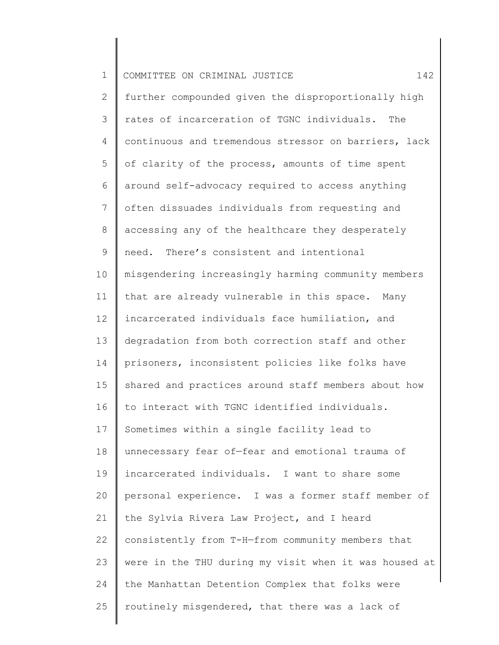| $\mathbf 1$    | COMMITTEE ON CRIMINAL JUSTICE<br>142                  |
|----------------|-------------------------------------------------------|
| $\overline{2}$ | further compounded given the disproportionally high   |
| 3              | rates of incarceration of TGNC individuals.<br>The    |
| 4              | continuous and tremendous stressor on barriers, lack  |
| 5              | of clarity of the process, amounts of time spent      |
| 6              | around self-advocacy required to access anything      |
| 7              | often dissuades individuals from requesting and       |
| 8              | accessing any of the healthcare they desperately      |
| 9              | need. There's consistent and intentional              |
| 10             | misgendering increasingly harming community members   |
| 11             | that are already vulnerable in this space.<br>Many    |
| 12             | incarcerated individuals face humiliation, and        |
| 13             | degradation from both correction staff and other      |
| 14             | prisoners, inconsistent policies like folks have      |
| 15             | shared and practices around staff members about how   |
| 16             | to interact with TGNC identified individuals.         |
| 17             | Sometimes within a single facility lead to            |
| 18             | unnecessary fear of-fear and emotional trauma of      |
| 19             | incarcerated individuals. I want to share some        |
| 20             | personal experience. I was a former staff member of   |
| 21             | the Sylvia Rivera Law Project, and I heard            |
| 22             | consistently from T-H-from community members that     |
| 23             | were in the THU during my visit when it was housed at |
| 24             | the Manhattan Detention Complex that folks were       |
| 25             | routinely misgendered, that there was a lack of       |
|                |                                                       |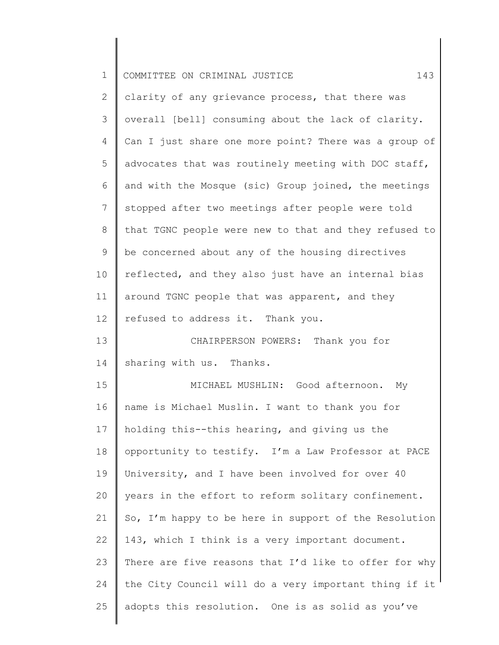| $\mathbf 1$    | 143<br>COMMITTEE ON CRIMINAL JUSTICE                  |
|----------------|-------------------------------------------------------|
| $\overline{2}$ | clarity of any grievance process, that there was      |
| 3              | overall [bell] consuming about the lack of clarity.   |
| 4              | Can I just share one more point? There was a group of |
| 5              | advocates that was routinely meeting with DOC staff,  |
| 6              | and with the Mosque (sic) Group joined, the meetings  |
| 7              | stopped after two meetings after people were told     |
| 8              | that TGNC people were new to that and they refused to |
| 9              | be concerned about any of the housing directives      |
| 10             | reflected, and they also just have an internal bias   |
| 11             | around TGNC people that was apparent, and they        |
| 12             | refused to address it. Thank you.                     |
| 13             | CHAIRPERSON POWERS: Thank you for                     |
| 14             | sharing with us. Thanks.                              |
| 15             | MICHAEL MUSHLIN: Good afternoon. My                   |
| 16             | name is Michael Muslin. I want to thank you for       |
| 17             | holding this--this hearing, and giving us the         |
| 18             | opportunity to testify. I'm a Law Professor at PACE   |
| 19             | University, and I have been involved for over 40      |
| 20             | years in the effort to reform solitary confinement.   |
| 21             | So, I'm happy to be here in support of the Resolution |
| 22             | 143, which I think is a very important document.      |
| 23             | There are five reasons that I'd like to offer for why |
| 24             | the City Council will do a very important thing if it |
| 25             | adopts this resolution. One is as solid as you've     |
|                |                                                       |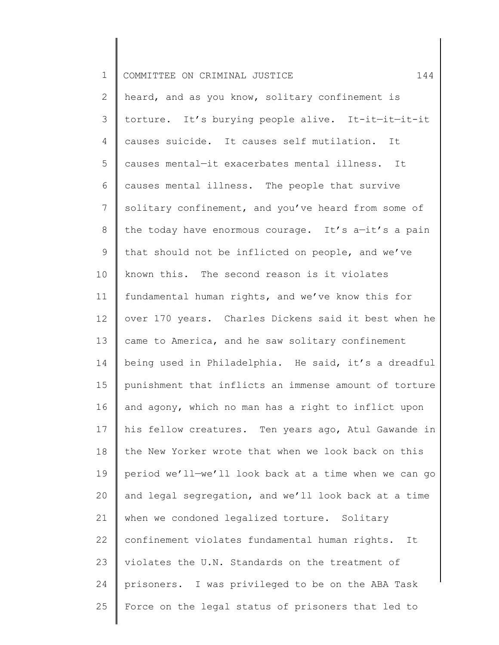| $\mathbf 1$    | 144<br>COMMITTEE ON CRIMINAL JUSTICE                  |
|----------------|-------------------------------------------------------|
| $\mathbf{2}$   | heard, and as you know, solitary confinement is       |
| 3              | torture. It's burying people alive. It-it-it-it-it    |
| 4              | causes suicide. It causes self mutilation. It         |
| 5              | causes mental-it exacerbates mental illness. It       |
| 6              | causes mental illness. The people that survive        |
| $7\phantom{.}$ | solitary confinement, and you've heard from some of   |
| 8              | the today have enormous courage. It's a-it's a pain   |
| $\mathsf 9$    | that should not be inflicted on people, and we've     |
| 10             | known this. The second reason is it violates          |
| 11             | fundamental human rights, and we've know this for     |
| 12             | over 170 years. Charles Dickens said it best when he  |
| 13             | came to America, and he saw solitary confinement      |
| 14             | being used in Philadelphia. He said, it's a dreadful  |
| 15             | punishment that inflicts an immense amount of torture |
| 16             | and agony, which no man has a right to inflict upon   |
| 17             | his fellow creatures. Ten years ago, Atul Gawande in  |
| 18             | the New Yorker wrote that when we look back on this   |
| 19             | period we'll-we'll look back at a time when we can go |
| 20             | and legal segregation, and we'll look back at a time  |
| 21             | when we condoned legalized torture. Solitary          |
| 22             | confinement violates fundamental human rights.<br>It  |
| 23             | violates the U.N. Standards on the treatment of       |
| 24             | prisoners. I was privileged to be on the ABA Task     |
| 25             | Force on the legal status of prisoners that led to    |
|                |                                                       |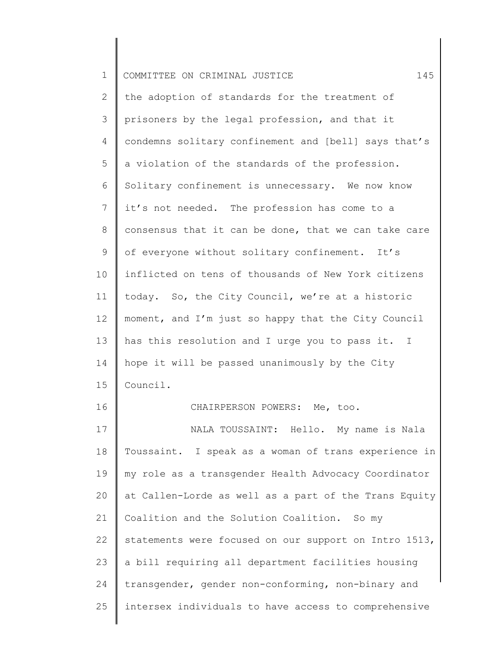| $\mathbf 1$  | 145<br>COMMITTEE ON CRIMINAL JUSTICE                  |
|--------------|-------------------------------------------------------|
| $\mathbf{2}$ | the adoption of standards for the treatment of        |
| 3            | prisoners by the legal profession, and that it        |
| 4            | condemns solitary confinement and [bell] says that's  |
| 5            | a violation of the standards of the profession.       |
| 6            | Solitary confinement is unnecessary. We now know      |
| 7            | it's not needed. The profession has come to a         |
| 8            | consensus that it can be done, that we can take care  |
| 9            | of everyone without solitary confinement. It's        |
| 10           | inflicted on tens of thousands of New York citizens   |
| 11           | today. So, the City Council, we're at a historic      |
| 12           | moment, and I'm just so happy that the City Council   |
| 13           | has this resolution and I urge you to pass it. I      |
| 14           | hope it will be passed unanimously by the City        |
| 15           | Council.                                              |
| 16           | CHAIRPERSON POWERS: Me, too.                          |
| 17           | NALA TOUSSAINT: Hello. My name is Nala                |
| 18           | Toussaint. I speak as a woman of trans experience in  |
| 19           | my role as a transgender Health Advocacy Coordinator  |
| 20           | at Callen-Lorde as well as a part of the Trans Equity |
| 21           | Coalition and the Solution Coalition. So my           |
| 22           | statements were focused on our support on Intro 1513, |
| 23           | a bill requiring all department facilities housing    |
| 24           | transgender, gender non-conforming, non-binary and    |
| 25           | intersex individuals to have access to comprehensive  |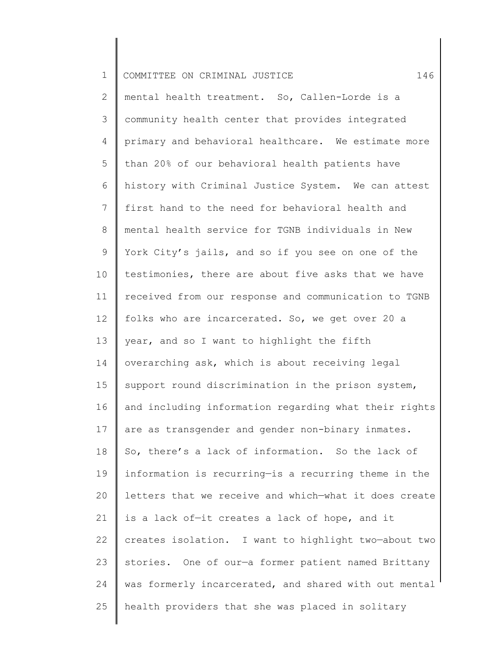| $\mathbf 1$    | 146<br>COMMITTEE ON CRIMINAL JUSTICE                  |
|----------------|-------------------------------------------------------|
| $\mathbf{2}$   | mental health treatment. So, Callen-Lorde is a        |
| 3              | community health center that provides integrated      |
| 4              | primary and behavioral healthcare. We estimate more   |
| 5              | than 20% of our behavioral health patients have       |
| 6              | history with Criminal Justice System. We can attest   |
| $\overline{7}$ | first hand to the need for behavioral health and      |
| $8\,$          | mental health service for TGNB individuals in New     |
| $\mathsf 9$    | York City's jails, and so if you see on one of the    |
| 10             | testimonies, there are about five asks that we have   |
| 11             | received from our response and communication to TGNB  |
| 12             | folks who are incarcerated. So, we get over 20 a      |
| 13             | year, and so I want to highlight the fifth            |
| 14             | overarching ask, which is about receiving legal       |
| 15             | support round discrimination in the prison system,    |
| 16             | and including information regarding what their rights |
| 17             | are as transgender and gender non-binary inmates.     |
| 18             | So, there's a lack of information. So the lack of     |
| 19             | information is recurring-is a recurring theme in the  |
| 20             | letters that we receive and which-what it does create |
| 21             | is a lack of-it creates a lack of hope, and it        |
| 22             | creates isolation. I want to highlight two-about two  |
| 23             | stories. One of our-a former patient named Brittany   |
| 24             | was formerly incarcerated, and shared with out mental |
| 25             | health providers that she was placed in solitary      |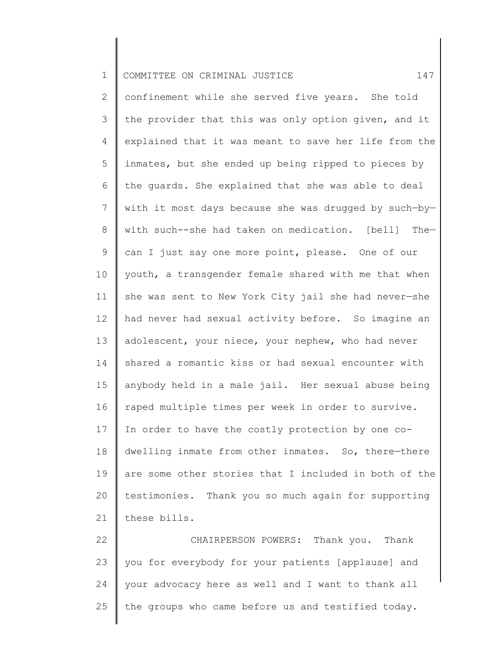| $\mathbf 1$ | 147<br>COMMITTEE ON CRIMINAL JUSTICE                  |
|-------------|-------------------------------------------------------|
| 2           | confinement while she served five years. She told     |
| 3           | the provider that this was only option given, and it  |
| 4           | explained that it was meant to save her life from the |
| 5           | inmates, but she ended up being ripped to pieces by   |
| 6           | the guards. She explained that she was able to deal   |
| 7           | with it most days because she was drugged by such-by- |
| 8           | with such--she had taken on medication. [bell] The-   |
| $\mathsf 9$ | can I just say one more point, please. One of our     |
| 10          | youth, a transgender female shared with me that when  |
| 11          | she was sent to New York City jail she had never-she  |
| 12          | had never had sexual activity before. So imagine an   |
| 13          | adolescent, your niece, your nephew, who had never    |
| 14          | shared a romantic kiss or had sexual encounter with   |
| 15          | anybody held in a male jail. Her sexual abuse being   |
| 16          | raped multiple times per week in order to survive.    |
| 17          | In order to have the costly protection by one co-     |
| 18          | dwelling inmate from other inmates. So, there-there   |
| 19          | are some other stories that I included in both of the |
| 20          | testimonies. Thank you so much again for supporting   |
| 21          | these bills.                                          |
| 22          | CHAIRPERSON POWERS: Thank you. Thank                  |
| 23          | you for everybody for your patients [applause] and    |
| 24          | your advocacy here as well and I want to thank all    |

25 || the groups who came before us and testified today.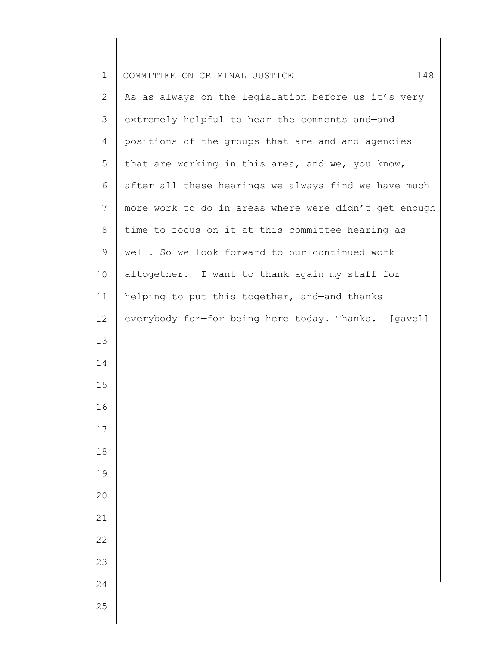| $\mathbf 1$  | COMMITTEE ON CRIMINAL JUSTICE<br>148                  |
|--------------|-------------------------------------------------------|
| $\mathbf{2}$ | As-as always on the legislation before us it's very-  |
| 3            | extremely helpful to hear the comments and-and        |
| 4            | positions of the groups that are-and-and agencies     |
| 5            | that are working in this area, and we, you know,      |
| 6            | after all these hearings we always find we have much  |
| 7            | more work to do in areas where were didn't get enough |
| 8            | time to focus on it at this committee hearing as      |
| 9            | well. So we look forward to our continued work        |
| 10           | altogether. I want to thank again my staff for        |
| 11           | helping to put this together, and-and thanks          |
| 12           | everybody for-for being here today. Thanks. [gavel]   |
| 13           |                                                       |
| 14           |                                                       |
| 15           |                                                       |
| 16           |                                                       |
| $17$         |                                                       |
| 18           |                                                       |
| 19           |                                                       |
| 20           |                                                       |
| 21           |                                                       |
| 22           |                                                       |
| 23           |                                                       |
| 24           |                                                       |
| 25           |                                                       |

 $\begin{array}{c} \hline \end{array}$